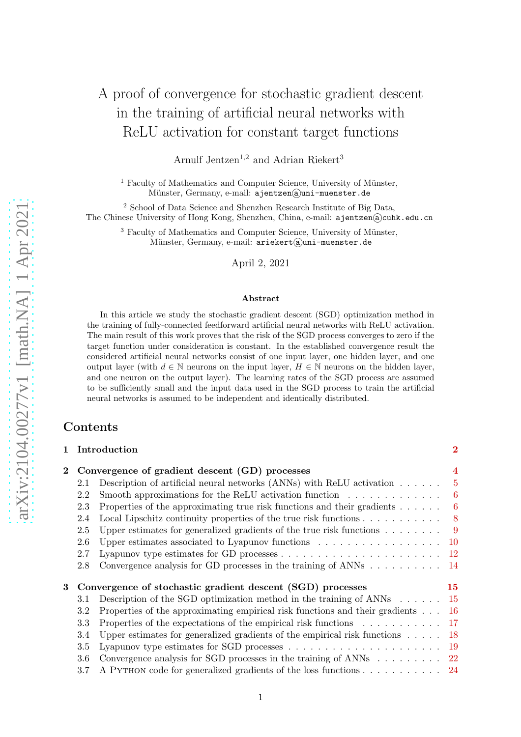# A proof of convergence for stochastic gradient descent in the training of artificial neural networks with ReLU activation for constant target functions

Arnulf Jentzen<sup>1,2</sup> and Adrian Riekert<sup>3</sup>

 $1$  Faculty of Mathematics and Computer Science, University of Münster, Münster, Germany, e-mail: ajentzen@uni-muenster.de

<sup>2</sup> School of Data Science and Shenzhen Research Institute of Big Data, The Chinese University of Hong Kong, Shenzhen, China, e-mail: ajentzen@cuhk.edu.cn

<sup>3</sup> Faculty of Mathematics and Computer Science, University of Münster, Münster, Germany, e-mail: ariekert@uni-muenster.de

April 2, 2021

#### Abstract

In this article we study the stochastic gradient descent (SGD) optimization method in the training of fully-connected feedforward artificial neural networks with ReLU activation. The main result of this work proves that the risk of the SGD process converges to zero if the target function under consideration is constant. In the established convergence result the considered artificial neural networks consist of one input layer, one hidden layer, and one output layer (with  $d \in \mathbb{N}$  neurons on the input layer,  $H \in \mathbb{N}$  neurons on the hidden layer, and one neuron on the output layer). The learning rates of the SGD process are assumed to be sufficiently small and the input data used in the SGD process to train the artificial neural networks is assumed to be independent and identically distributed.

# Contents

| $\mathbf{1}$ |                                                            | Introduction                                                                               | $\overline{2}$ |
|--------------|------------------------------------------------------------|--------------------------------------------------------------------------------------------|----------------|
| $\mathbf{2}$ |                                                            | Convergence of gradient descent (GD) processes                                             |                |
|              | 2.1                                                        | Description of artificial neural networks (ANNs) with ReLU activation $\dots \dots$        | $\overline{5}$ |
|              | 2.2                                                        | Smooth approximations for the ReLU activation function $\dots \dots \dots \dots$           | 6              |
|              | 2.3                                                        | Properties of the approximating true risk functions and their gradients                    | 6              |
|              | 2.4                                                        | Local Lipschitz continuity properties of the true risk functions $\dots \dots \dots$       | 8              |
|              | 2.5                                                        | Upper estimates for generalized gradients of the true risk functions $\dots \dots$         | 9              |
|              | 2.6                                                        | Upper estimates associated to Lyapunov functions                                           | $10\,$         |
|              | 2.7                                                        | Lyapunov type estimates for GD processes $\dots \dots \dots \dots \dots \dots \dots \dots$ | $12\,$         |
|              | 2.8                                                        | Convergence analysis for GD processes in the training of ANNs $\dots \dots \dots$          | -14            |
| 3            | Convergence of stochastic gradient descent (SGD) processes |                                                                                            | $15\,$         |
|              | 3.1                                                        | Description of the SGD optimization method in the training of $\text{ANNs} \dots \dots$    | -15            |
|              | $3.2\,$                                                    | Properties of the approximating empirical risk functions and their gradients               | -16            |
|              | $3.3\,$                                                    | Properties of the expectations of the empirical risk functions 17                          |                |
|              | 3.4                                                        | Upper estimates for generalized gradients of the empirical risk functions $\dots$ .        | $18\,$         |
|              | 3.5                                                        | Lyapunov type estimates for SGD processes $\dots \dots \dots \dots \dots \dots \dots$      | -19            |
|              | 3.6                                                        | Convergence analysis for SGD processes in the training of ANNs $\dots \dots \dots$ 22      |                |
|              | 3.7                                                        | A PYTHON code for generalized gradients of the loss functions 24                           |                |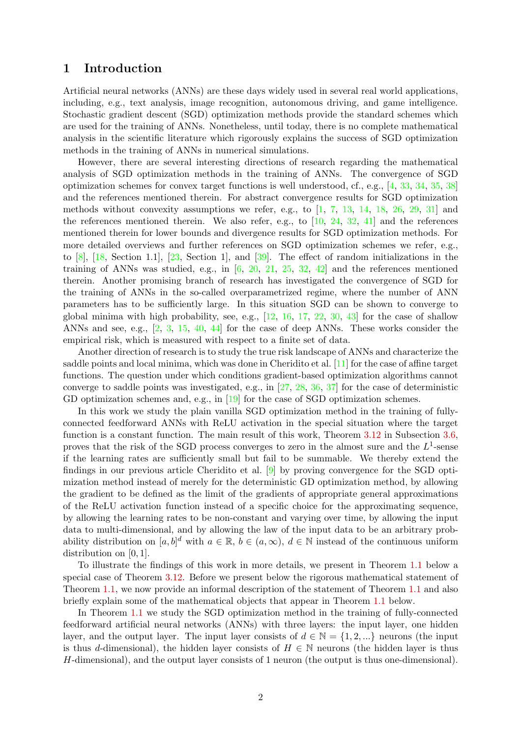# <span id="page-1-0"></span>1 Introduction

Artificial neural networks (ANNs) are these days widely used in several real world applications, including, e.g., text analysis, image recognition, autonomous driving, and game intelligence. Stochastic gradient descent (SGD) optimization methods provide the standard schemes which are used for the training of ANNs. Nonetheless, until today, there is no complete mathematical analysis in the scientific literature which rigorously explains the success of SGD optimization methods in the training of ANNs in numerical simulations.

However, there are several interesting directions of research regarding the mathematical analysis of SGD optimization methods in the training of ANNs. The convergence of SGD optimization schemes for convex target functions is well understood, cf., e.g., [\[4,](#page-25-0) [33,](#page-27-0) [34,](#page-27-1) [35,](#page-27-2) [38\]](#page-27-3) and the references mentioned therein. For abstract convergence results for SGD optimization methods without convexity assumptions we refer, e.g., to  $\left[1, 7, 13, 14, 18, 26, 29, 31\right]$  $\left[1, 7, 13, 14, 18, 26, 29, 31\right]$  $\left[1, 7, 13, 14, 18, 26, 29, 31\right]$  $\left[1, 7, 13, 14, 18, 26, 29, 31\right]$  $\left[1, 7, 13, 14, 18, 26, 29, 31\right]$  $\left[1, 7, 13, 14, 18, 26, 29, 31\right]$  $\left[1, 7, 13, 14, 18, 26, 29, 31\right]$  $\left[1, 7, 13, 14, 18, 26, 29, 31\right]$  $\left[1, 7, 13, 14, 18, 26, 29, 31\right]$  $\left[1, 7, 13, 14, 18, 26, 29, 31\right]$  $\left[1, 7, 13, 14, 18, 26, 29, 31\right]$  $\left[1, 7, 13, 14, 18, 26, 29, 31\right]$  $\left[1, 7, 13, 14, 18, 26, 29, 31\right]$  and the references mentioned therein. We also refer, e.g., to  $[10, 24, 32, 41]$  $[10, 24, 32, 41]$  $[10, 24, 32, 41]$  $[10, 24, 32, 41]$  $[10, 24, 32, 41]$  $[10, 24, 32, 41]$  and the references mentioned therein for lower bounds and divergence results for SGD optimization methods. For more detailed overviews and further references on SGD optimization schemes we refer, e.g., to [\[8\]](#page-25-6), [\[18,](#page-26-0) Section 1.1], [\[23,](#page-26-3) Section 1], and [\[39\]](#page-27-8). The effect of random initializations in the training of ANNs was studied, e.g., in  $[6, 20, 21, 25, 32, 42]$  $[6, 20, 21, 25, 32, 42]$  $[6, 20, 21, 25, 32, 42]$  $[6, 20, 21, 25, 32, 42]$  $[6, 20, 21, 25, 32, 42]$  $[6, 20, 21, 25, 32, 42]$  $[6, 20, 21, 25, 32, 42]$  $[6, 20, 21, 25, 32, 42]$  $[6, 20, 21, 25, 32, 42]$  $[6, 20, 21, 25, 32, 42]$  and the references mentioned therein. Another promising branch of research has investigated the convergence of SGD for the training of ANNs in the so-called overparametrized regime, where the number of ANN parameters has to be sufficiently large. In this situation SGD can be shown to converge to global minima with high probability, see, e.g.,  $[12, 16, 17, 22, 30, 43]$  $[12, 16, 17, 22, 30, 43]$  $[12, 16, 17, 22, 30, 43]$  $[12, 16, 17, 22, 30, 43]$  $[12, 16, 17, 22, 30, 43]$  $[12, 16, 17, 22, 30, 43]$  $[12, 16, 17, 22, 30, 43]$  $[12, 16, 17, 22, 30, 43]$  $[12, 16, 17, 22, 30, 43]$  $[12, 16, 17, 22, 30, 43]$  for the case of shallow ANNs and see, e.g., [\[2,](#page-25-9) [3,](#page-25-10) [15,](#page-26-10) [40,](#page-27-10) [44\]](#page-28-2) for the case of deep ANNs. These works consider the empirical risk, which is measured with respect to a finite set of data.

Another direction of research is to study the true risk landscape of ANNs and characterize the saddle points and local minima, which was done in Cheridito et al. [\[11\]](#page-25-11) for the case of affine target functions. The question under which conditions gradient-based optimization algorithms cannot converge to saddle points was investigated, e.g., in [\[27,](#page-26-11) [28,](#page-27-11) [36,](#page-27-12) [37\]](#page-27-13) for the case of deterministic GD optimization schemes and, e.g., in [\[19\]](#page-26-12) for the case of SGD optimization schemes.

In this work we study the plain vanilla SGD optimization method in the training of fullyconnected feedforward ANNs with ReLU activation in the special situation where the target function is a constant function. The main result of this work, Theorem [3.12](#page-21-1) in Subsection [3.6,](#page-21-0) proves that the risk of the SGD process converges to zero in the almost sure and the  $L^1$ -sense if the learning rates are sufficiently small but fail to be summable. We thereby extend the findings in our previous article Cheridito et al. [\[9\]](#page-25-12) by proving convergence for the SGD optimization method instead of merely for the deterministic GD optimization method, by allowing the gradient to be defined as the limit of the gradients of appropriate general approximations of the ReLU activation function instead of a specific choice for the approximating sequence, by allowing the learning rates to be non-constant and varying over time, by allowing the input data to multi-dimensional, and by allowing the law of the input data to be an arbitrary probability distribution on  $[a, b]^d$  with  $a \in \mathbb{R}$ ,  $b \in (a, \infty)$ ,  $d \in \mathbb{N}$  instead of the continuous uniform distribution on [0, 1].

To illustrate the findings of this work in more details, we present in Theorem [1.1](#page-3-1) below a special case of Theorem [3.12.](#page-21-1) Before we present below the rigorous mathematical statement of Theorem [1.1,](#page-3-1) we now provide an informal description of the statement of Theorem [1.1](#page-3-1) and also briefly explain some of the mathematical objects that appear in Theorem [1.1](#page-3-1) below.

In Theorem [1.1](#page-3-1) we study the SGD optimization method in the training of fully-connected feedforward artificial neural networks (ANNs) with three layers: the input layer, one hidden layer, and the output layer. The input layer consists of  $d \in \mathbb{N} = \{1, 2, ...\}$  neurons (the input is thus d-dimensional), the hidden layer consists of  $H \in \mathbb{N}$  neurons (the hidden layer is thus H-dimensional), and the output layer consists of 1 neuron (the output is thus one-dimensional).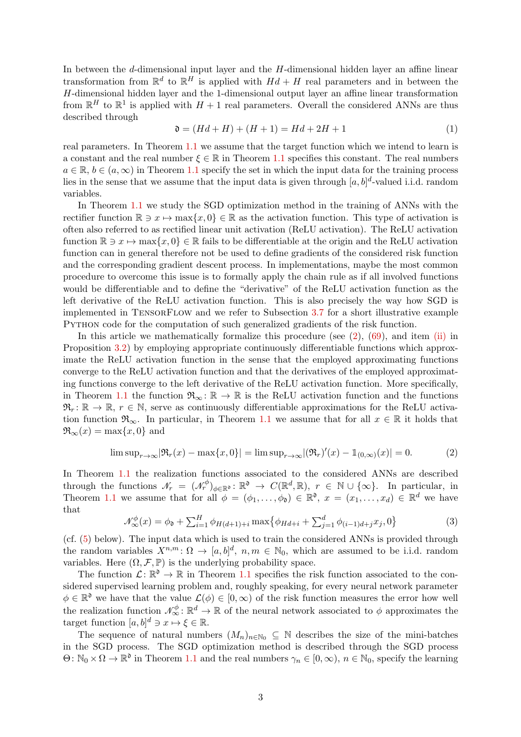In between the d-dimensional input layer and the H-dimensional hidden layer an affine linear transformation from  $\mathbb{R}^d$  to  $\mathbb{R}^H$  is applied with  $Hd + H$  real parameters and in between the H-dimensional hidden layer and the 1-dimensional output layer an affine linear transformation from  $\mathbb{R}^H$  to  $\mathbb{R}^1$  is applied with  $H + 1$  real parameters. Overall the considered ANNs are thus described through

$$
\mathfrak{d} = (Hd + H) + (H + 1) = Hd + 2H + 1 \tag{1}
$$

real parameters. In Theorem [1.1](#page-3-1) we assume that the target function which we intend to learn is a constant and the real number  $\xi \in \mathbb{R}$  in Theorem [1.1](#page-3-1) specifies this constant. The real numbers  $a \in \mathbb{R}, b \in (a, \infty)$  in Theorem [1.1](#page-3-1) specify the set in which the input data for the training process lies in the sense that we assume that the input data is given through  $[a, b]^d$ -valued i.i.d. random variables.

In Theorem [1.1](#page-3-1) we study the SGD optimization method in the training of ANNs with the rectifier function  $\mathbb{R} \ni x \mapsto \max\{x, 0\} \in \mathbb{R}$  as the activation function. This type of activation is often also referred to as rectified linear unit activation (ReLU activation). The ReLU activation function  $\mathbb{R} \ni x \mapsto \max\{x, 0\} \in \mathbb{R}$  fails to be differentiable at the origin and the ReLU activation function can in general therefore not be used to define gradients of the considered risk function and the corresponding gradient descent process. In implementations, maybe the most common procedure to overcome this issue is to formally apply the chain rule as if all involved functions would be differentiable and to define the "derivative" of the ReLU activation function as the left derivative of the ReLU activation function. This is also precisely the way how SGD is implemented in TensorFlow and we refer to Subsection [3.7](#page-23-0) for a short illustrative example Python code for the computation of such generalized gradients of the risk function.

In this article we mathematically formalize this procedure (see  $(2)$ ,  $(69)$ , and item [\(ii\)](#page-15-1) in Proposition [3.2\)](#page-15-2) by employing appropriate continuously differentiable functions which approximate the ReLU activation function in the sense that the employed approximating functions converge to the ReLU activation function and that the derivatives of the employed approximating functions converge to the left derivative of the ReLU activation function. More specifically, in Theorem [1.1](#page-3-1) the function  $\mathfrak{R}_{\infty} : \mathbb{R} \to \mathbb{R}$  is the ReLU activation function and the functions  $\mathfrak{R}_r : \mathbb{R} \to \mathbb{R}, r \in \mathbb{N}$ , serve as continuously differentiable approximations for the ReLU activation function  $\mathfrak{R}_{\infty}$ . In particular, in Theorem [1.1](#page-3-1) we assume that for all  $x \in \mathbb{R}$  it holds that  $\Re_{\infty}(x) = \max\{x, 0\}$  and

<span id="page-2-0"></span>
$$
\limsup_{r \to \infty} |\Re_r(x) - \max\{x, 0\}| = \limsup_{r \to \infty} |(\Re_r)'(x) - \mathbb{1}_{(0, \infty)}(x)| = 0. \tag{2}
$$

In Theorem [1.1](#page-3-1) the realization functions associated to the considered ANNs are described through the functions  $\mathcal{N}_r = (\mathcal{N}_r^{\phi})_{\phi \in \mathbb{R}^{\mathfrak{d}}} : \mathbb{R}^{\mathfrak{d}} \to C(\mathbb{R}^d, \mathbb{R}), r \in \mathbb{N} \cup \{\infty\}.$  In particular, in Theorem [1.1](#page-3-1) we assume that for all  $\phi = (\phi_1, \ldots, \phi_{\mathfrak{d}}) \in \mathbb{R}^{\mathfrak{d}}, x = (x_1, \ldots, x_d) \in \mathbb{R}^d$  we have that

$$
\mathcal{N}_{\infty}^{\phi}(x) = \phi_{\mathfrak{d}} + \sum_{i=1}^{H} \phi_{H(d+1)+i} \max \{ \phi_{Hd+i} + \sum_{j=1}^{d} \phi_{(i-1)d+j} x_j, 0 \}
$$
(3)

(cf. [\(5\)](#page-3-2) below). The input data which is used to train the considered ANNs is provided through the random variables  $X^{n,m}$ :  $\Omega \to [a,b]^d$ ,  $n,m \in \mathbb{N}_0$ , which are assumed to be i.i.d. random variables. Here  $(\Omega, \mathcal{F}, \mathbb{P})$  is the underlying probability space.

The function  $\mathcal{L}: \mathbb{R}^{\mathfrak{d}} \to \mathbb{R}$  in Theorem [1.1](#page-3-1) specifies the risk function associated to the considered supervised learning problem and, roughly speaking, for every neural network parameter  $\phi \in \mathbb{R}^{\mathfrak{d}}$  we have that the value  $\mathcal{L}(\phi) \in [0,\infty)$  of the risk function measures the error how well the realization function  $\mathcal{N}_{\infty}^{\phi} \colon \mathbb{R}^d \to \mathbb{R}$  of the neural network associated to  $\phi$  approximates the target function  $[a, b]^d \ni x \mapsto \xi \in \mathbb{R}$ .

The sequence of natural numbers  $(M_n)_{n\in\mathbb{N}_0} \subseteq \mathbb{N}$  describes the size of the mini-batches in the SGD process. The SGD optimization method is described through the SGD process  $\Theta: \mathbb{N}_0 \times \Omega \to \mathbb{R}^{\mathfrak{d}}$  in Theorem [1.1](#page-3-1) and the real numbers  $\gamma_n \in [0, \infty)$ ,  $n \in \mathbb{N}_0$ , specify the learning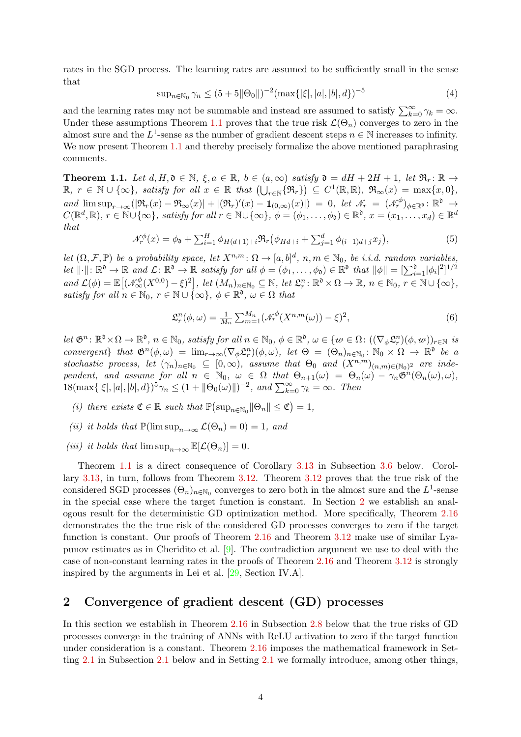rates in the SGD process. The learning rates are assumed to be sufficiently small in the sense that

$$
\sup_{n \in \mathbb{N}_0} \gamma_n \le (5 + 5 \|\Theta_0\|)^{-2} (\max\{|\xi|, |a|, |b|, d\})^{-5}
$$
 (4)

and the learning rates may not be summable and instead are assumed to satisfy  $\sum_{k=0}^{\infty} \gamma_k = \infty$ . Under these assumptions Theorem [1.1](#page-3-1) proves that the true risk  $\mathcal{L}(\Theta_n)$  converges to zero in the almost sure and the  $L^1$ -sense as the number of gradient descent steps  $n \in \mathbb{N}$  increases to infinity. We now present Theorem [1.1](#page-3-1) and thereby precisely formalize the above mentioned paraphrasing comments.

<span id="page-3-1"></span>**Theorem 1.1.** Let  $d, H, \mathfrak{d} \in \mathbb{N}$ ,  $\xi, a \in \mathbb{R}$ ,  $b \in (a, \infty)$  *satisfy*  $\mathfrak{d} = dH + 2H + 1$ , let  $\mathfrak{R}_r : \mathbb{R} \to$  $\mathbb{R}, r \in \mathbb{N} \cup \{\infty\}, \text{ satisfy for all } x \in \mathbb{R} \text{ that } (\bigcup_{r \in \mathbb{N}} \{\Re_r\}) \subseteq C^1(\mathbb{R}, \mathbb{R}), \Re_{\infty}(x) = \max\{x, 0\},\$  $and \limsup_{r\to\infty}(|\Re_r(x)-\Re_\infty(x)|+|(\Re_r)'(x)-\mathbb{1}_{(0,\infty)}(x)|) = 0, \text{ let } \mathcal{N}_r = (\mathcal{N}_r^{\phi})_{\phi\in\mathbb{R}^{\mathfrak{d}}} : \mathbb{R}^{\mathfrak{d}} \to$  $C(\mathbb{R}^d, \mathbb{R}), r \in \mathbb{N} \cup \{\infty\}, \text{ satisfy for all } r \in \mathbb{N} \cup \{\infty\}, \phi = (\phi_1, \dots, \phi_{\mathfrak{d}}) \in \mathbb{R}^{\mathfrak{d}}, x = (x_1, \dots, x_d) \in \mathbb{R}^d$ *that*

<span id="page-3-2"></span>
$$
\mathcal{N}_r^{\phi}(x) = \phi_0 + \sum_{i=1}^H \phi_{H(d+1)+i} \Re_r \big( \phi_{Hd+i} + \sum_{j=1}^d \phi_{(i-1)d+j} x_j \big),\tag{5}
$$

*let*  $(\Omega, \mathcal{F}, \mathbb{P})$  *be a probability space, let*  $X^{n,m} \colon \Omega \to [a,b]^d$ ,  $n,m \in \mathbb{N}_0$ , *be i.i.d. random variables,* Let  $\|\cdot\|: \mathbb{R}^{\mathfrak{d}} \to \mathbb{R}$  and  $\mathcal{L}: \mathbb{R}^{\mathfrak{d}} \to \mathbb{R}$  satisfy for all  $\phi = (\phi_1, \ldots, \phi_{\mathfrak{d}}) \in \mathbb{R}^{\mathfrak{d}}$  that  $\|\phi\| = \left[\sum_{i=1}^{\mathfrak{d}} |\phi_i|^2\right]^{1/2}$  $and \mathcal{L}(\phi) = \mathbb{E} \big[ (\mathcal{N}_{\infty}^{\phi}(X^{0,0}) - \xi)^2 \big], \text{ let } (M_n)_{n \in \mathbb{N}_0} \subseteq \mathbb{N}, \text{ let } \mathfrak{L}_r^n : \mathbb{R}^{\mathfrak{d}} \times \Omega \to \mathbb{R}, n \in \mathbb{N}_0, r \in \mathbb{N} \cup \{\infty\},\$ *satisfy for all*  $n \in \mathbb{N}_0$ ,  $r \in \mathbb{N} \cup \{\infty\}$ ,  $\phi \in \mathbb{R}^{\mathfrak{d}}$ ,  $\omega \in \Omega$  *that* 

$$
\mathfrak{L}_r^n(\phi,\omega) = \frac{1}{M_n} \sum_{m=1}^{M_n} (\mathcal{N}_r^{\phi}(X^{n,m}(\omega)) - \xi)^2,
$$
\n<sup>(6)</sup>

 $let \ \mathfrak{G}^n : \mathbb{R}^{\mathfrak{d}} \times \Omega \to \mathbb{R}^{\mathfrak{d}}, \ n \in \mathbb{N}_0, \ satisfy \ for \ all \ n \in \mathbb{N}_0, \ \phi \in \mathbb{R}^{\mathfrak{d}}, \ \omega \in \{w \in \Omega : ((\nabla_{\phi} \mathfrak{L}_r^n)(\phi, w))_{r \in \mathbb{N}} \ \ is$ *convergent*} *that*  $\mathfrak{G}^n(\phi, \omega) = \lim_{r \to \infty} (\nabla_{\phi} \mathfrak{L}_r^n)(\phi, \omega)$ , *let*  $\Theta = (\Theta_n)_{n \in \mathbb{N}_0} : \mathbb{N}_0 \times \Omega \to \mathbb{R}^{\mathfrak{d}}$  *be a stochastic process, let*  $(\gamma_n)_{n \in \mathbb{N}_0} \subseteq [0, \infty)$ , assume that  $\Theta_0$  and  $(X^{n,m})_{(n,m) \in (\mathbb{N}_0)^2}$  are inde*pendent, and assume for all*  $n \in \mathbb{N}_0$ ,  $\omega \in \Omega$  *that*  $\Theta_{n+1}(\omega) = \Theta_n(\omega) - \gamma_n \mathfrak{G}^n(\Theta_n(\omega), \omega)$ ,  $18(\max\{|\xi|, |a|, |b|, d\})^5 \gamma_n \leq (1 + ||\Theta_0(\omega)||)^{-2}$ , and  $\sum_{k=0}^{\infty} \gamma_k = \infty$ . Then

- *(i) there exists*  $\mathfrak{C} \in \mathbb{R}$  *such that*  $\mathbb{P}(\sup_{n \in \mathbb{N}_0} ||\Theta_n|| \leq \mathfrak{C}) = 1$ ,
- *(ii) it holds that*  $\mathbb{P}(\limsup_{n\to\infty}\mathcal{L}(\Theta_n)=0)=1$ *, and*
- *(iii) it holds that*  $\limsup_{n\to\infty} \mathbb{E}[\mathcal{L}(\Theta_n)] = 0$ .

Theorem [1.1](#page-3-1) is a direct consequence of Corollary [3.13](#page-23-1) in Subsection [3.6](#page-21-0) below. Corollary [3.13,](#page-23-1) in turn, follows from Theorem [3.12.](#page-21-1) Theorem [3.12](#page-21-1) proves that the true risk of the considered SGD processes  $(\Theta_n)_{n \in \mathbb{N}_0}$  converges to zero both in the almost sure and the  $L^1$ -sense in the special case where the target function is constant. In Section [2](#page-3-0) we establish an analogous result for the deterministic GD optimization method. More specifically, Theorem [2.16](#page-13-1) demonstrates the the true risk of the considered GD processes converges to zero if the target function is constant. Our proofs of Theorem [2.16](#page-13-1) and Theorem [3.12](#page-21-1) make use of similar Lyapunov estimates as in Cheridito et al.  $[9]$ . The contradiction argument we use to deal with the case of non-constant learning rates in the proofs of Theorem [2.16](#page-13-1) and Theorem [3.12](#page-21-1) is strongly inspired by the arguments in Lei et al. [\[29,](#page-27-4) Section IV.A].

# <span id="page-3-0"></span>2 Convergence of gradient descent (GD) processes

In this section we establish in Theorem [2.16](#page-13-1) in Subsection [2.8](#page-13-0) below that the true risks of GD processes converge in the training of ANNs with ReLU activation to zero if the target function under consideration is a constant. Theorem [2.16](#page-13-1) imposes the mathematical framework in Setting [2.1](#page-4-1) in Subsection [2.1](#page-4-0) below and in Setting [2.1](#page-4-1) we formally introduce, among other things,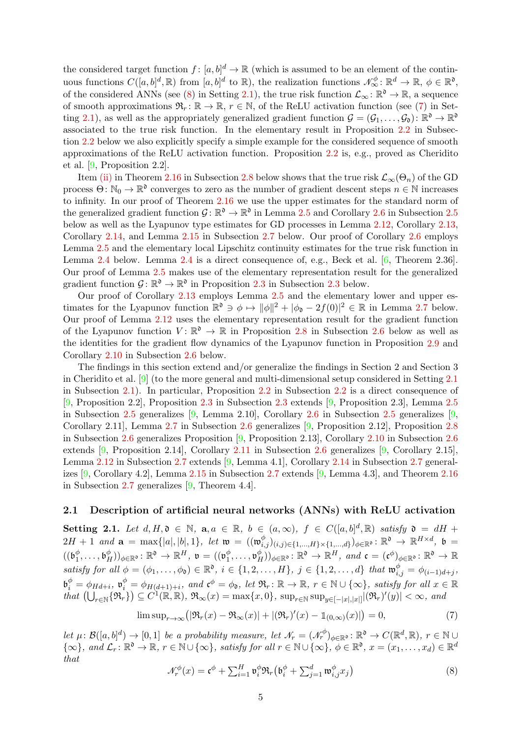the considered target function  $f: [a, b]^d \to \mathbb{R}$  (which is assumed to be an element of the continuous functions  $C([a, b]^d, \mathbb{R})$  from  $[a, b]^d$  to  $\mathbb{R}$ ), the realization functions  $\mathcal{N}_{\infty}^{\phi} \colon \mathbb{R}^d \to \mathbb{R}$ ,  $\phi \in \mathbb{R}^{\mathfrak{d}}$ , of the considered ANNs (see [\(8\)](#page-4-2) in Setting [2.1\)](#page-4-1), the true risk function  $\mathcal{L}_{\infty} \colon \mathbb{R}^{\mathfrak{d}} \to \mathbb{R}$ , a sequence of smooth approximations  $\mathfrak{R}_r : \mathbb{R} \to \mathbb{R}$ ,  $r \in \mathbb{N}$ , of the ReLU activation function (see [\(7\)](#page-4-3) in Set-ting [2.1\)](#page-4-1), as well as the appropriately generalized gradient function  $\mathcal{G} = (\mathcal{G}_1, \ldots, \mathcal{G}_0) : \mathbb{R}^{\mathfrak{d}} \to \mathbb{R}^{\mathfrak{d}}$ associated to the true risk function. In the elementary result in Proposition [2.2](#page-5-2) in Subsection [2.2](#page-5-0) below we also explicitly specify a simple example for the considered sequence of smooth approximations of the ReLU activation function. Proposition [2.2](#page-5-2) is, e.g., proved as Cheridito et al. [\[9,](#page-25-12) Proposition 2.2].

Item [\(ii\)](#page-13-2) in Theorem [2.16](#page-13-1) in Subsection [2.8](#page-13-0) below shows that the true risk  $\mathcal{L}_{\infty}(\Theta_n)$  of the GD process  $\Theta \colon \mathbb{N}_0 \to \mathbb{R}^{\mathfrak{d}}$  converges to zero as the number of gradient descent steps  $n \in \mathbb{N}$  increases to infinity. In our proof of Theorem [2.16](#page-13-1) we use the upper estimates for the standard norm of the generalized gradient function  $\mathcal{G} \colon \mathbb{R}^{\mathfrak{d}} \to \mathbb{R}^{\mathfrak{d}}$  in Lemma [2.5](#page-8-0) and Corollary [2.6](#page-9-1) in Subsection 2.5 below as well as the Lyapunov type estimates for GD processes in Lemma [2.12,](#page-11-1) Corollary [2.13,](#page-12-0) Corollary [2.14,](#page-12-1) and Lemma [2.15](#page-12-2) in Subsection [2.7](#page-11-0) below. Our proof of Corollary [2.6](#page-9-1) employs Lemma [2.5](#page-8-1) and the elementary local Lipschitz continuity estimates for the true risk function in Lemma [2.4](#page-7-1) below. Lemma [2.4](#page-7-1) is a direct consequence of, e.g., Beck et al. [\[6,](#page-25-7) Theorem 2.36]. Our proof of Lemma [2.5](#page-8-1) makes use of the elementary representation result for the generalized gradient function  $\mathcal{G} \colon \mathbb{R}^{\mathfrak{d}} \to \mathbb{R}^{\mathfrak{d}}$  in Proposition [2.3](#page-5-1) in Subsection 2.3 below.

Our proof of Corollary [2.13](#page-12-0) employs Lemma [2.5](#page-8-1) and the elementary lower and upper estimates for the Lyapunov function  $\mathbb{R}^{\mathfrak{d}} \ni \phi \mapsto ||\phi||^2 + |\phi_{\mathfrak{d}} - 2f(0)|^2 \in \mathbb{R}$  in Lemma [2.7](#page-9-2) below. Our proof of Lemma [2.12](#page-11-1) uses the elementary representation result for the gradient function of the Lyapunov function  $V: \mathbb{R}^{\mathfrak{d}} \to \mathbb{R}$  in Proposition [2.8](#page-9-3) in Subsection [2.6](#page-9-0) below as well as the identities for the gradient flow dynamics of the Lyapunov function in Proposition [2.9](#page-10-0) and Corollary [2.10](#page-10-1) in Subsection [2.6](#page-9-0) below.

The findings in this section extend and/or generalize the findings in Section 2 and Section 3 in Cheridito et al. [\[9\]](#page-25-12) (to the more general and multi-dimensional setup considered in Setting [2.1](#page-4-1) in Subsection [2.1\)](#page-4-0). In particular, Proposition [2.2](#page-5-2) in Subsection [2.2](#page-5-0) is a direct consequence of [\[9,](#page-25-12) Proposition 2.2], Proposition [2.3](#page-5-3) in Subsection [2.3](#page-5-1) extends [\[9,](#page-25-12) Proposition 2.3], Lemma [2.5](#page-8-1) in Subsection [2.5](#page-8-0) generalizes [\[9,](#page-25-12) Lemma 2.10], Corollary [2.6](#page-9-1) in Subsection [2.5](#page-8-0) generalizes [\[9,](#page-25-12) Corollary 2.11], Lemma [2.7](#page-9-2) in Subsection [2.6](#page-9-0) generalizes [\[9,](#page-25-12) Proposition 2.12], Proposition [2.8](#page-9-3) in Subsection [2.6](#page-9-0) generalizes Proposition [\[9,](#page-25-12) Proposition 2.13], Corollary [2.10](#page-10-1) in Subsection [2.6](#page-9-0) extends [\[9,](#page-25-12) Proposition 2.14], Corollary [2.11](#page-11-2) in Subsection [2.6](#page-9-0) generalizes [\[9,](#page-25-12) Corollary 2.15], Lemma [2.12](#page-11-1) in Subsection [2.7](#page-11-0) extends [\[9,](#page-25-12) Lemma 4.1], Corollary [2.14](#page-12-1) in Subsection [2.7](#page-11-0) generalizes [\[9,](#page-25-12) Corollary 4.2], Lemma [2.15](#page-12-2) in Subsection [2.7](#page-11-0) extends [\[9,](#page-25-12) Lemma 4.3], and Theorem [2.16](#page-13-1) in Subsection [2.7](#page-11-0) generalizes [\[9,](#page-25-12) Theorem 4.4].

#### <span id="page-4-1"></span><span id="page-4-0"></span>2.1 Description of artificial neural networks (ANNs) with ReLU activation

Setting 2.1. Let  $d, H, \mathfrak{d} \in \mathbb{N}$ ,  $\mathfrak{a}, a \in \mathbb{R}$ ,  $b \in (a, \infty)$ ,  $f \in C([a, b]^d, \mathbb{R})$  *satisfy*  $\mathfrak{d} = dH +$  $2H \, + \, 1 \;\; and \;\; {\bf a} \; = \; \max \{|a|, |b|, 1\}, \;\; let \;\; {\frak w} \; = \; (({\frak w}_{i,j}^\phi)_{(i,j) \in \{1,...,H\} \times \{1,...,d\}})_{\phi \in {\Bbb R}^\mathfrak{d}} \colon {\Bbb R}^\mathfrak{d} \; \to \; {\Bbb R}^{H \times d}, \;\; {\frak b} \; = \; 1$  $((\mathfrak{b}_1^{\phi}$  $(\mathfrak{b}_1^{\phi}, \ldots, \mathfrak{b}_H^{\phi}))_{\phi \in \mathbb{R}^{\mathfrak{d}}} \colon \mathbb{R}^{\mathfrak{d}} \to \mathbb{R}^H, \; \mathfrak{v} = ((\mathfrak{v}_1^{\phi})^{\phi})^{\phi}$  $(\phi_1^{\phi},\ldots,\mathfrak{v}_H^{\phi}))_{\phi\in\mathbb{R}^{\mathfrak{d}}} \colon \mathbb{R}^{\mathfrak{d}} \to \mathbb{R}^H, \textit{ and } \mathfrak{c}=(\mathfrak{c}^{\phi})_{\phi\in\mathbb{R}^{\mathfrak{d}}} \colon \mathbb{R}^{\mathfrak{d}} \to \mathbb{R}^{\mathfrak{d}}$  $satisfy \text{ for all } \phi = (\phi_1, \ldots, \phi_{\mathfrak{d}}) \in \mathbb{R}^{\mathfrak{d}}, \text{ } i \in \{1, 2, \ldots, H\}, \text{ } j \in \{1, 2, \ldots, d\} \text{ that } \mathfrak{w}_{i,j}^{\phi} = \phi_{(i-1)d+j},$  $\mathfrak{b}_i^{\phi} = \phi_{Hd+i}, \ \mathfrak{v}_i^{\phi} = \phi_{H(d+1)+i}, \ and \ \mathfrak{c}^{\phi} = \phi_{\mathfrak{d}}, \ let \ \mathfrak{R}_r \colon \mathbb{R} \to \mathbb{R}, \ r \in \mathbb{N} \cup \{\infty\}, \ satisfy \ for \ all \ x \in \mathbb{R}$  $\text{that } (\bigcup_{r \in \mathbb{N}} \{\Re_r\}) \subseteq C^1(\mathbb{R}, \mathbb{R}), \ \Re_\infty(x) = \max\{x, 0\}, \ \sup_{r \in \mathbb{N}} \sup_{y \in [-|x|, |x|]} |(\Re_r)'(y)| < \infty, \ and$ 

<span id="page-4-3"></span>
$$
\limsup_{r \to \infty} \left( \left| \Re_r(x) - \Re_\infty(x) \right| + \left| (\Re_r)'(x) - \mathbb{1}_{(0,\infty)}(x) \right| \right) = 0,\tag{7}
$$

 $let \mu \colon \mathcal{B}([a,b]^d) \to [0,1] \text{ be a probability measure, let } \mathcal{N}_r = (\mathcal{N}_r^{\phi})_{\phi \in \mathbb{R}^{\mathfrak{d}}} \colon \mathbb{R}^{\mathfrak{d}} \to C(\mathbb{R}^d,\mathbb{R}), r \in \mathbb{N} \cup$  $\{\infty\}, \text{ and } \mathcal{L}_r : \mathbb{R}^{\mathfrak{d}} \to \mathbb{R}, r \in \mathbb{N} \cup \{\infty\}, \text{ satisfy for all } r \in \mathbb{N} \cup \{\infty\}, \phi \in \mathbb{R}^{\mathfrak{d}}, x = (x_1, \ldots, x_d) \in \mathbb{R}^d$ *that*

<span id="page-4-2"></span>
$$
\mathcal{N}_r^{\phi}(x) = \mathfrak{c}^{\phi} + \sum_{i=1}^H \mathfrak{v}_i^{\phi} \mathfrak{R}_r \left( \mathfrak{b}_i^{\phi} + \sum_{j=1}^d \mathfrak{w}_{i,j}^{\phi} x_j \right) \tag{8}
$$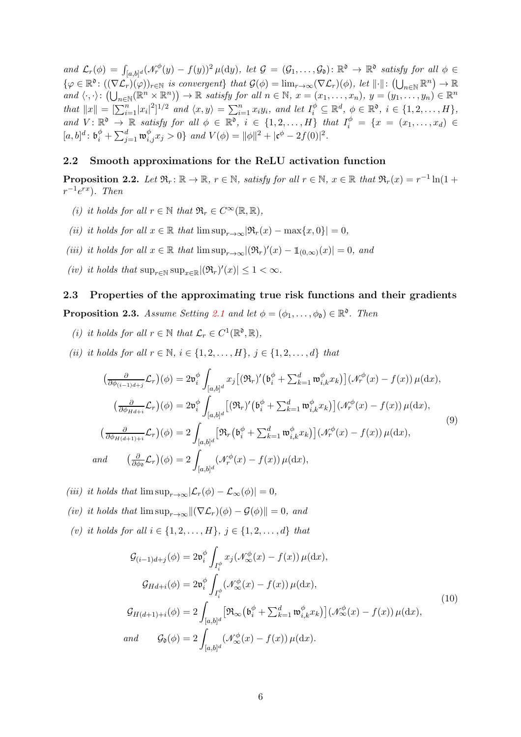$and \mathcal{L}_r(\phi) = \int_{[a,b]^d} (\mathcal{N}_r^{\phi}(y) - f(y))^2 \mu(dy), \ let \ \mathcal{G} = (\mathcal{G}_1,\ldots,\mathcal{G}_\mathfrak{d}) : \mathbb{R}^{\mathfrak{d}} \to \mathbb{R}^{\mathfrak{d}} \ \ satisfies \ all \ \phi \in \mathcal{G}$  $\{\varphi \in \mathbb{R}^{\mathfrak{d}} : ((\nabla \mathcal{L}_r)(\varphi))_{r \in \mathbb{N}} \text{ is convergent}\}\; \text{that } \mathcal{G}(\phi) = \lim_{r \to \infty} (\nabla \mathcal{L}_r)(\phi), \; \text{let } \|\cdot\|: ((\bigcup_{n \in \mathbb{N}} \mathbb{R}^n) \to \mathbb{R}^{\mathfrak{d}}\}.$  $and \ \langle \cdot, \cdot \rangle : (\bigcup_{n \in \mathbb{N}} (\mathbb{R}^n \times \mathbb{R}^n)) \to \mathbb{R} \ \textit{satisfy for all} \ n \in \mathbb{N}, \ x = (x_1, \ldots, x_n), \ y = (y_1, \ldots, y_n) \in \mathbb{R}^n$ *that*  $||x|| = \left[\sum_{i=1}^{n} |x_i|^2\right]^{1/2}$  *and*  $\langle x, y \rangle = \sum_{i=1}^{n} x_i y_i$ *, and let*  $I_i^{\phi} \subseteq \mathbb{R}^d$ *,*  $\phi \in \mathbb{R}^{\mathfrak{d}}$ *, i*  $\in \{1, 2, ..., H\}$ *,* and  $V: \mathbb{R}^{\mathfrak{d}} \to \mathbb{R}$  satisfy for all  $\phi \in \mathbb{R}^{\mathfrak{d}}$ ,  $i \in \{1, 2, ..., H\}$  that  $I_i^{\phi} = \{x = (x_1, ..., x_d) \in$  $[a,b]^d: \mathfrak{b}_i^{\phi} + \sum_{j=1}^d \mathfrak{w}_{i,j}^{\phi} x_j > 0 \}$  *and*  $V(\phi) = ||\phi||^2 + |\mathfrak{c}^{\phi} - 2f(0)|^2$ .

## <span id="page-5-2"></span><span id="page-5-0"></span>2.2 Smooth approximations for the ReLU activation function

**Proposition 2.2.** Let  $\mathfrak{R}_r : \mathbb{R} \to \mathbb{R}$ ,  $r \in \mathbb{N}$ , satisfy for all  $r \in \mathbb{N}$ ,  $x \in \mathbb{R}$  that  $\mathfrak{R}_r(x) = r^{-1} \ln(1 +$  $r^{-1}e^{rx}$ ). Then

- *(i) it holds for all*  $r \in \mathbb{N}$  *that*  $\mathfrak{R}_r \in C^\infty(\mathbb{R}, \mathbb{R})$ *,*
- *(ii) it holds for all*  $x \in \mathbb{R}$  *that*  $\limsup_{x \to \infty} |\Re_r(x) \max\{x, 0\}| = 0$ ,
- *(iii) it holds for all*  $x \in \mathbb{R}$  *that*  $\limsup_{r \to \infty} |(\Re_r)'(x) \mathbb{1}_{(0,\infty)}(x)| = 0$ *, and*
- *(iv) it holds that*  $\sup_{r \in \mathbb{N}} \sup_{x \in \mathbb{R}} |(\Re_r)'(x)| \leq 1 < \infty$ *.*

## <span id="page-5-3"></span><span id="page-5-1"></span>2.3 Properties of the approximating true risk functions and their gradients

<span id="page-5-4"></span>**Proposition 2.3.** *Assume Setting* [2.1](#page-4-1) *and let*  $\phi = (\phi_1, \dots, \phi_{\mathfrak{d}}) \in \mathbb{R}^{\mathfrak{d}}$ . *Then* 

- <span id="page-5-5"></span>*(i) it holds for all*  $r \in \mathbb{N}$  *that*  $\mathcal{L}_r \in C^1(\mathbb{R}^{\mathfrak{d}}, \mathbb{R}),$
- *(ii) it holds for all*  $r \in \mathbb{N}$ ,  $i \in \{1, 2, ..., H\}$ ,  $j \in \{1, 2, ..., d\}$  *that*

$$
\begin{split}\n\left(\frac{\partial}{\partial\phi_{(i-1)d+j}}\mathcal{L}_{r}\right)(\phi) &= 2\mathfrak{v}_{i}^{\phi}\int_{[a,b]^{d}}x_{j}\left[(\mathfrak{R}_{r})'\left(\mathfrak{b}_{i}^{\phi} + \sum_{k=1}^{d}\mathfrak{w}_{i,k}^{\phi}x_{k}\right)\right](\mathcal{N}_{r}^{\phi}(x) - f(x))\,\mu(\mathrm{d}x), \\
\left(\frac{\partial}{\partial\phi_{Hd+i}}\mathcal{L}_{r}\right)(\phi) &= 2\mathfrak{v}_{i}^{\phi}\int_{[a,b]^{d}}\left[(\mathfrak{R}_{r})'\left(\mathfrak{b}_{i}^{\phi} + \sum_{k=1}^{d}\mathfrak{w}_{i,k}^{\phi}x_{k}\right)\right](\mathcal{N}_{r}^{\phi}(x) - f(x))\,\mu(\mathrm{d}x), \\
\left(\frac{\partial}{\partial\phi_{H(d+1)+i}}\mathcal{L}_{r}\right)(\phi) &= 2\int_{[a,b]^{d}}\left[\mathfrak{R}_{r}\left(\mathfrak{b}_{i}^{\phi} + \sum_{k=1}^{d}\mathfrak{w}_{i,k}^{\phi}x_{k}\right)\right](\mathcal{N}_{r}^{\phi}(x) - f(x))\,\mu(\mathrm{d}x),\n\end{split} \tag{9}
$$
\n
$$
and \quad \left(\frac{\partial}{\partial\phi_{\mathfrak{d}}}\mathcal{L}_{r}\right)(\phi) = 2\int_{[a,b]^{d}}\left(\mathcal{N}_{r}^{\phi}(x) - f(x)\right)\mu(\mathrm{d}x),
$$

- <span id="page-5-7"></span><span id="page-5-6"></span>*(iii) it holds that*  $\limsup_{r\to\infty} |\mathcal{L}_r(\phi) - \mathcal{L}_{\infty}(\phi)| = 0$ ,
- <span id="page-5-8"></span>*(iv) it holds that*  $\limsup_{r\to\infty} \|(\nabla \mathcal{L}_r)(\phi) - \mathcal{G}(\phi)\| = 0$ , and
- *(v) it holds for all*  $i \in \{1, 2, ..., H\}$ *,*  $j \in \{1, 2, ..., d\}$  *that*

<span id="page-5-9"></span>
$$
\mathcal{G}_{(i-1)d+j}(\phi) = 2\mathfrak{v}_i^{\phi} \int_{I_i^{\phi}} x_j (\mathcal{N}_{\infty}^{\phi}(x) - f(x)) \mu(\mathrm{d}x),
$$
  
\n
$$
\mathcal{G}_{Hd+i}(\phi) = 2\mathfrak{v}_i^{\phi} \int_{I_i^{\phi}} (\mathcal{N}_{\infty}^{\phi}(x) - f(x)) \mu(\mathrm{d}x),
$$
  
\n
$$
\mathcal{G}_{H(d+1)+i}(\phi) = 2 \int_{[a,b]^d} \left[ \Re_{\infty} (\mathfrak{b}_i^{\phi} + \sum_{k=1}^d \mathfrak{w}_{i,k}^{\phi} x_k) \right] (\mathcal{N}_{\infty}^{\phi}(x) - f(x)) \mu(\mathrm{d}x),
$$
  
\nand  
\n
$$
\mathcal{G}_{\mathfrak{d}}(\phi) = 2 \int_{[a,b]^d} (\mathcal{N}_{\infty}^{\phi}(x) - f(x)) \mu(\mathrm{d}x).
$$
\n(10)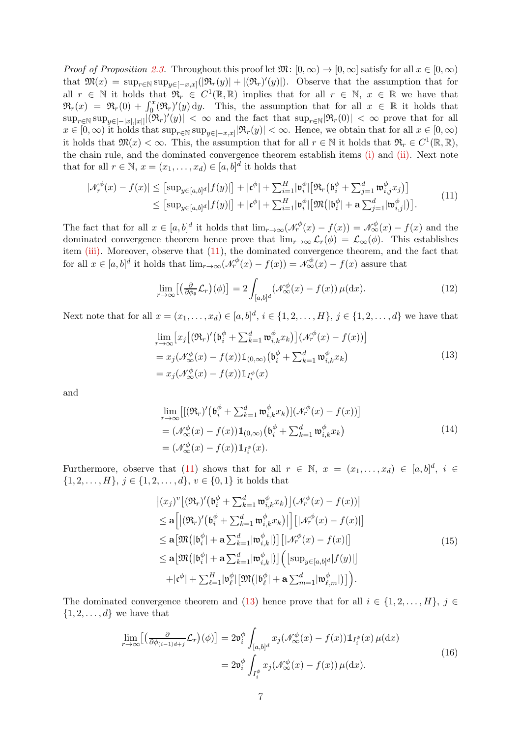*Proof of Proposition [2.3.](#page-5-3)* Throughout this proof let  $\mathfrak{M}$ :  $[0,\infty) \to [0,\infty]$  satisfy for all  $x \in [0,\infty)$ that  $\mathfrak{M}(x) = \sup_{r \in \mathbb{N}} \sup_{y \in [-x,x]} (|\mathfrak{R}_r(y)| + |(\mathfrak{R}_r)'(y)|)$ . Observe that the assumption that for all  $r \in \mathbb{N}$  it holds that  $\mathfrak{R}_r \in C^1(\mathbb{R}, \mathbb{R})$  implies that for all  $r \in \mathbb{N}, x \in \mathbb{R}$  we have that  $\mathfrak{R}_r(x) = \mathfrak{R}_r(0) + \int_0^x (\mathfrak{R}_r)'(y) dy$ . This, the assumption that for all  $x \in \mathbb{R}$  it holds that  $\sup_{r \in \mathbb{N}} \sup_{y \in [-|x|,|x|]} |(\mathfrak{R}_r)'(y)| < \infty$  and the fact that  $\sup_{r \in \mathbb{N}} |\mathfrak{R}_r(0)| < \infty$  prove that for all  $x \in [0, \infty)$  it holds that  $\sup_{r \in \mathbb{N}} \sup_{y \in [-x, x]} |\Re_r(y)| < \infty$ . Hence, we obtain that for all  $x \in [0, \infty)$ it holds that  $\mathfrak{M}(x) < \infty$ . This, the assumption that for all  $r \in \mathbb{N}$  it holds that  $\mathfrak{R}_r \in C^1(\mathbb{R}, \mathbb{R})$ , the chain rule, and the dominated convergence theorem establish items [\(i\)](#page-5-4) and [\(ii\).](#page-5-5) Next note that for all  $r \in \mathbb{N}$ ,  $x = (x_1, \ldots, x_d) \in [a, b]^d$  it holds that

<span id="page-6-0"></span>
$$
|\mathcal{N}_r^{\phi}(x) - f(x)| \leq \left[ \sup_{y \in [a,b]^d} |f(y)| \right] + |\mathfrak{c}^{\phi}| + \sum_{i=1}^H |\mathfrak{v}_i^{\phi}| \left[ \mathfrak{R}_r \left( \mathfrak{b}_i^{\phi} + \sum_{j=1}^d \mathfrak{w}_{i,j}^{\phi} x_j \right) \right] \leq \left[ \sup_{y \in [a,b]^d} |f(y)| \right] + |\mathfrak{c}^{\phi}| + \sum_{i=1}^H |\mathfrak{v}_i^{\phi}| \left[ \mathfrak{M} \left( |\mathfrak{b}_i^{\phi}| + \mathbf{a} \sum_{j=1}^d |\mathfrak{w}_{i,j}^{\phi}| \right) \right]. \tag{11}
$$

The fact that for all  $x \in [a, b]^d$  it holds that  $\lim_{r \to \infty} (\mathcal{N}_r^{\phi}(x) - f(x)) = \mathcal{N}_\infty^{\phi}(x) - f(x)$  and the dominated convergence theorem hence prove that  $\lim_{r\to\infty} \mathcal{L}_r(\phi) = \mathcal{L}_{\infty}(\phi)$ . This establishes item [\(iii\).](#page-5-6) Moreover, observe that [\(11\)](#page-6-0), the dominated convergence theorem, and the fact that for all  $x \in [a, b]^d$  it holds that  $\lim_{r \to \infty} (\mathcal{N}_r^{\phi}(x) - f(x)) = \mathcal{N}_\infty^{\phi}(x) - f(x)$  assure that

<span id="page-6-4"></span>
$$
\lim_{r \to \infty} \left[ \left( \frac{\partial}{\partial \phi_0} \mathcal{L}_r \right) (\phi) \right] = 2 \int_{[a,b]^d} \left( \mathcal{N}_{\infty}^{\phi}(x) - f(x) \right) \mu(\mathrm{d}x). \tag{12}
$$

<span id="page-6-1"></span>Next note that for all  $x = (x_1, ..., x_d) \in [a, b]^d$ ,  $i \in \{1, 2, ..., H\}$ ,  $j \in \{1, 2, ..., d\}$  we have that

$$
\lim_{r \to \infty} \left[ x_j \left[ (\Re_r)' \left( \mathfrak{b}_i^{\phi} + \sum_{k=1}^d \mathfrak{w}_{i,k}^{\phi} x_k \right) \right] (\mathcal{N}_r^{\phi}(x) - f(x)) \right]
$$
\n
$$
= x_j (\mathcal{N}_{\infty}^{\phi}(x) - f(x)) \mathbb{1}_{(0,\infty)} \left( \mathfrak{b}_i^{\phi} + \sum_{k=1}^d \mathfrak{w}_{i,k}^{\phi} x_k \right)
$$
\n
$$
= x_j (\mathcal{N}_{\infty}^{\phi}(x) - f(x)) \mathbb{1}_{I_i^{\phi}}(x) \tag{13}
$$

<span id="page-6-2"></span>and

$$
\lim_{r \to \infty} \left[ \left[ (\Re_r)' \left( \mathfrak{b}_i^{\phi} + \sum_{k=1}^d \mathfrak{w}_{i,k}^{\phi} x_k \right) \right] (\mathcal{N}_r^{\phi}(x) - f(x)) \right]
$$
\n
$$
= (\mathcal{N}_{\infty}^{\phi}(x) - f(x)) \mathbb{1}_{(0,\infty)} \left( \mathfrak{b}_i^{\phi} + \sum_{k=1}^d \mathfrak{w}_{i,k}^{\phi} x_k \right)
$$
\n
$$
= (\mathcal{N}_{\infty}^{\phi}(x) - f(x)) \mathbb{1}_{I_i^{\phi}}(x). \tag{14}
$$

Furthermore, observe that [\(11\)](#page-6-0) shows that for all  $r \in \mathbb{N}$ ,  $x = (x_1, \ldots, x_d) \in [a, b]^d$ ,  $i \in$  $\{1, 2, \ldots, H\}, j \in \{1, 2, \ldots, d\}, v \in \{0, 1\}$  it holds that

$$
\begin{split}\n& \left| (x_j)^v \left[ (\Re_r)' \left( \mathfrak{b}_i^{\phi} + \sum_{k=1}^d \mathfrak{w}_{i,k}^{\phi} x_k \right) \right] (\mathcal{N}_r^{\phi}(x) - f(x)) \right| \\
&\leq \mathbf{a} \left[ \left| (\Re_r)' \left( \mathfrak{b}_i^{\phi} + \sum_{k=1}^d \mathfrak{w}_{i,k}^{\phi} x_k \right) \right| \right] \left[ |\mathcal{N}_r^{\phi}(x) - f(x)| \right] \\
&\leq \mathbf{a} \left[ \mathfrak{M} (|\mathfrak{b}_i^{\phi}| + \mathbf{a} \sum_{k=1}^d |\mathfrak{w}_{i,k}^{\phi}|) \right] \left[ |\mathcal{N}_r^{\phi}(x) - f(x)| \right] \\
&\leq \mathbf{a} \left[ \mathfrak{M} (|\mathfrak{b}_i^{\phi}| + \mathbf{a} \sum_{k=1}^d |\mathfrak{w}_{i,k}^{\phi}|) \right] \left( \left[ \sup_{y \in [a,b]^d} |f(y)| \right] \\
&\quad + |\mathfrak{c}^{\phi}| + \sum_{\ell=1}^H |\mathfrak{v}_{\ell}^{\phi}| \left[ \mathfrak{M} (|\mathfrak{b}_{\ell}^{\phi}| + \mathbf{a} \sum_{m=1}^d |\mathfrak{w}_{\ell,m}^{\phi}|) \right] \right).\n\end{split} \tag{15}
$$

<span id="page-6-5"></span><span id="page-6-3"></span>The dominated convergence theorem and [\(13\)](#page-6-1) hence prove that for all  $i \in \{1, 2, ..., H\}, j \in$  $\{1, 2, \ldots, d\}$  we have that

$$
\lim_{r \to \infty} \left[ \left( \frac{\partial}{\partial \phi_{(i-1)d+j}} \mathcal{L}_r \right) (\phi) \right] = 2 \mathfrak{v}_i^{\phi} \int_{[a,b]^d} x_j (\mathcal{N}_\infty^{\phi}(x) - f(x)) \mathbb{1}_{I_i^{\phi}}(x) \,\mu(\mathrm{d}x) \n= 2 \mathfrak{v}_i^{\phi} \int_{I_i^{\phi}} x_j (\mathcal{N}_\infty^{\phi}(x) - f(x)) \,\mu(\mathrm{d}x).
$$
\n(16)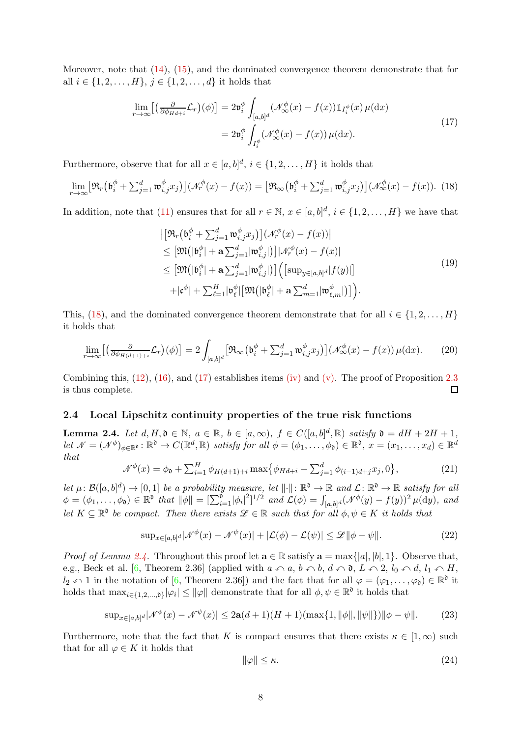Moreover, note that [\(14\)](#page-6-2), [\(15\)](#page-6-3), and the dominated convergence theorem demonstrate that for all  $i \in \{1, 2, ..., H\}, j \in \{1, 2, ..., d\}$  it holds that

$$
\lim_{r \to \infty} \left[ \left( \frac{\partial}{\partial \phi_{H d + i}} \mathcal{L}_r \right) (\phi) \right] = 2 \mathfrak{v}_i^{\phi} \int_{[a, b]^d} (\mathcal{N}_{\infty}^{\phi}(x) - f(x)) \mathbb{1}_{I_i^{\phi}}(x) \,\mu(\mathrm{d}x) \n= 2 \mathfrak{v}_i^{\phi} \int_{I_i^{\phi}} (\mathcal{N}_{\infty}^{\phi}(x) - f(x)) \,\mu(\mathrm{d}x).
$$
\n(17)

<span id="page-7-3"></span>Furthermore, observe that for all  $x \in [a, b]^d$ ,  $i \in \{1, 2, ..., H\}$  it holds that

<span id="page-7-2"></span>
$$
\lim_{r \to \infty} \left[ \Re_r \left( \mathfrak{b}_i^{\phi} + \sum_{j=1}^d \mathfrak{w}_{i,j}^{\phi} x_j \right) \right] \left( \mathcal{N}_r^{\phi}(x) - f(x) \right) = \left[ \Re_\infty \left( \mathfrak{b}_i^{\phi} + \sum_{j=1}^d \mathfrak{w}_{i,j}^{\phi} x_j \right) \right] \left( \mathcal{N}_\infty^{\phi}(x) - f(x) \right). \tag{18}
$$

In addition, note that [\(11\)](#page-6-0) ensures that for all  $r \in \mathbb{N}$ ,  $x \in [a, b]^d$ ,  $i \in \{1, 2, ..., H\}$  we have that

$$
\begin{split}\n&\left|\left[\mathfrak{R}_{r}\left(\mathfrak{b}_{i}^{\phi}+\sum_{j=1}^{d}\mathfrak{w}_{i,j}^{\phi}x_{j}\right)\right](\mathcal{N}_{r}^{\phi}(x)-f(x))\right| \\
&\leq\left[\mathfrak{M}\left(|\mathfrak{b}_{i}^{\phi}|+\mathbf{a}\sum_{j=1}^{d}|w_{i,j}^{\phi}|\right)\right]|\mathcal{N}_{r}^{\phi}(x)-f(x)| \\
&\leq\left[\mathfrak{M}\left(|\mathfrak{b}_{i}^{\phi}|+\mathbf{a}\sum_{j=1}^{d}|w_{i,j}^{\phi}|\right)\right]\left(\left[\sup_{y\in[a,b]^{d}}|f(y)|\right]\right. \\
&\left.+\left|\mathfrak{c}^{\phi}|+\sum_{\ell=1}^{H}|v_{\ell}^{\phi}|\left[\mathfrak{M}\left(|\mathfrak{b}_{\ell}^{\phi}|+\mathbf{a}\sum_{m=1}^{d}|w_{\ell,m}^{\phi}|\right]\right)\right).\n\end{split} \tag{19}
$$

This, [\(18\)](#page-7-2), and the dominated convergence theorem demonstrate that for all  $i \in \{1, 2, ..., H\}$ it holds that

$$
\lim_{r \to \infty} \left[ \left( \frac{\partial}{\partial \phi_{H(d+1)+i}} \mathcal{L}_r \right) (\phi) \right] = 2 \int_{[a,b]^d} \left[ \Re_{\infty} \left( \mathfrak{b}_i^{\phi} + \sum_{j=1}^d \mathfrak{w}_{i,j}^{\phi} x_j \right) \right] \left( \mathcal{N}_{\infty}^{\phi}(x) - f(x) \right) \mu(\mathrm{d}x). \tag{20}
$$

Combining this,  $(12)$ ,  $(16)$ , and  $(17)$  establishes items [\(iv\)](#page-5-7) and [\(v\).](#page-5-8) The proof of Proposition [2.3](#page-5-3) is thus complete.  $\Box$ 

#### <span id="page-7-1"></span><span id="page-7-0"></span>2.4 Local Lipschitz continuity properties of the true risk functions

**Lemma 2.4.** *Let*  $d, H, \mathfrak{d} \in \mathbb{N}$ ,  $a \in \mathbb{R}$ ,  $b \in [a, \infty)$ ,  $f \in C([a, b]^d, \mathbb{R})$  *satisfy*  $\mathfrak{d} = dH + 2H + 1$ ,  $\det \mathcal{N} = (\mathcal{N}^{\phi})_{\phi \in \mathbb{R}^{\mathfrak{d}}} : \mathbb{R}^{\mathfrak{d}} \to C(\mathbb{R}^d, \mathbb{R})$  satisfy for all  $\phi = (\phi_1, \dots, \phi_{\mathfrak{d}}) \in \mathbb{R}^{\mathfrak{d}}, x = (x_1, \dots, x_d) \in \mathbb{R}^d$ *that*

$$
\mathcal{N}^{\phi}(x) = \phi_0 + \sum_{i=1}^{H} \phi_{H(d+1)+i} \max \{ \phi_{Hd+i} + \sum_{j=1}^{d} \phi_{(i-1)d+j} x_j, 0 \},\tag{21}
$$

Let  $\mu: \mathcal{B}([a,b]^d) \to [0,1]$  *be a probability measure, let*  $\|\cdot\|: \mathbb{R}^{\mathfrak{d}} \to \mathbb{R}$  and  $\mathcal{L}: \mathbb{R}^{\mathfrak{d}} \to \mathbb{R}$  *satisfy for all*  $\phi = (\phi_1, \ldots, \phi_{\mathfrak{d}}) \in \mathbb{R}^{\mathfrak{d}}$  *that*  $\|\phi\| = \left[\sum_{i=1}^{\mathfrak{d}} |\phi_i|^2\right]^{1/2}$  *and*  $\mathcal{L}(\phi) = \int_{[a,b]^d} (\mathcal{N}^{\phi}(y) - f(y))^2 \mu(\mathrm{d}y)$ *, and let*  $K \subseteq \mathbb{R}^{\mathfrak{d}}$  *be compact. Then there exists*  $\mathscr{L} \in \mathbb{R}$  *such that for all*  $\phi, \psi \in K$  *it holds that* 

<span id="page-7-6"></span>
$$
\sup_{x \in [a,b]^d} |\mathcal{N}^{\phi}(x) - \mathcal{N}^{\psi}(x)| + |\mathcal{L}(\phi) - \mathcal{L}(\psi)| \le \mathcal{L} \|\phi - \psi\|.
$$
 (22)

*Proof of Lemma [2.4.](#page-7-1)* Throughout this proof let  $\mathbf{a} \in \mathbb{R}$  satisfy  $\mathbf{a} = \max\{|a|, |b|, 1\}$ . Observe that, e.g., Beck et al. [\[6,](#page-25-7) Theorem 2.36] (applied with  $a \wedge a$ ,  $b \wedge b$ ,  $d \wedge \mathfrak{d}$ ,  $L \wedge 2$ ,  $l_0 \wedge d$ ,  $l_1 \wedge H$ ,  $l_2 \cap 1$  in the notation of [\[6,](#page-25-7) Theorem 2.36]) and the fact that for all  $\varphi = (\varphi_1, \ldots, \varphi_{\mathfrak{d}}) \in \mathbb{R}^{\mathfrak{d}}$  it holds that  $\max_{i \in \{1,2,\ldots,\mathfrak{d}\}} |\varphi_i| \leq ||\varphi||$  demonstrate that for all  $\phi, \psi \in \mathbb{R}^{\mathfrak{d}}$  it holds that

<span id="page-7-4"></span>
$$
\sup_{x \in [a,b]^d} |\mathcal{N}^{\phi}(x) - \mathcal{N}^{\psi}(x)| \le 2\mathbf{a}(d+1)(H+1)(\max\{1, \|\phi\|, \|\psi\|\}) \|\phi - \psi\|.
$$
 (23)

Furthermore, note that the fact that K is compact ensures that there exists  $\kappa \in [1,\infty)$  such that for all  $\varphi \in K$  it holds that

<span id="page-7-5"></span>
$$
\|\varphi\| \le \kappa. \tag{24}
$$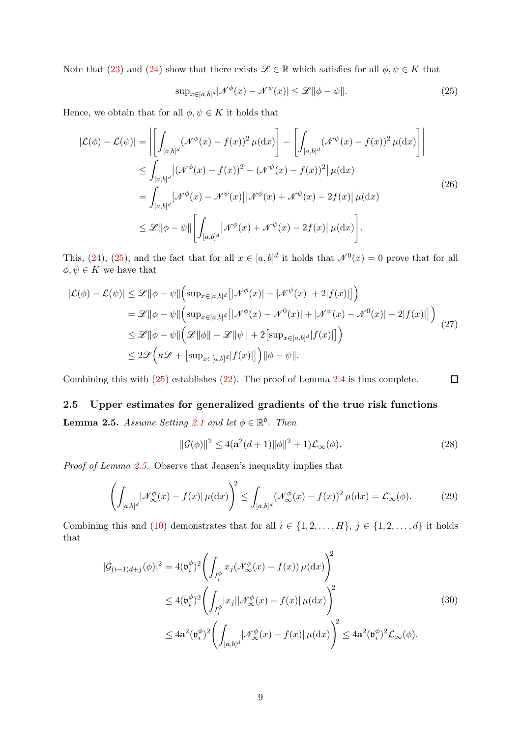Note that [\(23\)](#page-7-4) and [\(24\)](#page-7-5) show that there exists  $\mathscr{L} \in \mathbb{R}$  which satisfies for all  $\phi, \psi \in K$  that

<span id="page-8-2"></span>
$$
\sup_{x \in [a,b]^d} |\mathcal{N}^{\phi}(x) - \mathcal{N}^{\psi}(x)| \le \mathcal{L} \|\phi - \psi\|.
$$
 (25)

Hence, we obtain that for all  $\phi, \psi \in K$  it holds that

$$
|\mathcal{L}(\phi) - \mathcal{L}(\psi)| = \left| \left[ \int_{[a,b]^d} (\mathcal{N}^{\phi}(x) - f(x))^2 \mu(dx) \right] - \left[ \int_{[a,b]^d} (\mathcal{N}^{\psi}(x) - f(x))^2 \mu(dx) \right] \right|
$$
  
\n
$$
\leq \int_{[a,b]^d} |(\mathcal{N}^{\phi}(x) - f(x))^2 - (\mathcal{N}^{\psi}(x) - f(x))^2 \mu(dx)
$$
  
\n
$$
= \int_{[a,b]^d} |\mathcal{N}^{\phi}(x) - \mathcal{N}^{\psi}(x)| |\mathcal{N}^{\phi}(x) + \mathcal{N}^{\psi}(x) - 2f(x)| \mu(dx)
$$
  
\n
$$
\leq \mathcal{L} ||\phi - \psi|| \left[ \int_{[a,b]^d} |\mathcal{N}^{\phi}(x) + \mathcal{N}^{\psi}(x) - 2f(x)| \mu(dx) \right].
$$
\n(26)

This, [\(24\)](#page-7-5), [\(25\)](#page-8-2), and the fact that for all  $x \in [a, b]^d$  it holds that  $\mathcal{N}^0(x) = 0$  prove that for all  $\phi, \psi \in K$  we have that

$$
|\mathcal{L}(\phi) - \mathcal{L}(\psi)| \leq \mathcal{L} \|\phi - \psi\| \Big( \sup_{x \in [a,b]^d} \big[ |\mathcal{N}^{\phi}(x)| + |\mathcal{N}^{\psi}(x)| + 2|f(x)| \big] \Big) \n= \mathcal{L} \|\phi - \psi\| \Big( \sup_{x \in [a,b]^d} \big[ |\mathcal{N}^{\phi}(x) - \mathcal{N}^0(x)| + |\mathcal{N}^{\psi}(x) - \mathcal{N}^0(x)| + 2|f(x)| \big] \Big) \n\leq \mathcal{L} \|\phi - \psi\| \Big( \mathcal{L} \|\phi\| + \mathcal{L} \|\psi\| + 2 \big[ \sup_{x \in [a,b]^d} |f(x)| \big] \Big) \n\leq 2\mathcal{L} \Big( \kappa \mathcal{L} + \big[ \sup_{x \in [a,b]^d} |f(x)| \big] \Big) \|\phi - \psi\|.
$$
\n(27)

Combining this with [\(25\)](#page-8-2) establishes [\(22\)](#page-7-6). The proof of Lemma [2.4](#page-7-1) is thus complete.

# <span id="page-8-1"></span><span id="page-8-0"></span>2.5 Upper estimates for generalized gradients of the true risk functions

**Lemma 2.5.** *Assume Setting* [2.1](#page-4-1) *and let*  $\phi \in \mathbb{R}^{\infty}$ . *Then* 

$$
\|\mathcal{G}(\phi)\|^2 \le 4(\mathbf{a}^2(d+1)\|\phi\|^2 + 1)\mathcal{L}_{\infty}(\phi). \tag{28}
$$

 $\Box$ 

*Proof of Lemma [2.5.](#page-8-1)* Observe that Jensen's inequality implies that

<span id="page-8-3"></span>
$$
\left(\int_{[a,b]^d} |\mathcal{N}^{\phi}_{\infty}(x) - f(x)| \,\mu(\mathrm{d}x)\right)^2 \le \int_{[a,b]^d} (\mathcal{N}^{\phi}_{\infty}(x) - f(x))^2 \,\mu(\mathrm{d}x) = \mathcal{L}_{\infty}(\phi). \tag{29}
$$

Combining this and [\(10\)](#page-5-9) demonstrates that for all  $i \in \{1, 2, ..., H\}, j \in \{1, 2, ..., d\}$  it holds that

<span id="page-8-4"></span>
$$
|\mathcal{G}_{(i-1)d+j}(\phi)|^2 = 4(\mathfrak{v}_i^{\phi})^2 \left( \int_{I_i^{\phi}} x_j (\mathcal{N}_{\infty}^{\phi}(x) - f(x)) \mu(\mathrm{d}x) \right)^2
$$
  
\n
$$
\leq 4(\mathfrak{v}_i^{\phi})^2 \left( \int_{I_i^{\phi}} |x_j| |\mathcal{N}_{\infty}^{\phi}(x) - f(x)| \mu(\mathrm{d}x) \right)^2
$$
  
\n
$$
\leq 4\mathbf{a}^2(\mathfrak{v}_i^{\phi})^2 \left( \int_{[a,b]^d} |\mathcal{N}_{\infty}^{\phi}(x) - f(x)| \mu(\mathrm{d}x) \right)^2 \leq 4\mathbf{a}^2(\mathfrak{v}_i^{\phi})^2 \mathcal{L}_{\infty}(\phi).
$$
\n(30)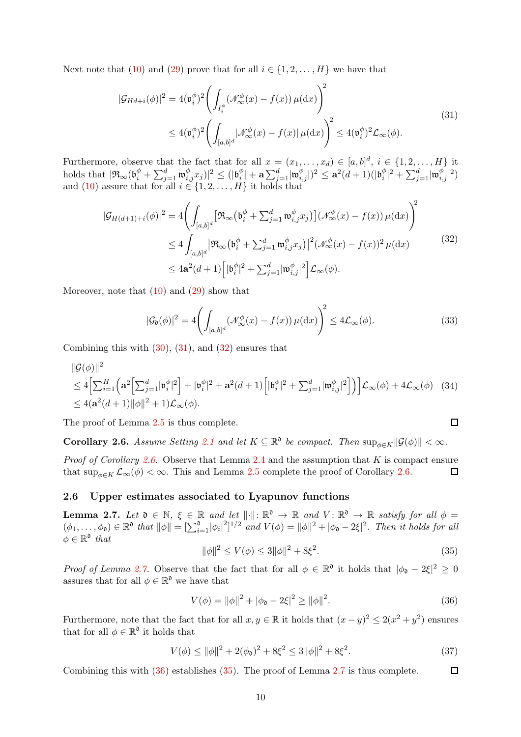<span id="page-9-4"></span>Next note that [\(10\)](#page-5-9) and [\(29\)](#page-8-3) prove that for all  $i \in \{1, 2, ..., H\}$  we have that

$$
|\mathcal{G}_{Hd+i}(\phi)|^2 = 4(\mathfrak{v}_i^{\phi})^2 \left( \int_{I_i^{\phi}} (\mathcal{N}_{\infty}^{\phi}(x) - f(x)) \,\mu(\mathrm{d}x) \right)^2
$$
  
 
$$
\leq 4(\mathfrak{v}_i^{\phi})^2 \left( \int_{[a,b]^d} |\mathcal{N}_{\infty}^{\phi}(x) - f(x)| \,\mu(\mathrm{d}x) \right)^2 \leq 4(\mathfrak{v}_i^{\phi})^2 \mathcal{L}_{\infty}(\phi).
$$
 (31)

Furthermore, observe that the fact that for all  $x = (x_1, \ldots, x_d) \in [a, b]^d$ ,  $i \in \{1, 2, \ldots, H\}$  it holds that  $|\Re_\infty(\mathfrak{b}_i^\phi + \sum_{j=1}^d \mathfrak{w}_{i,j}^\phi x_j)|^2 \leq (|\mathfrak{b}_i^\phi)$  $\| \hat{v}_i^{\phi} | + \mathbf{a} \sum_{j=1}^d \lvert \mathfrak{w}_{i,j}^{\phi} | \rvert)^2 \leq \mathbf{a}^2(d+1) (\lvert \mathfrak{b}_i^{\phi} \rvert)$  $|u_i^\phi|^2+\sum_{j=1}^d |{\mathfrak w}_{i,j}^\phi|^2)$ and [\(10\)](#page-5-9) assure that for all  $i \in \{1, 2, \ldots, H\}$  it holds that

<span id="page-9-5"></span>
$$
|\mathcal{G}_{H(d+1)+i}(\phi)|^2 = 4\left(\int_{[a,b]^d} \left[\Re_{\infty}\left(\mathfrak{b}_i^{\phi} + \sum_{j=1}^d \mathfrak{w}_{i,j}^{\phi} x_j\right)\right] \left(\mathcal{N}_{\infty}^{\phi}(x) - f(x)\right) \mu(\mathrm{d}x)\right)^2
$$
  
\$\leq 4 \int\_{[a,b]^d} \left|\Re\_{\infty}\left(\mathfrak{b}\_i^{\phi} + \sum\_{j=1}^d \mathfrak{w}\_{i,j}^{\phi} x\_j\right)\right|^2 \left(\mathcal{N}\_{\infty}^{\phi}(x) - f(x)\right)^2 \mu(\mathrm{d}x)\$  
\$\leq 4\mathbf{a}^2(d+1) \left[|\mathfrak{b}\_i^{\phi}|^2 + \sum\_{j=1}^d |\mathfrak{w}\_{i,j}^{\phi}|^2\right] \mathcal{L}\_{\infty}(\phi). \tag{32}

Moreover, note that  $(10)$  and  $(29)$  show that

$$
|\mathcal{G}_{\mathfrak{d}}(\phi)|^2 = 4 \left( \int_{[a,b]^d} (\mathcal{N}_{\infty}^{\phi}(x) - f(x)) \,\mu(\mathrm{d}x) \right)^2 \le 4\mathcal{L}_{\infty}(\phi). \tag{33}
$$

Combining this with  $(30)$ ,  $(31)$ , and  $(32)$  ensures that

$$
\|\mathcal{G}(\phi)\|^2
$$
  
\n
$$
\leq 4\Big[\sum_{i=1}^H \Big(\mathbf{a}^2 \Big[\sum_{j=1}^d |\mathfrak{v}_i^{\phi}|^2\Big] + |\mathfrak{v}_i^{\phi}|^2 + \mathbf{a}^2(d+1) \Big[|\mathfrak{b}_i^{\phi}|^2 + \sum_{j=1}^d |\mathfrak{w}_{i,j}^{\phi}|^2\Big]\Big)\Big] \mathcal{L}_{\infty}(\phi) + 4\mathcal{L}_{\infty}(\phi) \quad (34)
$$
  
\n
$$
\leq 4(\mathbf{a}^2(d+1) \|\phi\|^2 + 1) \mathcal{L}_{\infty}(\phi).
$$

<span id="page-9-1"></span>The proof of Lemma [2.5](#page-8-1) is thus complete.

**Corollary 2.6.** Assume Setting [2.1](#page-4-1) and let  $K \subseteq \mathbb{R}^{\mathfrak{d}}$  be compact. Then  $\sup_{\phi \in K} ||\mathcal{G}(\phi)|| < \infty$ .

*Proof of Corollary [2.6.](#page-9-1)* Observe that Lemma [2.4](#page-7-1) and the assumption that K is compact ensure that  $\sup_{\phi \in K} \mathcal{L}_{\infty}(\phi) < \infty$ . This and Lemma [2.5](#page-8-1) complete the proof of Corollary [2.6.](#page-9-1)  $\Box$ 

#### <span id="page-9-2"></span><span id="page-9-0"></span>2.6 Upper estimates associated to Lyapunov functions

**Lemma 2.7.** Let  $\mathfrak{d} \in \mathbb{N}$ ,  $\xi \in \mathbb{R}$  and let  $\|\cdot\|: \mathbb{R}^{\mathfrak{d}} \to \mathbb{R}$  and  $V: \mathbb{R}^{\mathfrak{d}} \to \mathbb{R}$  satisfy for all  $\phi =$  $(\phi_1, \ldots, \phi_{\mathfrak{d}}) \in \mathbb{R}^{\mathfrak{d}}$  that  $\|\phi\| = \left[\sum_{i=1}^{\mathfrak{d}} |\phi_i|^2\right]^{1/2}$  and  $V(\phi) = \|\phi\|^2 + |\phi_{\mathfrak{d}} - 2\xi|^2$ . Then it holds for all  $\phi \in \mathbb{R}^{\mathfrak{d}}$  that

<span id="page-9-7"></span>
$$
\|\phi\|^2 \le V(\phi) \le 3\|\phi\|^2 + 8\xi^2. \tag{35}
$$

 $\Box$ 

*Proof of Lemma [2.7.](#page-9-2)* Observe that the fact that for all  $\phi \in \mathbb{R}^{\mathfrak{d}}$  it holds that  $|\phi_{\mathfrak{d}} - 2\xi|^2 \geq 0$ assures that for all  $\phi \in \mathbb{R}^{\mathfrak{d}}$  we have that

<span id="page-9-6"></span>
$$
V(\phi) = \|\phi\|^2 + |\phi_0 - 2\xi|^2 \ge \|\phi\|^2. \tag{36}
$$

Furthermore, note that the fact that for all  $x, y \in \mathbb{R}$  it holds that  $(x - y)^2 \leq 2(x^2 + y^2)$  ensures that for all  $\phi \in \mathbb{R}^{\mathfrak{d}}$  it holds that

$$
V(\phi) \le ||\phi||^2 + 2(\phi_0)^2 + 8\xi^2 \le 3||\phi||^2 + 8\xi^2. \tag{37}
$$

<span id="page-9-3"></span>Combining this with [\(36\)](#page-9-6) establishes [\(35\)](#page-9-7). The proof of Lemma [2.7](#page-9-2) is thus complete.  $\Box$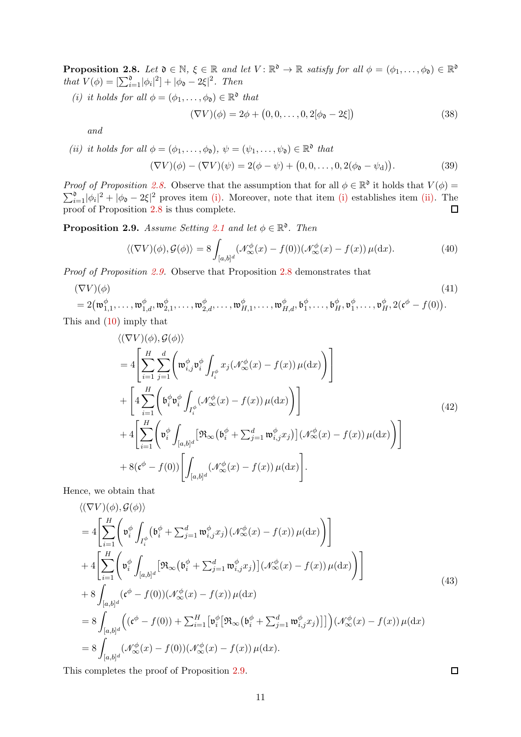<span id="page-10-2"></span>**Proposition 2.8.** Let  $\mathfrak{d} \in \mathbb{N}$ ,  $\xi \in \mathbb{R}$  and let  $V : \mathbb{R}^{\mathfrak{d}} \to \mathbb{R}$  satisfy for all  $\phi = (\phi_1, \ldots, \phi_{\mathfrak{d}}) \in \mathbb{R}^{\mathfrak{d}}$ *that*  $V(\phi) = \left[\sum_{i=1}^{d} |\phi_i|^2\right] + |\phi_0 - 2\xi|^2$ *. Then* 

*(i) it holds for all*  $\phi = (\phi_1, \dots, \phi_{\mathfrak{d}}) \in \mathbb{R}^{\mathfrak{d}}$  that

$$
(\nabla V)(\phi) = 2\phi + (0, 0, \dots, 0, 2[\phi_{\mathfrak{d}} - 2\xi])
$$
\n(38)

*and*

<span id="page-10-3"></span>(*ii*) *it holds for all*  $\phi = (\phi_1, \ldots, \phi_{\mathfrak{d}}), \psi = (\psi_1, \ldots, \psi_{\mathfrak{d}}) \in \mathbb{R}^{\mathfrak{d}}$  *that*  $(\nabla V)(\phi) - (\nabla V)(\psi) = 2(\phi - \psi) + (0, 0, \dots, 0, 2(\phi_{\mathfrak{d}} - \psi_{\mathfrak{d}}))$ . (39)

*Proof of Proposition* [2.8.](#page-9-3) Observe that the assumption that for all  $\phi \in \mathbb{R}^{\mathfrak{d}}$  it holds that  $V(\phi)$  =  $\sum_{i=1}^{\infty}|\phi_i|^2+|\phi_{\mathfrak{d}}-2\xi|^2$  proves item [\(i\).](#page-10-2) Moreover, note that item [\(i\)](#page-10-2) establishes item [\(ii\).](#page-10-3) The proof of Proposition [2.8](#page-9-3) is thus complete.

<span id="page-10-0"></span>**Proposition 2.9.** *Assume Setting* [2.1](#page-4-1) *and let*  $\phi \in \mathbb{R}^{\infty}$ . *Then* 

$$
\langle (\nabla V)(\phi), \mathcal{G}(\phi) \rangle = 8 \int_{[a,b]^d} (\mathcal{N}_{\infty}^{\phi}(x) - f(0)) (\mathcal{N}_{\infty}^{\phi}(x) - f(x)) \,\mu(\mathrm{d}x). \tag{40}
$$

*Proof of Proposition [2.9.](#page-10-0)* Observe that Proposition [2.8](#page-9-3) demonstrates that

$$
(\nabla V)(\phi) \tag{41}
$$
  
=  $2(\mathfrak{w}_{1,1}^{\phi}, \dots, \mathfrak{w}_{1,d}^{\phi}, \mathfrak{w}_{2,1}^{\phi}, \dots, \mathfrak{w}_{2,d}^{\phi}, \dots, \mathfrak{w}_{H,1}^{\phi}, \dots, \mathfrak{w}_{H,d}^{\phi}, \mathfrak{b}_{1}^{\phi}, \dots, \mathfrak{b}_{H}^{\phi}, \mathfrak{v}_{1}^{\phi}, \dots, \mathfrak{v}_{H}^{\phi}, 2(\mathfrak{c}^{\phi} - f(0)).$ 

This and [\(10\)](#page-5-9) imply that

$$
\langle (\nabla V)(\phi), \mathcal{G}(\phi) \rangle
$$
  
\n
$$
= 4 \left[ \sum_{i=1}^{H} \sum_{j=1}^{d} \left( \mathfrak{w}_{i,j}^{\phi} \mathfrak{v}_{i}^{\phi} \int_{I_{i}^{\phi}} x_{j} (\mathcal{N}_{\infty}^{\phi}(x) - f(x)) \mu(\mathrm{d}x) \right) \right]
$$
  
\n
$$
+ \left[ 4 \sum_{i=1}^{H} \left( \mathfrak{b}_{i}^{\phi} \mathfrak{v}_{i}^{\phi} \int_{I_{i}^{\phi}} (\mathcal{N}_{\infty}^{\phi}(x) - f(x)) \mu(\mathrm{d}x) \right) \right]
$$
  
\n
$$
+ 4 \left[ \sum_{i=1}^{H} \left( \mathfrak{v}_{i}^{\phi} \int_{[a,b]^{d}} \left[ \mathfrak{R}_{\infty} (\mathfrak{b}_{i}^{\phi} + \sum_{j=1}^{d} \mathfrak{w}_{i,j}^{\phi} x_{j}) \right] (\mathcal{N}_{\infty}^{\phi}(x) - f(x)) \mu(\mathrm{d}x) \right) \right]
$$
  
\n
$$
+ 8(\mathfrak{c}^{\phi} - f(0)) \left[ \int_{[a,b]^{d}} (\mathcal{N}_{\infty}^{\phi}(x) - f(x)) \mu(\mathrm{d}x) \right].
$$
  
\n(42)

Hence, we obtain that

$$
\langle (\nabla V)(\phi), \mathcal{G}(\phi) \rangle
$$
  
\n
$$
= 4 \Bigg[ \sum_{i=1}^{H} \Bigg( \mathfrak{v}_{i}^{\phi} \int_{I_{i}^{\phi}} (\mathfrak{b}_{i}^{\phi} + \sum_{j=1}^{d} \mathfrak{w}_{i,j}^{\phi} x_{j}) (\mathcal{N}_{\infty}^{\phi}(x) - f(x)) \mu(dx) \Bigg) \Bigg]
$$
  
\n
$$
+ 4 \Bigg[ \sum_{i=1}^{H} \Bigg( \mathfrak{v}_{i}^{\phi} \int_{[a,b]^{d}} \Big[ \mathfrak{R}_{\infty} (\mathfrak{b}_{i}^{\phi} + \sum_{j=1}^{d} \mathfrak{w}_{i,j}^{\phi} x_{j}) \Big] (\mathcal{N}_{\infty}^{\phi}(x) - f(x)) \mu(dx) \Bigg) \Bigg]
$$
  
\n
$$
+ 8 \int_{[a,b]^{d}} (\mathfrak{c}^{\phi} - f(0)) (\mathcal{N}_{\infty}^{\phi}(x) - f(x)) \mu(dx)
$$
  
\n
$$
= 8 \int_{[a,b]^{d}} \Big( (\mathfrak{c}^{\phi} - f(0)) + \sum_{i=1}^{H} \Big[ \mathfrak{v}_{i}^{\phi} \Big[ \mathfrak{R}_{\infty} (\mathfrak{b}_{i}^{\phi} + \sum_{j=1}^{d} \mathfrak{w}_{i,j}^{\phi} x_{j}) \Big] \Big] \Big) (\mathcal{N}_{\infty}^{\phi}(x) - f(x)) \mu(dx)
$$
  
\n
$$
= 8 \int_{[a,b]^{d}} (\mathcal{N}_{\infty}^{\phi}(x) - f(0)) (\mathcal{N}_{\infty}^{\phi}(x) - f(x)) \mu(dx).
$$
  
\n(43)

<span id="page-10-1"></span>This completes the proof of Proposition [2.9.](#page-10-0)

 $\Box$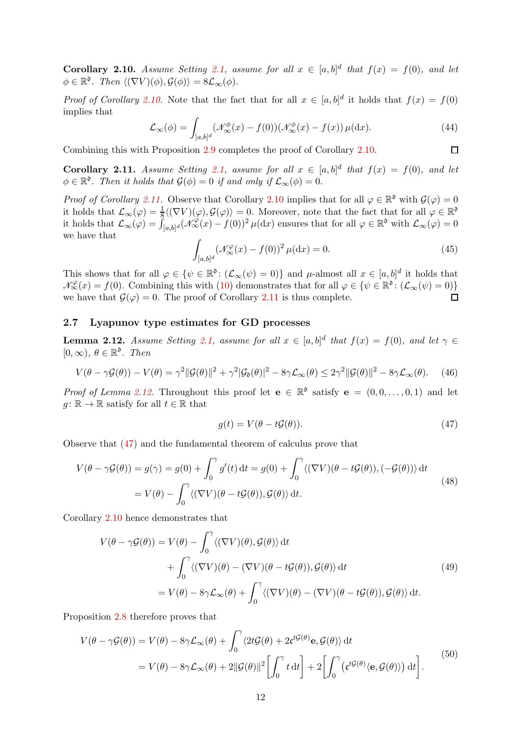**Corollary 2.10.** Assume Setting [2.1,](#page-4-1) assume for all  $x \in [a,b]^d$  that  $f(x) = f(0)$ , and let  $\phi \in \mathbb{R}^{\mathfrak{d}}$ *. Then*  $\langle (\nabla V)(\phi), \mathcal{G}(\phi) \rangle = 8\mathcal{L}_{\infty}(\phi)$ *.* 

*Proof of Corollary [2.10.](#page-10-1)* Note that the fact that for all  $x \in [a, b]^d$  it holds that  $f(x) = f(0)$ implies that

$$
\mathcal{L}_{\infty}(\phi) = \int_{[a,b]^d} (\mathcal{N}_{\infty}^{\phi}(x) - f(0)) (\mathcal{N}_{\infty}^{\phi}(x) - f(x)) \,\mu(\mathrm{d}x). \tag{44}
$$

<span id="page-11-2"></span>Combining this with Proposition [2.9](#page-10-0) completes the proof of Corollary [2.10.](#page-10-1)

**Corollary 2.11.** Assume Setting [2.1,](#page-4-1) assume for all  $x \in [a,b]^d$  that  $f(x) = f(0)$ , and let  $\phi \in \mathbb{R}^{\mathfrak{d}}$ . Then it holds that  $\mathcal{G}(\phi) = 0$  if and only if  $\mathcal{L}_{\infty}(\phi) = 0$ .

*Proof of Corollary [2.11.](#page-11-2)* Observe that Corollary [2.10](#page-10-1) implies that for all  $\varphi \in \mathbb{R}^{\mathfrak{d}}$  with  $\mathcal{G}(\varphi) = 0$ it holds that  $\mathcal{L}_{\infty}(\varphi) = \frac{1}{8} \langle (\nabla V)(\varphi), \mathcal{G}(\varphi) \rangle = 0$ . Moreover, note that the fact that for all  $\varphi \in \mathbb{R}^{\mathfrak{d}}$ it holds that  $\mathcal{L}_{\infty}(\varphi) = \int_{[a,b]^d} (\mathcal{N}_{\infty}^{\varphi}(x) - f(0))^2 \mu(dx)$  ensures that for all  $\varphi \in \mathbb{R}^{\mathfrak{d}}$  with  $\mathcal{L}_{\infty}(\varphi) = 0$ we have that

$$
\int_{[a,b]^d} \left(\mathcal{N}_{\infty}^{\varphi}(x) - f(0)\right)^2 \mu(\mathrm{d}x) = 0. \tag{45}
$$

 $\Box$ 

This shows that for all  $\varphi \in {\{\psi \in \mathbb{R}^{\mathfrak{d}} \colon (\mathcal{L}_{\infty}(\psi) = 0)\}}$  and  $\mu$ -almost all  $x \in [a, b]^d$  it holds that  $\mathcal{N}_{\infty}^{\varphi}(x) = f(0)$ . Combining this with [\(10\)](#page-5-9) demonstrates that for all  $\varphi \in {\varphi \in \mathbb{R}^{\mathfrak{d}}}: (\mathcal{L}_{\infty}(\psi) = 0)$ we have that  $\mathcal{G}(\varphi) = 0$ . The proof of Corollary [2.11](#page-11-2) is thus complete.  $\Box$ 

## <span id="page-11-1"></span><span id="page-11-0"></span>2.7 Lyapunov type estimates for GD processes

**Lemma 2.12.** *Assume Setting* [2.1,](#page-4-1) assume for all  $x \in [a,b]^d$  that  $f(x) = f(0)$ , and let  $\gamma \in$  $[0, \infty)$ *,*  $\theta \in \mathbb{R}^{\mathfrak{d}}$ *. Then* 

$$
V(\theta - \gamma \mathcal{G}(\theta)) - V(\theta) = \gamma^2 \|\mathcal{G}(\theta)\|^2 + \gamma^2 |\mathcal{G}_0(\theta)|^2 - 8\gamma \mathcal{L}_{\infty}(\theta) \le 2\gamma^2 \|\mathcal{G}(\theta)\|^2 - 8\gamma \mathcal{L}_{\infty}(\theta). \tag{46}
$$

*Proof of Lemma [2.12.](#page-11-1)* Throughout this proof let  $e \in \mathbb{R}^{\mathfrak{d}}$  satisfy  $e = (0, 0, \ldots, 0, 1)$  and let  $g: \mathbb{R} \to \mathbb{R}$  satisfy for all  $t \in \mathbb{R}$  that

<span id="page-11-3"></span>
$$
g(t) = V(\theta - t\mathcal{G}(\theta)).\tag{47}
$$

Observe that [\(47\)](#page-11-3) and the fundamental theorem of calculus prove that

$$
V(\theta - \gamma \mathcal{G}(\theta)) = g(\gamma) = g(0) + \int_0^{\gamma} g'(t) dt = g(0) + \int_0^{\gamma} \langle (\nabla V)(\theta - t\mathcal{G}(\theta)), (-\mathcal{G}(\theta)) \rangle dt
$$
  
=  $V(\theta) - \int_0^{\gamma} \langle (\nabla V)(\theta - t\mathcal{G}(\theta)), \mathcal{G}(\theta) \rangle dt.$  (48)

Corollary [2.10](#page-10-1) hence demonstrates that

$$
V(\theta - \gamma \mathcal{G}(\theta)) = V(\theta) - \int_0^{\gamma} \langle (\nabla V)(\theta), \mathcal{G}(\theta) \rangle dt + \int_0^{\gamma} \langle (\nabla V)(\theta) - (\nabla V)(\theta - t \mathcal{G}(\theta)), \mathcal{G}(\theta) \rangle dt = V(\theta) - 8\gamma \mathcal{L}_{\infty}(\theta) + \int_0^{\gamma} \langle (\nabla V)(\theta) - (\nabla V)(\theta - t \mathcal{G}(\theta)), \mathcal{G}(\theta) \rangle dt.
$$
 (49)

Proposition [2.8](#page-9-3) therefore proves that

$$
V(\theta - \gamma \mathcal{G}(\theta)) = V(\theta) - 8\gamma \mathcal{L}_{\infty}(\theta) + \int_0^{\gamma} \langle 2t\mathcal{G}(\theta) + 2\mathfrak{c}^{t\mathcal{G}(\theta)} \mathbf{e}, \mathcal{G}(\theta) \rangle dt
$$
  
=  $V(\theta) - 8\gamma \mathcal{L}_{\infty}(\theta) + 2\|\mathcal{G}(\theta)\|^2 \left[ \int_0^{\gamma} t dt \right] + 2 \left[ \int_0^{\gamma} (\mathfrak{c}^{t\mathcal{G}(\theta)} \langle \mathbf{e}, \mathcal{G}(\theta) \rangle) dt \right].$  (50)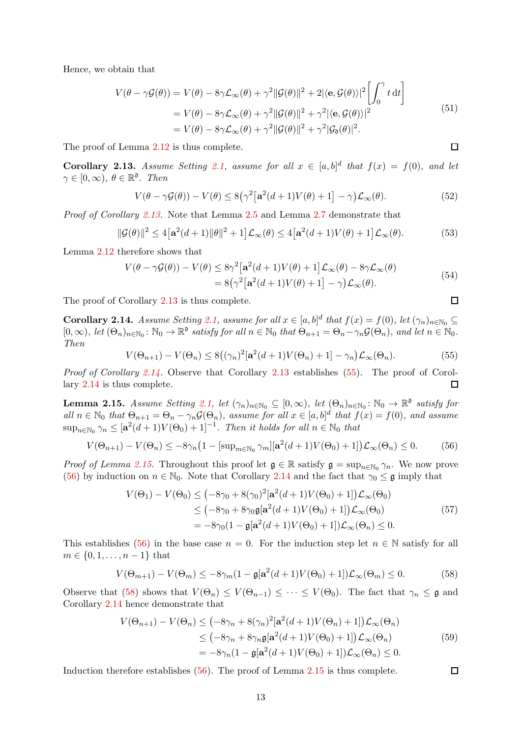Hence, we obtain that

$$
V(\theta - \gamma \mathcal{G}(\theta)) = V(\theta) - 8\gamma \mathcal{L}_{\infty}(\theta) + \gamma^2 ||\mathcal{G}(\theta)||^2 + 2|\langle \mathbf{e}, \mathcal{G}(\theta) \rangle|^2 \left[ \int_0^{\gamma} t dt \right]
$$
  
=  $V(\theta) - 8\gamma \mathcal{L}_{\infty}(\theta) + \gamma^2 ||\mathcal{G}(\theta)||^2 + \gamma^2 |\langle \mathbf{e}, \mathcal{G}(\theta) \rangle|^2$   
=  $V(\theta) - 8\gamma \mathcal{L}_{\infty}(\theta) + \gamma^2 ||\mathcal{G}(\theta)||^2 + \gamma^2 |\mathcal{G}_{\mathfrak{d}}(\theta)|^2.$  (51)

<span id="page-12-0"></span>The proof of Lemma [2.12](#page-11-1) is thus complete.

**Corollary 2.13.** Assume Setting [2.1,](#page-4-1) assume for all  $x \in [a,b]^d$  that  $f(x) = f(0)$ , and let  $\gamma \in [0, \infty)$ ,  $\theta \in \mathbb{R}^{\mathfrak{d}}$ . Then

$$
V(\theta - \gamma \mathcal{G}(\theta)) - V(\theta) \le 8(\gamma^2 [\mathbf{a}^2(d+1)V(\theta) + 1] - \gamma) \mathcal{L}_{\infty}(\theta).
$$
 (52)

*Proof of Corollary [2.13.](#page-12-0)* Note that Lemma [2.5](#page-8-1) and Lemma [2.7](#page-9-2) demonstrate that

$$
\|\mathcal{G}(\theta)\|^2 \le 4\big[\mathbf{a}^2(d+1)\|\theta\|^2 + 1\big]\mathcal{L}_{\infty}(\theta) \le 4\big[\mathbf{a}^2(d+1)V(\theta) + 1\big]\mathcal{L}_{\infty}(\theta). \tag{53}
$$

Lemma [2.12](#page-11-1) therefore shows that

$$
V(\theta - \gamma \mathcal{G}(\theta)) - V(\theta) \le 8\gamma^2 [\mathbf{a}^2(d+1)V(\theta) + 1] \mathcal{L}_{\infty}(\theta) - 8\gamma \mathcal{L}_{\infty}(\theta)
$$
  
= 8(\gamma^2 [\mathbf{a}^2(d+1)V(\theta) + 1] - \gamma) \mathcal{L}\_{\infty}(\theta). (54)

<span id="page-12-1"></span>The proof of Corollary [2.13](#page-12-0) is thus complete.

**Corollary 2.14.** *Assume Setting* [2.1,](#page-4-1) *assume for all*  $x \in [a, b]^d$  *that*  $f(x) = f(0)$ *, let*  $(\gamma_n)_{n \in \mathbb{N}_0} \subseteq$  $[0, \infty)$ *, let*  $(\Theta_n)_{n \in \mathbb{N}_0}$ :  $\mathbb{N}_0 \to \mathbb{R}^{\mathfrak{d}}$  *satisfy for all*  $n \in \mathbb{N}_0$  *that*  $\Theta_{n+1} = \Theta_n - \gamma_n \mathcal{G}(\Theta_n)$ *, and let*  $n \in \mathbb{N}_0$ *. Then*

<span id="page-12-3"></span>
$$
V(\Theta_{n+1}) - V(\Theta_n) \le 8\left((\gamma_n)^2[\mathbf{a}^2(d+1)V(\Theta_n) + 1] - \gamma_n\right)\mathcal{L}_{\infty}(\Theta_n). \tag{55}
$$

*Proof of Corollary* [2.14.](#page-12-1) Observe that Corollary [2.13](#page-12-0) establishes [\(55\)](#page-12-3). The proof of Corollary [2.14](#page-12-1) is thus complete. П

<span id="page-12-2"></span>**Lemma 2.15.** *Assume Setting [2.1,](#page-4-1) let*  $(\gamma_n)_{n \in \mathbb{N}_0} \subseteq [0, \infty)$ , let  $(\Theta_n)_{n \in \mathbb{N}_0} : \mathbb{N}_0 \to \mathbb{R}^{\mathfrak{d}}$  satisfy for  $all\ n \in \mathbb{N}_0$  *that*  $\Theta_{n+1} = \Theta_n - \gamma_n \mathcal{G}(\Theta_n)$ , assume for all  $x \in [a,b]^d$  *that*  $f(x) = f(0)$ , and assume  $\sup_{n\in\mathbb{N}_0} \gamma_n \leq [\mathbf{a}^2(d+1)V(\Theta_0)+1]^{-1}$ . Then it holds for all  $n \in \mathbb{N}_0$  that

<span id="page-12-4"></span>
$$
V(\Theta_{n+1}) - V(\Theta_n) \le -8\gamma_n \left(1 - \left[\sup_{m \in \mathbb{N}_0} \gamma_m\right] \left[\mathbf{a}^2(d+1)V(\Theta_0) + 1\right]\right) \mathcal{L}_{\infty}(\Theta_n) \le 0. \tag{56}
$$

*Proof of Lemma [2.15.](#page-12-2)* Throughout this proof let  $\mathfrak{g} \in \mathbb{R}$  satisfy  $\mathfrak{g} = \sup_{n \in \mathbb{N}_0} \gamma_n$ . We now prove [\(56\)](#page-12-4) by induction on  $n \in \mathbb{N}_0$ . Note that Corollary [2.14](#page-12-1) and the fact that  $\gamma_0 \leq \mathfrak{g}$  imply that

$$
V(\Theta_1) - V(\Theta_0) \le (-8\gamma_0 + 8(\gamma_0)^2[\mathbf{a}^2(d+1)V(\Theta_0) + 1])\mathcal{L}_{\infty}(\Theta_0)
$$
  
\n
$$
\le (-8\gamma_0 + 8\gamma_0 \mathbf{g}[\mathbf{a}^2(d+1)V(\Theta_0) + 1])\mathcal{L}_{\infty}(\Theta_0)
$$
  
\n
$$
= -8\gamma_0(1 - \mathbf{g}[\mathbf{a}^2(d+1)V(\Theta_0) + 1])\mathcal{L}_{\infty}(\Theta_n) \le 0.
$$
\n(57)

This establishes [\(56\)](#page-12-4) in the base case  $n = 0$ . For the induction step let  $n \in \mathbb{N}$  satisfy for all  $m \in \{0, 1, \ldots, n-1\}$  that

<span id="page-12-5"></span>
$$
V(\Theta_{m+1}) - V(\Theta_m) \le -8\gamma_m (1 - \mathfrak{g}[\mathbf{a}^2(d+1)V(\Theta_0) + 1])\mathcal{L}_{\infty}(\Theta_m) \le 0.
$$
 (58)

Observe that [\(58\)](#page-12-5) shows that  $V(\Theta_n) \leq V(\Theta_{n-1}) \leq \cdots \leq V(\Theta_0)$ . The fact that  $\gamma_n \leq \mathfrak{g}$  and Corollary [2.14](#page-12-1) hence demonstrate that

$$
V(\Theta_{n+1}) - V(\Theta_n) \leq (-8\gamma_n + 8(\gamma_n)^2[\mathbf{a}^2(d+1)V(\Theta_n) + 1])\mathcal{L}_{\infty}(\Theta_n)
$$
  
\n
$$
\leq (-8\gamma_n + 8\gamma_n\mathfrak{g}[\mathbf{a}^2(d+1)V(\Theta_0) + 1])\mathcal{L}_{\infty}(\Theta_n)
$$
  
\n
$$
= -8\gamma_n(1 - \mathfrak{g}[\mathbf{a}^2(d+1)V(\Theta_0) + 1])\mathcal{L}_{\infty}(\Theta_n) \leq 0.
$$
\n(59)

Induction therefore establishes [\(56\)](#page-12-4). The proof of Lemma [2.15](#page-12-2) is thus complete.

 $\Box$ 

 $\Box$ 

 $\Box$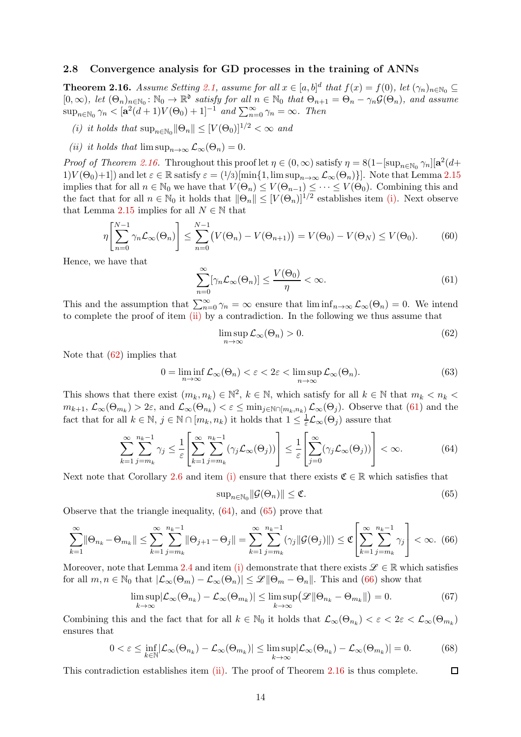#### <span id="page-13-1"></span><span id="page-13-0"></span>2.8 Convergence analysis for GD processes in the training of ANNs

**Theorem 2.16.** Assume Setting [2.1,](#page-4-1) assume for all  $x \in [a, b]^d$  that  $f(x) = f(0)$ , let  $(\gamma_n)_{n \in \mathbb{N}_0} \subseteq$  $[0, \infty)$ *, let*  $(\Theta_n)_{n \in \mathbb{N}_0} : \mathbb{N}_0 \to \mathbb{R}^{\mathfrak{d}}$  *satisfy for all*  $n \in \mathbb{N}_0$  *that*  $\Theta_{n+1} = \Theta_n - \gamma_n \mathcal{G}(\Theta_n)$ *, and assume*  $\sup_{n \in \mathbb{N}_0} \gamma_n < [\mathbf{a}^2(d+1)V(\Theta_0)+1]^{-1} \text{ and } \sum_{n=0}^{\infty} \gamma_n = \infty.$  Then

- <span id="page-13-3"></span><span id="page-13-2"></span>(*i*) it holds that  $\sup_{n \in \mathbb{N}_0} ||\Theta_n|| \leq [V(\Theta_0)]^{1/2} < \infty$  and
- *(ii) it holds that*  $\limsup_{n\to\infty} \mathcal{L}_{\infty}(\Theta_n) = 0.$

*Proof of Theorem [2.16.](#page-13-1)* Throughout this proof let  $\eta \in (0, \infty)$  satisfy  $\eta = 8(1 - [\sup_{n \in \mathbb{N}_0} \gamma_n][\mathbf{a}^2(d +$ 1) $V(\Theta_0)+1$ ]) and let  $\varepsilon \in \mathbb{R}$  satisfy  $\varepsilon = (1/3)[\min\{1,\limsup_{n\to\infty}\mathcal{L}_{\infty}(\Theta_n)\}]$ . Note that Lemma [2.15](#page-12-2) implies that for all  $n \in \mathbb{N}_0$  we have that  $V(\Theta_n) \leq V(\Theta_{n-1}) \leq \cdots \leq V(\Theta_0)$ . Combining this and the fact that for all  $n \in \mathbb{N}_0$  it holds that  $\|\Theta_n\| \leq [V(\Theta_n)]^{1/2}$  establishes item [\(i\).](#page-13-3) Next observe that Lemma [2.15](#page-12-2) implies for all  $N \in \mathbb{N}$  that

$$
\eta \left[ \sum_{n=0}^{N-1} \gamma_n \mathcal{L}_{\infty}(\Theta_n) \right] \le \sum_{n=0}^{N-1} \left( V(\Theta_n) - V(\Theta_{n+1}) \right) = V(\Theta_0) - V(\Theta_N) \le V(\Theta_0). \tag{60}
$$

Hence, we have that

<span id="page-13-5"></span>
$$
\sum_{n=0}^{\infty} [\gamma_n \mathcal{L}_{\infty}(\Theta_n)] \le \frac{V(\Theta_0)}{\eta} < \infty. \tag{61}
$$

This and the assumption that  $\sum_{n=0}^{\infty} \gamma_n = \infty$  ensure that  $\liminf_{n \to \infty} \mathcal{L}_{\infty}(\Theta_n) = 0$ . We intend to complete the proof of item [\(ii\)](#page-13-2) by a contradiction. In the following we thus assume that

<span id="page-13-4"></span>
$$
\limsup_{n \to \infty} \mathcal{L}_{\infty}(\Theta_n) > 0. \tag{62}
$$

Note that [\(62\)](#page-13-4) implies that

$$
0 = \liminf_{n \to \infty} \mathcal{L}_{\infty}(\Theta_n) < \varepsilon < 2\varepsilon < \limsup_{n \to \infty} \mathcal{L}_{\infty}(\Theta_n). \tag{63}
$$

This shows that there exist  $(m_k, n_k) \in \mathbb{N}^2$ ,  $k \in \mathbb{N}$ , which satisfy for all  $k \in \mathbb{N}$  that  $m_k < n_k <$  $m_{k+1}, \mathcal{L}_{\infty}(\Theta_{m_k}) > 2\varepsilon$ , and  $\mathcal{L}_{\infty}(\Theta_{n_k}) < \varepsilon \leq \min_{j \in \mathbb{N}} \cap [m_k, n_k] \mathcal{L}_{\infty}(\Theta_j)$ . Observe that [\(61\)](#page-13-5) and the fact that for all  $k \in \mathbb{N}$ ,  $j \in \mathbb{N} \cap [m_k, n_k)$  it holds that  $1 \leq \frac{1}{\varepsilon} \mathcal{L}_{\infty}(\Theta_j)$  assure that

<span id="page-13-6"></span>
$$
\sum_{k=1}^{\infty} \sum_{j=m_k}^{n_k-1} \gamma_j \leq \frac{1}{\varepsilon} \left[ \sum_{k=1}^{\infty} \sum_{j=m_k}^{n_k-1} (\gamma_j \mathcal{L}_{\infty}(\Theta_j)) \right] \leq \frac{1}{\varepsilon} \left[ \sum_{j=0}^{\infty} (\gamma_j \mathcal{L}_{\infty}(\Theta_j)) \right] < \infty.
$$
 (64)

Next note that Corollary [2.6](#page-9-1) and item [\(i\)](#page-13-3) ensure that there exists  $\mathfrak{C} \in \mathbb{R}$  which satisfies that

<span id="page-13-7"></span>
$$
\sup_{n \in \mathbb{N}_0} \|\mathcal{G}(\Theta_n)\| \le \mathfrak{C}.\tag{65}
$$

Observe that the triangle inequality, [\(64\)](#page-13-6), and [\(65\)](#page-13-7) prove that

<span id="page-13-8"></span>
$$
\sum_{k=1}^{\infty} \|\Theta_{n_k} - \Theta_{m_k}\| \le \sum_{k=1}^{\infty} \sum_{j=m_k}^{n_k - 1} \|\Theta_{j+1} - \Theta_j\| = \sum_{k=1}^{\infty} \sum_{j=m_k}^{n_k - 1} (\gamma_j \|\mathcal{G}(\Theta_j)\|) \le \mathfrak{C} \left[ \sum_{k=1}^{\infty} \sum_{j=m_k}^{n_k - 1} \gamma_j \right] < \infty. \tag{66}
$$

Moreover, note that Lemma [2.4](#page-7-1) and item [\(i\)](#page-13-3) demonstrate that there exists  $\mathscr{L} \in \mathbb{R}$  which satisfies for all  $m, n \in \mathbb{N}_0$  that  $|\mathcal{L}_{\infty}(\Theta_m) - \mathcal{L}_{\infty}(\Theta_n)| \leq \mathcal{L} \|\Theta_m - \Theta_n\|$ . This and [\(66\)](#page-13-8) show that

$$
\limsup_{k \to \infty} |\mathcal{L}_{\infty}(\Theta_{n_k}) - \mathcal{L}_{\infty}(\Theta_{m_k})| \le \limsup_{k \to \infty} (\mathcal{L} \|\Theta_{n_k} - \Theta_{m_k}\|) = 0.
$$
\n(67)

Combining this and the fact that for all  $k \in \mathbb{N}_0$  it holds that  $\mathcal{L}_{\infty}(\Theta_{n_k}) < \varepsilon < 2\varepsilon < \mathcal{L}_{\infty}(\Theta_{m_k})$ ensures that

$$
0 < \varepsilon \le \inf_{k \in \mathbb{N}} |\mathcal{L}_{\infty}(\Theta_{n_k}) - \mathcal{L}_{\infty}(\Theta_{m_k})| \le \limsup_{k \to \infty} |\mathcal{L}_{\infty}(\Theta_{n_k}) - \mathcal{L}_{\infty}(\Theta_{m_k})| = 0.
$$
 (68)

This contradiction establishes item [\(ii\).](#page-13-2) The proof of Theorem [2.16](#page-13-1) is thus complete.  $\Box$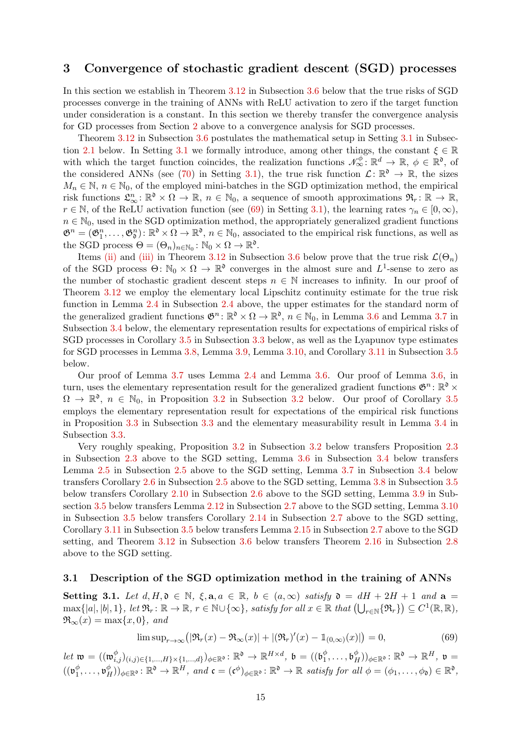# <span id="page-14-0"></span>3 Convergence of stochastic gradient descent (SGD) processes

In this section we establish in Theorem [3.12](#page-21-1) in Subsection [3.6](#page-21-0) below that the true risks of SGD processes converge in the training of ANNs with ReLU activation to zero if the target function under consideration is a constant. In this section we thereby transfer the convergence analysis for GD processes from Section [2](#page-3-0) above to a convergence analysis for SGD processes.

Theorem [3.12](#page-21-1) in Subsection [3.6](#page-21-0) postulates the mathematical setup in Setting [3.1](#page-14-3) in Subsec-tion [2.1](#page-4-0) below. In Setting [3.1](#page-14-3) we formally introduce, among other things, the constant  $\xi \in \mathbb{R}$ with which the target function coincides, the realization functions  $\mathcal{N}_{\infty}^{\phi} \colon \mathbb{R}^{d} \to \mathbb{R}$ ,  $\phi \in \mathbb{R}^{0}$ , of the considered ANNs (see [\(70\)](#page-15-3) in Setting [3.1\)](#page-14-3), the true risk function  $\mathcal{L}: \mathbb{R}^{\mathfrak{d}} \to \mathbb{R}$ , the sizes  $M_n \in \mathbb{N}, n \in \mathbb{N}_0$ , of the employed mini-batches in the SGD optimization method, the empirical risk functions  $\mathfrak{L}_{\infty}^n : \mathbb{R}^{\mathfrak{d}} \times \Omega \to \mathbb{R}$ ,  $n \in \mathbb{N}_0$ , a sequence of smooth approximations  $\mathfrak{R}_r : \mathbb{R} \to \mathbb{R}$ ,  $r \in \mathbb{N}$ , of the ReLU activation function (see [\(69\)](#page-14-2) in Setting [3.1\)](#page-14-3), the learning rates  $\gamma_n \in [0,\infty)$ ,  $n \in \mathbb{N}_0$ , used in the SGD optimization method, the appropriately generalized gradient functions  $\mathfrak{G}^n = (\mathfrak{G}_1^n, \ldots, \mathfrak{G}_0^n) \colon \mathbb{R}^{\mathfrak{d}} \times \Omega \to \mathbb{R}^{\mathfrak{d}}, n \in \mathbb{N}_0$ , associated to the empirical risk functions, as well as the SGD process  $\Theta = (\Theta_n)_{n \in \mathbb{N}_0} : \mathbb{N}_0 \times \Omega \to \mathbb{R}^{\mathfrak{d}}$ .

Items [\(ii\)](#page-21-2) and [\(iii\)](#page-21-3) in Theorem [3.12](#page-21-1) in Subsection [3.6](#page-21-0) below prove that the true risk  $\mathcal{L}(\Theta_n)$ of the SGD process  $\Theta \colon \mathbb{N}_0 \times \Omega \to \mathbb{R}^{\mathfrak{d}}$  converges in the almost sure and  $L^1$ -sense to zero as the number of stochastic gradient descent steps  $n \in \mathbb{N}$  increases to infinity. In our proof of Theorem [3.12](#page-21-1) we employ the elementary local Lipschitz continuity estimate for the true risk function in Lemma [2.4](#page-7-1) in Subsection [2.4](#page-7-0) above, the upper estimates for the standard norm of the generalized gradient functions  $\mathfrak{G}^n : \mathbb{R}^{\mathfrak{d}} \times \Omega \to \mathbb{R}^{\mathfrak{d}}, n \in \mathbb{N}_0$ , in Lemma [3.6](#page-17-1) and Lemma [3.7](#page-18-1) in Subsection [3.4](#page-17-0) below, the elementary representation results for expectations of empirical risks of SGD processes in Corollary [3.5](#page-17-2) in Subsection [3.3](#page-16-0) below, as well as the Lyapunov type estimates for SGD processes in Lemma [3.8,](#page-18-2) Lemma [3.9,](#page-19-0) Lemma [3.10,](#page-20-0) and Corollary [3.11](#page-20-1) in Subsection [3.5](#page-18-0) below.

Our proof of Lemma [3.7](#page-18-1) uses Lemma [2.4](#page-7-1) and Lemma [3.6.](#page-17-1) Our proof of Lemma [3.6,](#page-17-1) in turn, uses the elementary representation result for the generalized gradient functions  $\mathfrak{G}^n$ :  $\mathbb{R}^{\mathfrak{d}} \times$  $\Omega \to \mathbb{R}^{\mathfrak{d}}, n \in \mathbb{N}_{0}$ , in Proposition [3.2](#page-15-0) in Subsection 3.2 below. Our proof of Corollary [3.5](#page-17-2) employs the elementary representation result for expectations of the empirical risk functions in Proposition [3.3](#page-16-1) in Subsection [3.3](#page-16-0) and the elementary measurability result in Lemma [3.4](#page-16-2) in Subsection [3.3.](#page-16-0)

Very roughly speaking, Proposition [3.2](#page-15-2) in Subsection [3.2](#page-15-0) below transfers Proposition [2.3](#page-5-3) in Subsection [2.3](#page-5-1) above to the SGD setting, Lemma [3.6](#page-17-1) in Subsection [3.4](#page-17-0) below transfers Lemma [2.5](#page-8-1) in Subsection [2.5](#page-8-0) above to the SGD setting, Lemma [3.7](#page-18-1) in Subsection [3.4](#page-17-0) below transfers Corollary [2.6](#page-9-1) in Subsection [2.5](#page-8-0) above to the SGD setting, Lemma [3.8](#page-18-2) in Subsection [3.5](#page-18-0) below transfers Corollary [2.10](#page-10-1) in Subsection [2.6](#page-9-0) above to the SGD setting, Lemma [3.9](#page-19-0) in Subsection [3.5](#page-18-0) below transfers Lemma [2.12](#page-11-1) in Subsection [2.7](#page-11-0) above to the SGD setting, Lemma [3.10](#page-20-0) in Subsection [3.5](#page-18-0) below transfers Corollary [2.14](#page-12-1) in Subsection [2.7](#page-11-0) above to the SGD setting, Corollary [3.11](#page-20-1) in Subsection [3.5](#page-18-0) below transfers Lemma [2.15](#page-12-2) in Subsection [2.7](#page-11-0) above to the SGD setting, and Theorem [3.12](#page-21-1) in Subsection [3.6](#page-21-0) below transfers Theorem [2.16](#page-13-1) in Subsection [2.8](#page-13-0) above to the SGD setting.

# <span id="page-14-3"></span><span id="page-14-1"></span>3.1 Description of the SGD optimization method in the training of ANNs

Setting 3.1. Let  $d, H, \mathfrak{d} \in \mathbb{N}$ ,  $\xi, \mathbf{a}, a \in \mathbb{R}$ ,  $b \in (a, \infty)$  *satisfy*  $\mathfrak{d} = dH + 2H + 1$  and  $\mathbf{a} =$  $\max\{|a|, |b|, 1\}$ , let  $\mathfrak{R}_r : \mathbb{R} \to \mathbb{R}$ ,  $r \in \mathbb{N} \cup \{\infty\}$ , satisfy for all  $x \in \mathbb{R}$  that  $\left(\bigcup_{r \in \mathbb{N}} \{\mathfrak{R}_r\}\right) \subseteq C^1(\mathbb{R}, \mathbb{R})$ ,  $\Re_{\infty}(x) = \max\{x, 0\}, \text{ and}$ 

<span id="page-14-2"></span>
$$
\limsup_{r \to \infty} \left( \left| \Re_r(x) - \Re_\infty(x) \right| + \left| (\Re_r)'(x) - \mathbb{1}_{(0,\infty)}(x) \right| \right) = 0,\tag{69}
$$

 $\textit{let } \mathfrak{w} = ((\mathfrak{w}_{i,j}^{\phi})_{(i,j) \in \{1,...,H\} \times \{1,...,d\}})_{\phi \in \mathbb{R}^{\mathfrak{d}}} \colon \mathbb{R}^{\mathfrak{d}} \to \mathbb{R}^{H \times d}, \ \mathfrak{b} = ((\mathfrak{b}_{1}^{\phi})_{(i,j) \in \{1,...,H\} \times \{1,...,d\}})_{\phi \in \mathbb{R}^{\mathfrak{d}}}$  $_1^\phi,\ldots,\mathfrak{b}_B^\phi$  $_{H}^{\phi}))_{\phi \in \mathbb{R}^{\mathfrak{d}}} \colon \mathbb{R}^{\mathfrak{d}} \to \mathbb{R}^{H}, \; \mathfrak{v} =$  $((\mathfrak{v}_1^{\phi}$  $(\phi_1^{\phi}, \ldots, \mathfrak{v}_H^{\phi}))_{\phi \in \mathbb{R}^{\mathfrak{d}}} \colon \mathbb{R}^{\mathfrak{d}} \to \mathbb{R}^H$ , and  $\mathfrak{c} = (\mathfrak{c}^{\phi})_{\phi \in \mathbb{R}^{\mathfrak{d}}} \colon \mathbb{R}^{\mathfrak{d}} \to \mathbb{R}$  satisfy for all  $\phi = (\phi_1, \ldots, \phi_{\mathfrak{d}}) \in \mathbb{R}^{\mathfrak{d}}$ ,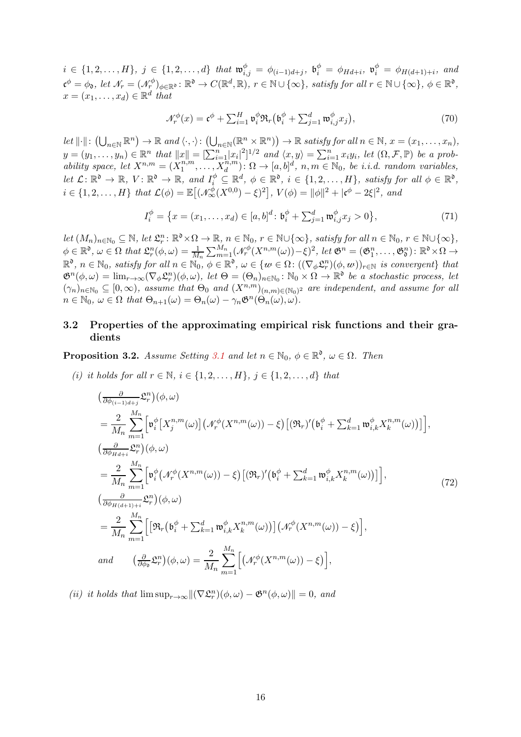$i \in \{1, 2, \ldots, H\}, \ j \in \{1, 2, \ldots, d\} \$ that  $\mathfrak{w}_{i,j}^{\phi} = \phi_{(i-1)d+j}, \ \mathfrak{b}_{i}^{\phi} = \phi_{Hd+i}, \ \mathfrak{v}_{i}^{\phi} = \phi_{H(d+1)+i}, \$  and  $\mathfrak{c}^{\phi} = \phi_{\mathfrak{d}}, \text{ let } \mathcal{N}_r = (\mathcal{N}_r^{\phi})_{\phi \in \mathbb{R}^{\mathfrak{d}}} \colon \mathbb{R}^{\mathfrak{d}} \to C(\mathbb{R}^d, \mathbb{R}), \ r \in \mathbb{N} \cup \{\infty\}, \text{ satisfy for all } r \in \mathbb{N} \cup \{\infty\}, \ \phi \in \mathbb{R}^{\mathfrak{d}},$  $x = (x_1, \ldots, x_d) \in \mathbb{R}^d$  that

<span id="page-15-3"></span>
$$
\mathcal{N}_r^{\phi}(x) = \mathfrak{c}^{\phi} + \sum_{i=1}^H \mathfrak{v}_i^{\phi} \mathfrak{R}_r (\mathfrak{b}_i^{\phi} + \sum_{j=1}^d \mathfrak{w}_{i,j}^{\phi} x_j), \qquad (70)
$$

 $\mathit{let } \|\cdot\|: (\bigcup_{n\in\mathbb{N}} \mathbb{R}^n) \to \mathbb{R} \textit{ and } \langle \cdot, \cdot \rangle: (\bigcup_{n\in\mathbb{N}} (\mathbb{R}^n \times \mathbb{R}^n)) \to \mathbb{R} \textit{ satisfy for all } n \in \mathbb{N}, x = (x_1, \ldots, x_n),$  $y = (y_1, \ldots, y_n) \in \mathbb{R}^n$  that  $||x|| = \left[\sum_{i=1}^n |x_i|^2\right]^{1/2}$  and  $\langle x, y \rangle = \sum_{i=1}^n x_i y_i$ , let  $(\Omega, \mathcal{F}, \mathbb{P})$  be a prob*ability space, let*  $X^{n,m} = (X^{n,m}_1)$  $\overline{X}_1^{n,m}, \ldots, \overline{X}_d^{n,m}$ :  $\Omega \to [a, b]^d$ ,  $n, m \in \mathbb{N}_0$ , be *i.i.d.* random variables,  $let \ L: \mathbb{R}^{\mathfrak{d}} \to \mathbb{R}, \ V: \mathbb{R}^{\mathfrak{d}} \to \mathbb{R}, \ and \ I_i^{\phi} \subseteq \mathbb{R}^d, \ \phi \in \mathbb{R}^{\mathfrak{d}}, \ i \in \{1, 2, \ldots, H\}, \ satisfy \ for \ all \ \phi \in \mathbb{R}^{\mathfrak{d}},$  $i \in \{1, 2, ..., H\}$  that  $\mathcal{L}(\phi) = \mathbb{E}[(\mathcal{N}_{\infty}^{\phi}(X^{0,0}) - \xi)^2], V(\phi) = ||\phi||^2 + |\mathfrak{c}^{\phi} - 2\xi|^2, \text{ and}$ 

$$
I_i^{\phi} = \{ x = (x_1, \dots, x_d) \in [a, b]^d \colon \mathfrak{b}_i^{\phi} + \sum_{j=1}^d \mathfrak{w}_{i,j}^{\phi} x_j > 0 \},\tag{71}
$$

 $let(M_n)_{n \in \mathbb{N}_0} \subseteq \mathbb{N}, let \mathcal{L}_r^n : \mathbb{R}^{\mathfrak{d}} \times \Omega \to \mathbb{R}, n \in \mathbb{N}_0, r \in \mathbb{N} \cup \{\infty\}, satisfy \text{ for all } n \in \mathbb{N}_0, r \in \mathbb{N} \cup \{\infty\},$  $\phi \in \mathbb{R}^{\mathfrak{d}}, \, \omega \in \Omega \, \text{ that } \mathfrak{L}_r^n(\phi, \omega) = \frac{1}{M_n} \sum_{m=1}^{M_n} (\mathcal{N}_r^{\phi}(X^{n,m}(\omega)) - \xi)^2, \text{ let } \mathfrak{G}^n = (\mathfrak{G}_1^n, \ldots, \mathfrak{G}_\mathfrak{d}^n) \colon \mathbb{R}^\mathfrak{d} \times \Omega \to$  $\mathbb{R}^{\mathfrak{d}}, n \in \mathbb{N}_0$ , satisfy for all  $n \in \mathbb{N}_0$ ,  $\phi \in \mathbb{R}^{\mathfrak{d}}, \omega \in \{w \in \Omega : ((\nabla_{\phi} \mathfrak{L}_r^n)(\phi, w))_{r \in \mathbb{N}} \text{ is convergent} \}$  that  $\mathfrak{G}^n(\phi,\omega) = \lim_{r\to\infty} (\nabla_{\phi}\mathfrak{L}_r^n)(\phi,\omega), \text{ let } \Theta = (\Theta_n)_{n\in\mathbb{N}_0} \colon \mathbb{N}_0 \times \Omega \to \mathbb{R}^{\mathfrak{d}} \text{ be a stochastic process, let }$  $(\gamma_n)_{n \in \mathbb{N}_0} \subseteq [0, \infty)$ , assume that  $\Theta_0$  and  $(X^{n,m})_{(n,m) \in (\mathbb{N}_0)^2}$  are independent, and assume for all  $n \in \mathbb{N}_0$ ,  $\omega \in \Omega$  that  $\Theta_{n+1}(\omega) = \Theta_n(\omega) - \gamma_n \mathfrak{G}^n(\Theta_n(\omega), \omega)$ .

## <span id="page-15-0"></span>3.2 Properties of the approximating empirical risk functions and their gradients

<span id="page-15-4"></span><span id="page-15-2"></span>**Proposition 3.2.** *Assume Setting* [3.1](#page-14-3) *and let*  $n \in \mathbb{N}_0$ ,  $\phi \in \mathbb{R}^{\mathfrak{d}}$ ,  $\omega \in \Omega$ . *Then* 

*(i) it holds for all*  $r \in \mathbb{N}$ ,  $i \in \{1, 2, ..., H\}$ ,  $j \in \{1, 2, ..., d\}$  *that* 

<span id="page-15-6"></span>
$$
\begin{split}\n&\left(\frac{\partial}{\partial\phi_{(i-1)d+j}}\mathfrak{L}_{r}^{n}\right)(\phi,\omega) \\
&=\frac{2}{M_{n}}\sum_{m=1}^{M_{n}}\left[\mathfrak{v}_{i}^{\phi}\left[X_{j}^{n,m}(\omega)\right]\left(\mathcal{N}_{r}^{\phi}(X^{n,m}(\omega))-\xi\right)\left[(\mathfrak{R}_{r})'\left(\mathfrak{b}_{i}^{\phi}+\sum_{k=1}^{d}\mathfrak{w}_{i,k}^{\phi}X_{k}^{n,m}(\omega)\right)\right]\right], \\
&\left(\frac{\partial}{\partial\phi_{Hd+i}}\mathfrak{L}_{r}^{n}\right)(\phi,\omega) \\
&=\frac{2}{M_{n}}\sum_{m=1}^{M_{n}}\left[\mathfrak{v}_{i}^{\phi}\left(\mathcal{N}_{r}^{\phi}(X^{n,m}(\omega))-\xi\right)\left[(\mathfrak{R}_{r})'\left(\mathfrak{b}_{i}^{\phi}+\sum_{k=1}^{d}\mathfrak{w}_{i,k}^{\phi}X_{k}^{n,m}(\omega)\right)\right]\right], \\
&\left(\frac{\partial}{\partial\phi_{H(d+1)+i}}\mathfrak{L}_{r}^{n}\right)(\phi,\omega) \\
&=\frac{2}{M_{n}}\sum_{m=1}^{M_{n}}\left[\left[\mathfrak{R}_{r}\left(\mathfrak{b}_{i}^{\phi}+\sum_{k=1}^{d}\mathfrak{w}_{i,k}^{\phi}X_{k}^{n,m}(\omega)\right)\right]\left(\mathcal{N}_{r}^{\phi}(X^{n,m}(\omega))-\xi\right)\right], \\
&\text{and} \qquad \left(\frac{\partial}{\partial\phi_{b}}\mathfrak{L}_{r}^{n}\right)(\phi,\omega) \\
&=\frac{2}{M_{n}}\sum_{m=1}^{M_{n}}\left[\left(\mathcal{N}_{r}^{\phi}(X^{n,m}(\omega))-\xi\right)\right],\n\end{split}
$$

<span id="page-15-5"></span><span id="page-15-1"></span>(*ii*) *it holds that*  $\limsup_{r\to\infty} \|(\nabla \mathcal{L}_r^n)(\phi, \omega) - \mathfrak{G}^n(\phi, \omega)\| = 0$ , and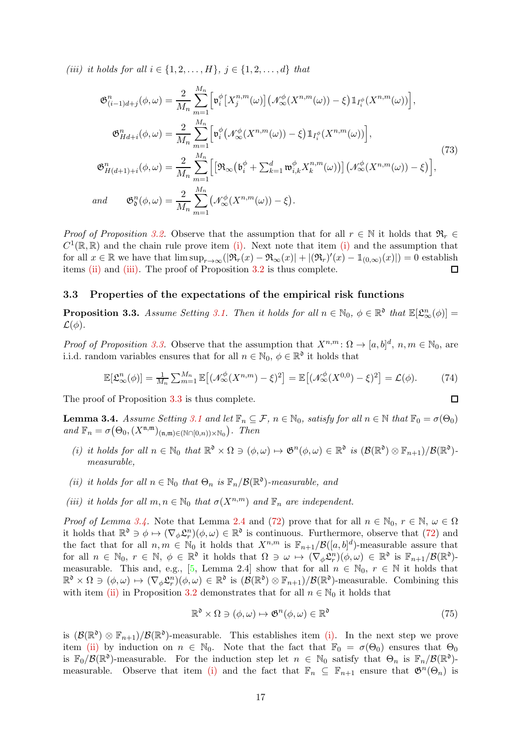*(iii)* it holds for all  $i \in \{1, 2, ..., H\}$ ,  $j \in \{1, 2, ..., d\}$  that

<span id="page-16-6"></span>
$$
\mathfrak{G}_{(i-1)d+j}^{n}(\phi,\omega) = \frac{2}{M_n} \sum_{m=1}^{M_n} \left[ \mathfrak{v}_i^{\phi} \left[ X_j^{n,m}(\omega) \right] \left( \mathcal{N}_{\infty}^{\phi} (X^{n,m}(\omega)) - \xi \right) \mathbb{1}_{I_i^{\phi}} (X^{n,m}(\omega)) \right],
$$
  
\n
$$
\mathfrak{G}_{Hd+i}^{n}(\phi,\omega) = \frac{2}{M_n} \sum_{m=1}^{M_n} \left[ \mathfrak{v}_i^{\phi} \left( \mathcal{N}_{\infty}^{\phi} (X^{n,m}(\omega)) - \xi \right) \mathbb{1}_{I_i^{\phi}} (X^{n,m}(\omega)) \right],
$$
  
\n
$$
\mathfrak{G}_{H(d+1)+i}^{n}(\phi,\omega) = \frac{2}{M_n} \sum_{m=1}^{M_n} \left[ \left[ \Re_{\infty} \left( \mathfrak{b}_i^{\phi} + \sum_{k=1}^{d} \mathfrak{w}_{i,k}^{\phi} X_k^{n,m}(\omega) \right) \right] \left( \mathcal{N}_{\infty}^{\phi} (X^{n,m}(\omega)) - \xi \right) \right],
$$
\n(73)  
\nand  
\n
$$
\mathfrak{G}_{0}^{n}(\phi,\omega) = \frac{2}{M_n} \sum_{m=1}^{M_n} \left( \mathcal{N}_{\infty}^{\phi} (X^{n,m}(\omega)) - \xi \right).
$$

*Proof of Proposition* [3.2.](#page-15-2) Observe that the assumption that for all  $r \in \mathbb{N}$  it holds that  $\mathfrak{R}_r \in$  $C^1(\mathbb{R}, \mathbb{R})$  and the chain rule prove item [\(i\).](#page-15-4) Next note that item [\(i\)](#page-15-4) and the assumption that for all  $x \in \mathbb{R}$  we have that  $\limsup_{r \to \infty} (|\Re_r(x) - \Re_\infty(x)| + |(\Re_r)'(x) - \Im_{(0,\infty)}(x)|) = 0$  establish items [\(ii\)](#page-15-1) and [\(iii\).](#page-15-5) The proof of Proposition [3.2](#page-15-2) is thus complete.  $\Box$ 

#### <span id="page-16-1"></span><span id="page-16-0"></span>3.3 Properties of the expectations of the empirical risk functions

**Proposition 3.3.** Assume Setting [3.1.](#page-14-3) Then it holds for all  $n \in \mathbb{N}_0$ ,  $\phi \in \mathbb{R}^{\mathfrak{d}}$  that  $\mathbb{E}[\mathfrak{L}_{\infty}^n(\phi)] =$  $\mathcal{L}(\phi)$ .

*Proof of Proposition* [3.3.](#page-16-1) Observe that the assumption that  $X^{n,m}$ :  $\Omega \to [a,b]^d$ ,  $n,m \in \mathbb{N}_0$ , are i.i.d. random variables ensures that for all  $n \in \mathbb{N}_0$ ,  $\phi \in \mathbb{R}^{\mathfrak{d}}$  it holds that

$$
\mathbb{E}[\mathfrak{L}_{\infty}^{n}(\phi)] = \frac{1}{M_n} \sum_{m=1}^{M_n} \mathbb{E}[(\mathcal{N}_{\infty}^{\phi}(X^{n,m}) - \xi)^2] = \mathbb{E}[(\mathcal{N}_{\infty}^{\phi}(X^{0,0}) - \xi)^2] = \mathcal{L}(\phi).
$$
 (74)

<span id="page-16-2"></span>The proof of Proposition [3.3](#page-16-1) is thus complete.

**Lemma 3.4.** *Assume Setting* [3.1](#page-14-3) *and let*  $\mathbb{F}_n \subseteq \mathcal{F}$ ,  $n \in \mathbb{N}_0$ , *satisfy for all*  $n \in \mathbb{N}$  *that*  $\mathbb{F}_0 = \sigma(\Theta_0)$  $and \mathbb{F}_n = \sigma(\Theta_0, (X^{\mathfrak{n},\mathfrak{m}})_{(\mathfrak{n},\mathfrak{m})\in(\mathbb{N}\cap[0,n))\times\mathbb{N}_0}).$  Then

- <span id="page-16-3"></span>(*i*) it holds for all  $n \in \mathbb{N}_0$  that  $\mathbb{R}^{\mathfrak{d}} \times \Omega \ni (\phi, \omega) \mapsto \mathfrak{G}^n(\phi, \omega) \in \mathbb{R}^{\mathfrak{d}}$  is  $(\mathcal{B}(\mathbb{R}^{\mathfrak{d}}) \otimes \mathbb{F}_{n+1})/\mathcal{B}(\mathbb{R}^{\mathfrak{d}})$ *measurable,*
- <span id="page-16-5"></span><span id="page-16-4"></span>*(ii) it holds for all*  $n \in \mathbb{N}_0$  *that*  $\Theta_n$  *is*  $\mathbb{F}_n/\mathcal{B}(\mathbb{R}^0)$ *-measurable, and*
- *(iii) it holds for all*  $m, n \in \mathbb{N}_0$  *that*  $\sigma(X^{n,m})$  *and*  $\mathbb{F}_n$  *are independent.*

*Proof of Lemma [3.4.](#page-16-2)* Note that Lemma [2.4](#page-7-1) and [\(72\)](#page-15-6) prove that for all  $n \in \mathbb{N}_0$ ,  $r \in \mathbb{N}$ ,  $\omega \in \Omega$ it holds that  $\mathbb{R}^{\mathfrak{d}} \ni \phi \mapsto (\nabla_{\phi} \mathfrak{L}_r^n)(\phi, \omega) \in \mathbb{R}^{\mathfrak{d}}$  is continuous. Furthermore, observe that [\(72\)](#page-15-6) and the fact that for all  $n, m \in \mathbb{N}_0$  it holds that  $X^{n,m}$  is  $\mathbb{F}_{n+1}/\mathcal{B}([a, b]^d)$ -measurable assure that for all  $n \in \mathbb{N}_0$ ,  $r \in \mathbb{N}$ ,  $\phi \in \mathbb{R}^{\mathfrak{d}}$  it holds that  $\Omega \ni \omega \mapsto (\nabla_{\phi} \mathfrak{L}_r^n)(\phi, \omega) \in \mathbb{R}^{\mathfrak{d}}$  is  $\mathbb{F}_{n+1}/\mathcal{B}(\mathbb{R}^{\mathfrak{d}})$ -measurable. This and, e.g., [\[5,](#page-25-13) Lemma 2.4] show that for all  $n \in \mathbb{N}_0$ ,  $r \in \mathbb{N}$  it holds that  $\mathbb{R}^{\mathfrak{d}} \times \Omega \ni (\phi, \omega) \mapsto (\nabla_{\phi} \mathfrak{L}_r^n)(\phi, \omega) \in \mathbb{R}^{\mathfrak{d}}$  is  $(\mathcal{B}(\mathbb{R}^{\mathfrak{d}}) \otimes \mathbb{F}_{n+1})/\mathcal{B}(\mathbb{R}^{\mathfrak{d}})$ -measurable. Combining this with item [\(ii\)](#page-15-1) in Proposition [3.2](#page-15-2) demonstrates that for all  $n \in \mathbb{N}_0$  it holds that

$$
\mathbb{R}^{\mathfrak{d}} \times \Omega \ni (\phi, \omega) \mapsto \mathfrak{G}^{n}(\phi, \omega) \in \mathbb{R}^{\mathfrak{d}} \tag{75}
$$

 $\Box$ 

is  $(\mathcal{B}(\mathbb{R}^{\mathfrak{d}}) \otimes \mathbb{F}_{n+1})/\mathcal{B}(\mathbb{R}^{\mathfrak{d}})$ -measurable. This establishes item [\(i\).](#page-16-3) In the next step we prove item [\(ii\)](#page-16-4) by induction on  $n \in \mathbb{N}_0$ . Note that the fact that  $\mathbb{F}_0 = \sigma(\Theta_0)$  ensures that  $\Theta_0$ is  $\mathbb{F}_0/\mathcal{B}(\mathbb{R}^{\mathfrak{d}})$ -measurable. For the induction step let  $n \in \mathbb{N}_0$  satisfy that  $\Theta_n$  is  $\mathbb{F}_n/\mathcal{B}(\mathbb{R}^{\mathfrak{d}})$ -measurable. Observe that item [\(i\)](#page-16-3) and the fact that  $\mathbb{F}_n \subseteq \mathbb{F}_{n+1}$  ensure that  $\mathfrak{G}^n(\Theta_n)$  is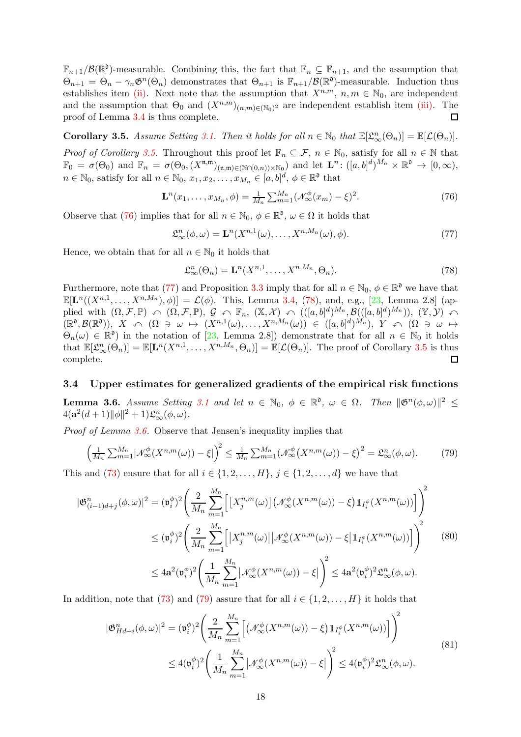$\mathbb{F}_{n+1}/\mathcal{B}(\mathbb{R}^{\mathfrak{d}})$ -measurable. Combining this, the fact that  $\mathbb{F}_n \subseteq \mathbb{F}_{n+1}$ , and the assumption that  $\Theta_{n+1} = \Theta_n - \gamma_n \mathfrak{G}^n(\Theta_n)$  demonstrates that  $\Theta_{n+1}$  is  $\mathbb{F}_{n+1}/\mathcal{B}(\mathbb{R}^{\mathfrak{d}})$ -measurable. Induction thus establishes item [\(ii\).](#page-16-4) Next note that the assumption that  $X^{n,m}$ ,  $n, m \in \mathbb{N}_0$ , are independent and the assumption that  $\Theta_0$  and  $(X^{n,m})_{(n,m)\in(\mathbb{N}_0)^2}$  are independent establish item [\(iii\).](#page-16-5) The proof of Lemma [3.4](#page-16-2) is thus complete. □

<span id="page-17-2"></span>**Corollary 3.5.** Assume Setting [3.1.](#page-14-3) Then it holds for all  $n \in \mathbb{N}_0$  that  $\mathbb{E}[\mathfrak{L}_{\infty}^n(\Theta_n)] = \mathbb{E}[\mathcal{L}(\Theta_n)].$ *Proof of Corollary* [3.5.](#page-17-2) Throughout this proof let  $\mathbb{F}_n \subseteq \mathcal{F}$ ,  $n \in \mathbb{N}_0$ , satisfy for all  $n \in \mathbb{N}$  that  $\mathbb{F}_0 = \sigma(\Theta_0)$  and  $\mathbb{F}_n = \sigma(\Theta_0, (X^{\mathfrak{n},\mathfrak{m}})_{(\mathfrak{n},\mathfrak{m})\in(\mathbb{N}\cap[0,n))\times\mathbb{N}_0})$  and let  $\mathbf{L}^n: ([a,b]^d)^{M_n}\times\mathbb{R}^{\mathfrak{d}} \to [0,\infty),$  $n \in \mathbb{N}_0$ , satisfy for all  $n \in \mathbb{N}_0$ ,  $x_1, x_2, \ldots, x_{M_n} \in [a, b]^d$ ,  $\phi \in \mathbb{R}^{\mathfrak{d}}$  that

<span id="page-17-3"></span>
$$
\mathbf{L}^{n}(x_{1},\ldots,x_{M_{n}},\phi) = \frac{1}{M_{n}}\sum_{m=1}^{M_{n}}(\mathcal{N}_{\infty}^{\phi}(x_{m}) - \xi)^{2}.
$$
 (76)

Observe that [\(76\)](#page-17-3) implies that for all  $n \in \mathbb{N}_0$ ,  $\phi \in \mathbb{R}^{\mathfrak{d}}$ ,  $\omega \in \Omega$  it holds that

<span id="page-17-4"></span>
$$
\mathfrak{L}_{\infty}^{n}(\phi,\omega) = \mathbf{L}^{n}(X^{n,1}(\omega),\ldots,X^{n,M_{n}}(\omega),\phi). \tag{77}
$$

Hence, we obtain that for all  $n \in \mathbb{N}_0$  it holds that

<span id="page-17-5"></span>
$$
\mathfrak{L}_{\infty}^{n}(\Theta_n) = \mathbf{L}^n(X^{n,1}, \dots, X^{n,M_n}, \Theta_n). \tag{78}
$$

Furthermore, note that [\(77\)](#page-17-4) and Proposition [3.3](#page-16-1) imply that for all  $n \in \mathbb{N}_0$ ,  $\phi \in \mathbb{R}^{\mathfrak{d}}$  we have that  $\mathbb{E}[\mathbf{L}^n((X^{n,1},\ldots,X^{n,M_n}),\phi)]=\mathcal{L}(\phi)$ . This, Lemma [3.4,](#page-16-2) [\(78\)](#page-17-5), and, e.g., [\[23,](#page-26-3) Lemma 2.8] (applied with  $(\Omega, \mathcal{F}, \mathbb{P}) \cap (\Omega, \mathcal{F}, \mathbb{P}), \mathcal{G} \cap \mathbb{F}_n, (\mathbb{X}, \mathcal{X}) \cap (([a, b]^d)^{M_n}, \mathcal{B}(([a, b]^d)^{M_n})), (\mathbb{Y}, \mathcal{Y}) \cap$  $(\mathbb{R}^{\mathfrak{d}},\mathcal{B}(\mathbb{R}^{\mathfrak{d}})), X \curvearrowleft (\Omega \ni \omega \mapsto (X^{n,1}(\omega),\ldots,X^{n,M_n}(\omega)) \in ([a,b]^d)^{M_n}), Y \curvearrowleft (\Omega \ni \omega \mapsto (X^{n,1}(\omega),\ldots,X^{n,M_n}(\omega)) \in \Omega$  $\Theta_n(\omega) \in \mathbb{R}^{\mathfrak{d}}$  in the notation of [\[23,](#page-26-3) Lemma 2.8]) demonstrate that for all  $n \in \mathbb{N}_0$  it holds that  $\mathbb{E}[\mathfrak{L}_{\infty}^n(\Theta_n)] = \mathbb{E}[\mathbf{L}^n(X^{n,1},\ldots,X^{n,M_n},\Theta_n)] = \mathbb{E}[\mathcal{L}(\Theta_n)]$ . The proof of Corollary [3.5](#page-17-2) is thus complete.  $\Box$ 

#### <span id="page-17-1"></span><span id="page-17-0"></span>3.4 Upper estimates for generalized gradients of the empirical risk functions

**Lemma 3.6.** *Assume Setting* [3.1](#page-14-3) *and let*  $n \in \mathbb{N}_0$ ,  $\phi \in \mathbb{R}^{\mathfrak{d}}$ ,  $\omega \in \Omega$ . Then  $\|\mathfrak{G}^n(\phi,\omega)\|^2 \leq$  $4({\bf a}^2(d+1)\|\phi\|^2+1)\mathfrak{L}_{\infty}^n(\phi,\omega).$ 

*Proof of Lemma [3.6.](#page-17-1)* Observe that Jensen's inequality implies that

<span id="page-17-6"></span>
$$
\left(\frac{1}{M_n}\sum_{m=1}^{M_n}|\mathcal{N}^{\phi}_{\infty}(X^{n,m}(\omega))-\xi|\right)^2 \leq \frac{1}{M_n}\sum_{m=1}^{M_n}(\mathcal{N}^{\phi}_{\infty}(X^{n,m}(\omega))-\xi)^2 = \mathfrak{L}^n_{\infty}(\phi,\omega). \tag{79}
$$

This and [\(73\)](#page-16-6) ensure that for all  $i \in \{1, 2, \ldots, H\}, j \in \{1, 2, \ldots, d\}$  we have that

<span id="page-17-7"></span>
$$
|\mathfrak{G}_{(i-1)d+j}^{n}(\phi,\omega)|^{2} = (\mathfrak{v}_{i}^{\phi})^{2} \Bigg( \frac{2}{M_{n}} \sum_{m=1}^{M_{n}} \Big[ \big[X_{j}^{n,m}(\omega)\big] \big(\mathcal{N}_{\infty}^{\phi}(X^{n,m}(\omega)) - \xi\big) \mathbbm{1}_{I_{i}^{\phi}}(X^{n,m}(\omega)) \Big] \Bigg)^{2}
$$
  

$$
\leq (\mathfrak{v}_{i}^{\phi})^{2} \Bigg( \frac{2}{M_{n}} \sum_{m=1}^{M_{n}} \Big[ \big|X_{j}^{n,m}(\omega)\big| \big| \mathcal{N}_{\infty}^{\phi}(X^{n,m}(\omega)) - \xi \big| \mathbbm{1}_{I_{i}^{\phi}}(X^{n,m}(\omega)) \Big] \Bigg)^{2}
$$
  

$$
\leq 4\mathbf{a}^{2} (\mathfrak{v}_{i}^{\phi})^{2} \Bigg( \frac{1}{M_{n}} \sum_{m=1}^{M_{n}} \big| \mathcal{N}_{\infty}^{\phi}(X^{n,m}(\omega)) - \xi \big| \Bigg)^{2} \leq 4\mathbf{a}^{2} (\mathfrak{v}_{i}^{\phi})^{2} \mathfrak{L}_{\infty}^{n}(\phi,\omega).
$$
 (80)

In addition, note that [\(73\)](#page-16-6) and [\(79\)](#page-17-6) assure that for all  $i \in \{1, 2, \ldots, H\}$  it holds that

$$
|\mathfrak{G}_{Hd+i}^{n}(\phi,\omega)|^{2} = (\mathfrak{v}_{i}^{\phi})^{2} \left(\frac{2}{M_{n}} \sum_{m=1}^{M_{n}} \left[ \left( \mathcal{N}_{\infty}^{\phi}(X^{n,m}(\omega)) - \xi \right) \mathbb{1}_{I_{i}^{\phi}}(X^{n,m}(\omega)) \right] \right)^{2}
$$
  
 
$$
\leq 4(\mathfrak{v}_{i}^{\phi})^{2} \left(\frac{1}{M_{n}} \sum_{m=1}^{M_{n}} \left| \mathcal{N}_{\infty}^{\phi}(X^{n,m}(\omega)) - \xi \right| \right)^{2} \leq 4(\mathfrak{v}_{i}^{\phi})^{2} \mathfrak{L}_{\infty}^{n}(\phi,\omega).
$$
 (81)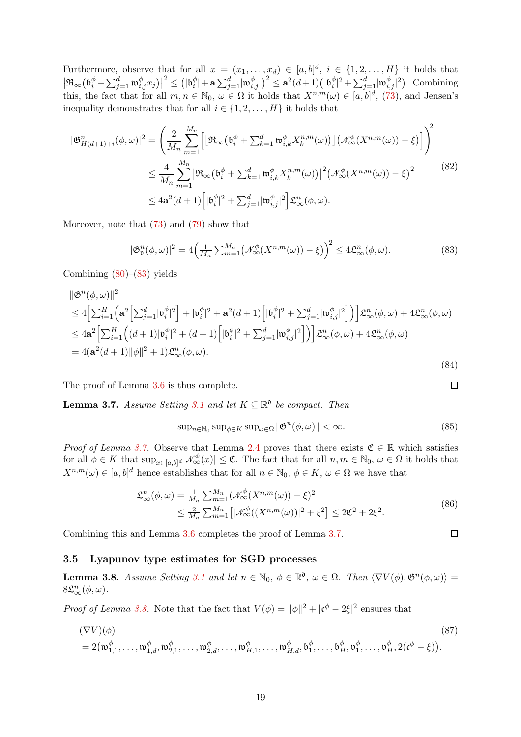Furthermore, observe that for all  $x = (x_1, \ldots, x_d) \in [a, b]^d$ ,  $i \in \{1, 2, \ldots, H\}$  it holds that  $\left|\Re_\infty\big(\mathfrak{b}_i^\phi+\sum_{j=1}^d\mathfrak{w}_{i,j}^\phi x_j\big)\right|^2\leq \left(|\mathfrak{b}_i^\phi\right)$  $\left| \frac{\phi}{i} \right| + \mathbf{a} \sum_{j=1}^d \lvert \mathfrak{w}_{i,j}^\phi \rvert \big)^2 \leq \mathbf{a}^2(d+1) \big( \lvert \mathfrak{b}_i^\phi \big\rvert$  $|a_i^{\phi}|^2 + \sum_{j=1}^d |\mathfrak{w}_{i,j}^{\phi}|^2$ ). Combining this, the fact that for all  $m, n \in \mathbb{N}_0$ ,  $\omega \in \Omega$  it holds that  $X^{n,m}(\omega) \in [a, b]^d$ , [\(73\)](#page-16-6), and Jensen's inequality demonstrates that for all  $i \in \{1, 2, \ldots, H\}$  it holds that

$$
|\mathfrak{G}_{H(d+1)+i}^{n}(\phi,\omega)|^{2} = \left(\frac{2}{M_{n}}\sum_{m=1}^{M_{n}}\left[ \left[\mathfrak{R}_{\infty}\left(\mathfrak{b}_{i}^{\phi} + \sum_{k=1}^{d} \mathfrak{w}_{i,k}^{\phi} X_{k}^{n,m}(\omega)\right)\right] \left(\mathcal{N}_{\infty}^{\phi}(X^{n,m}(\omega)) - \xi\right) \right] \right)^{2}
$$
  

$$
\leq \frac{4}{M_{n}}\sum_{m=1}^{M_{n}} \left| \mathfrak{R}_{\infty}\left(\mathfrak{b}_{i}^{\phi} + \sum_{k=1}^{d} \mathfrak{w}_{i,k}^{\phi} X_{k}^{n,m}(\omega)\right) \right|^{2} \left(\mathcal{N}_{\infty}^{\phi}(X^{n,m}(\omega)) - \xi\right)^{2}
$$
  

$$
\leq 4\mathbf{a}^{2}(d+1)\left[ |\mathfrak{b}_{i}^{\phi}|^{2} + \sum_{j=1}^{d} |\mathfrak{w}_{i,j}^{\phi}|^{2} \right] \mathfrak{L}_{\infty}^{n}(\phi,\omega).
$$
  
(82)

Moreover, note that [\(73\)](#page-16-6) and [\(79\)](#page-17-6) show that

<span id="page-18-3"></span>
$$
|\mathfrak{G}_{\mathfrak{d}}^n(\phi,\omega)|^2 = 4\Big(\frac{1}{M_n}\sum_{m=1}^{M_n} \big(\mathcal{N}_{\infty}^{\phi}(X^{n,m}(\omega)) - \xi\big)\Big)^2 \le 4\mathfrak{L}_{\infty}^n(\phi,\omega). \tag{83}
$$

Combining  $(80)$ – $(83)$  yields

$$
\|\mathfrak{G}^{n}(\phi,\omega)\|^{2} \n\leq 4\Big[\sum_{i=1}^{H}\Big(\mathbf{a}^{2}\Big[\sum_{j=1}^{d}|\mathfrak{v}_{i}^{\phi}|^{2}\Big] + |\mathfrak{v}_{i}^{\phi}|^{2} + \mathbf{a}^{2}(d+1)\Big[|\mathfrak{b}_{i}^{\phi}|^{2} + \sum_{j=1}^{d}|\mathfrak{w}_{i,j}^{\phi}|^{2}\Big]\Big)\Big]\mathfrak{L}_{\infty}^{n}(\phi,\omega) + 4\mathfrak{L}_{\infty}^{n}(\phi,\omega) \n\leq 4\mathbf{a}^{2}\Big[\sum_{i=1}^{H}\Big((d+1)|\mathfrak{v}_{i}^{\phi}|^{2} + (d+1)\Big[|\mathfrak{b}_{i}^{\phi}|^{2} + \sum_{j=1}^{d}|\mathfrak{w}_{i,j}^{\phi}|^{2}\Big]\Big)\Big]\mathfrak{L}_{\infty}^{n}(\phi,\omega) + 4\mathfrak{L}_{\infty}^{n}(\phi,\omega) \n= 4(\mathbf{a}^{2}(d+1)||\phi||^{2} + 1)\mathfrak{L}_{\infty}^{n}(\phi,\omega).
$$
\n(84)

<span id="page-18-1"></span>The proof of Lemma [3.6](#page-17-1) is thus complete.

**Lemma 3.7.** *Assume Setting* [3.1](#page-14-3) *and let*  $K \subseteq \mathbb{R}^{\mathfrak{d}}$  *be compact. Then* 

$$
\sup_{n \in \mathbb{N}_0} \sup_{\phi \in K} \sup_{\omega \in \Omega} \|\mathfrak{G}^n(\phi, \omega)\| < \infty. \tag{85}
$$

 $\Box$ 

 $\Box$ 

*Proof of Lemma [3.7.](#page-18-1)* Observe that Lemma [2.4](#page-7-1) proves that there exists  $\mathfrak{C} \in \mathbb{R}$  which satisfies for all  $\phi \in K$  that  $\sup_{x \in [a,b]^d} |\mathcal{N}_{\infty}^{\phi}(x)| \leq \mathfrak{C}$ . The fact that for all  $n, m \in \mathbb{N}_0$ ,  $\omega \in \Omega$  it holds that  $X^{n,m}(\omega) \in [a,b]^d$  hence establishes that for all  $n \in \mathbb{N}_0$ ,  $\phi \in K$ ,  $\omega \in \Omega$  we have that

$$
\mathfrak{L}_{\infty}^{n}(\phi,\omega) = \frac{1}{M_{n}} \sum_{m=1}^{M_{n}} (\mathcal{N}_{\infty}^{\phi}(X^{n,m}(\omega)) - \xi)^{2}
$$
\n
$$
\leq \frac{2}{M_{n}} \sum_{m=1}^{M_{n}} [|\mathcal{N}_{\infty}^{\phi}((X^{n,m}(\omega))|^{2} + \xi^{2}] \leq 2\mathfrak{C}^{2} + 2\xi^{2}.
$$
\n(86)

Combining this and Lemma [3.6](#page-17-1) completes the proof of Lemma [3.7.](#page-18-1)

#### <span id="page-18-2"></span><span id="page-18-0"></span>3.5 Lyapunov type estimates for SGD processes

**Lemma 3.8.** *Assume Setting* [3.1](#page-14-3) *and let*  $n \in \mathbb{N}_0$ ,  $\phi \in \mathbb{R}^{\mathfrak{d}}$ ,  $\omega \in \Omega$ . *Then*  $\langle \nabla V(\phi), \mathfrak{G}^n(\phi, \omega) \rangle$  =  $8\mathfrak{L}_{\infty}^n(\phi,\omega)$ .

*Proof of Lemma [3.8.](#page-18-2)* Note that the fact that  $V(\phi) = ||\phi||^2 + |\mathfrak{c}^{\phi} - 2\xi|^2$  ensures that

$$
(\nabla V)(\phi) \tag{87}
$$
  
=  $2(\mathfrak{w}_{1,1}^{\phi}, \dots, \mathfrak{w}_{1,d}^{\phi}, \mathfrak{w}_{2,1}^{\phi}, \dots, \mathfrak{w}_{2,d}^{\phi}, \dots, \mathfrak{w}_{H,1}^{\phi}, \dots, \mathfrak{w}_{H,d}^{\phi}, \mathfrak{b}_{1}^{\phi}, \dots, \mathfrak{b}_{H}^{\phi}, \mathfrak{v}_{1}^{\phi}, \dots, \mathfrak{v}_{H}^{\phi}, 2(\mathfrak{c}^{\phi} - \xi)).$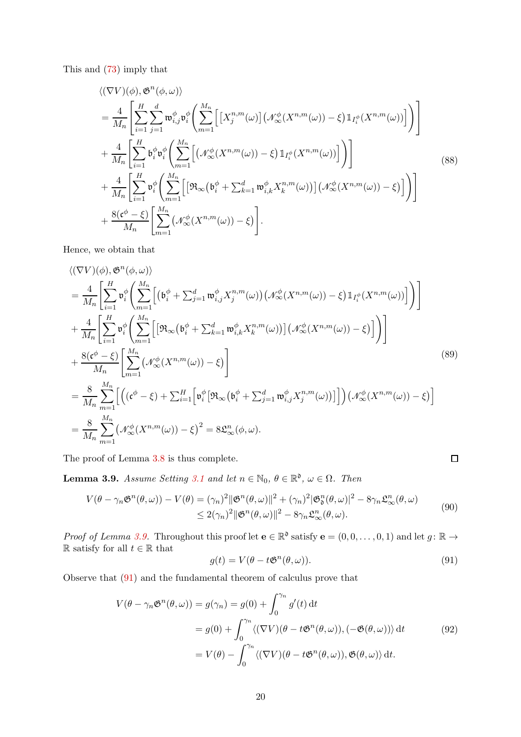This and [\(73\)](#page-16-6) imply that

$$
\langle (\nabla V)(\phi), \mathfrak{G}^{n}(\phi, \omega) \rangle
$$
  
\n
$$
= \frac{4}{M_n} \left[ \sum_{i=1}^{H} \sum_{j=1}^{d} \mathfrak{m}_{i,j}^{\phi} \mathfrak{v}_{i}^{\phi} \left( \sum_{m=1}^{M_n} \left[ \left[ X_{j}^{n,m}(\omega) \right] \left( \mathcal{N}_{\infty}^{\phi} (X^{n,m}(\omega)) - \xi \right) \mathbb{1}_{I_{i}^{\phi}} (X^{n,m}(\omega)) \right] \right) \right]
$$
  
\n
$$
+ \frac{4}{M_n} \left[ \sum_{i=1}^{H} \mathfrak{b}_{i}^{\phi} \mathfrak{v}_{i}^{\phi} \left( \sum_{m=1}^{M_n} \left[ \left( \mathcal{N}_{\infty}^{\phi} (X^{n,m}(\omega)) - \xi \right) \mathbb{1}_{I_{i}^{\phi}} (X^{n,m}(\omega)) \right] \right) \right]
$$
  
\n
$$
+ \frac{4}{M_n} \left[ \sum_{i=1}^{H} \mathfrak{v}_{i}^{\phi} \left( \sum_{m=1}^{M_n} \left[ \left[ \mathfrak{R}_{\infty} (\mathfrak{b}_{i}^{\phi} + \sum_{k=1}^{d} \mathfrak{w}_{i,k}^{\phi} X_{k}^{n,m}(\omega)) \right] \left( \mathcal{N}_{\infty}^{\phi} (X^{n,m}(\omega)) - \xi \right) \right] \right) \right]
$$
  
\n
$$
+ \frac{8(\mathfrak{c}^{\phi} - \xi)}{M_n} \left[ \sum_{m=1}^{M_n} \left( \mathcal{N}_{\infty}^{\phi} (X^{n,m}(\omega)) - \xi \right) \right].
$$
  
\n(88)

Hence, we obtain that

$$
\langle (\nabla V)(\phi), \mathfrak{G}^{n}(\phi, \omega) \rangle
$$
\n
$$
= \frac{4}{M_{n}} \Bigg[ \sum_{i=1}^{H} \mathfrak{v}_{i}^{\phi} \Bigg( \sum_{m=1}^{M_{n}} \Big[ \big( \mathfrak{b}_{i}^{\phi} + \sum_{j=1}^{d} \mathfrak{w}_{i,j}^{\phi} X_{j}^{n,m}(\omega) \big) \big( \mathcal{N}_{\infty}^{\phi} (X^{n,m}(\omega)) - \xi \big) \mathbb{1}_{I_{i}^{\phi}} (X^{n,m}(\omega)) \Big] \Big) \Bigg] \\ + \frac{4}{M_{n}} \Bigg[ \sum_{i=1}^{H} \mathfrak{v}_{i}^{\phi} \Bigg( \sum_{m=1}^{M_{n}} \Big[ \big[ \mathfrak{R}_{\infty} (\mathfrak{b}_{i}^{\phi} + \sum_{k=1}^{d} \mathfrak{w}_{i,k}^{\phi} X_{k}^{n,m}(\omega)) \big] \big( \mathcal{N}_{\infty}^{\phi} (X^{n,m}(\omega)) - \xi \big) \Big] \Bigg) \Bigg] \\ + \frac{8(\mathfrak{c}^{\phi} - \xi)}{M_{n}} \Bigg[ \sum_{m=1}^{M_{n}} \big( \mathcal{N}_{\infty}^{\phi} (X^{n,m}(\omega)) - \xi \big) \Bigg] \Bigg] \tag{89}
$$
\n
$$
= \frac{8}{M_{n}} \sum_{m=1}^{M_{n}} \Big[ \big( (\mathfrak{c}^{\phi} - \xi) + \sum_{i=1}^{H} \big[ \mathfrak{v}_{i}^{\phi} \big[ \mathfrak{R}_{\infty} (\mathfrak{b}_{i}^{\phi} + \sum_{j=1}^{d} \mathfrak{w}_{i,j}^{\phi} X_{j}^{n,m}(\omega)) \big] \big] \big) \big( \mathcal{N}_{\infty}^{\phi} (X^{n,m}(\omega)) - \xi \big) \Bigg]
$$
\n
$$
= \frac{8}{M_{n}} \sum_{m=1}^{M_{n}} \big( \mathcal{N}_{\infty}^{\phi} (X^{n,m}(\omega)) - \xi \big)^{2} = 8 \mathfrak{L}_{\infty}^{n}(\phi, \omega).
$$

<span id="page-19-0"></span>The proof of Lemma [3.8](#page-18-2) is thus complete.

**Lemma 3.9.** *Assume Setting* [3.1](#page-14-3) *and let*  $n \in \mathbb{N}_0$ ,  $\theta \in \mathbb{R}^{\mathfrak{d}}$ ,  $\omega \in \Omega$ . *Then* 

$$
V(\theta - \gamma_n \mathfrak{G}^n(\theta, \omega)) - V(\theta) = (\gamma_n)^2 \|\mathfrak{G}^n(\theta, \omega)\|^2 + (\gamma_n)^2 |\mathfrak{G}^n_{\mathfrak{G}}(\theta, \omega)|^2 - 8\gamma_n \mathfrak{L}^n_{\infty}(\theta, \omega)
$$
  
\$\leq 2(\gamma\_n)^2 \|\mathfrak{G}^n(\theta, \omega)\|^2 - 8\gamma\_n \mathfrak{L}^n\_{\infty}(\theta, \omega). \qquad (90)\$

*Proof of Lemma [3.9.](#page-19-0)* Throughout this proof let  $\mathbf{e} \in \mathbb{R}^{\mathfrak{d}}$  satisfy  $\mathbf{e} = (0, 0, \ldots, 0, 1)$  and let  $g: \mathbb{R} \to$  $\mathbb R$  satisfy for all  $t\in\mathbb R$  that

<span id="page-19-1"></span>
$$
g(t) = V(\theta - t\mathfrak{G}^n(\theta,\omega)).
$$
\n(91)

 $\Box$ 

Observe that [\(91\)](#page-19-1) and the fundamental theorem of calculus prove that

$$
V(\theta - \gamma_n \mathfrak{G}^n(\theta, \omega)) = g(\gamma_n) = g(0) + \int_0^{\gamma_n} g'(t) dt
$$
  
=  $g(0) + \int_0^{\gamma_n} \langle (\nabla V)(\theta - t \mathfrak{G}^n(\theta, \omega)), (-\mathfrak{G}(\theta, \omega)) \rangle dt$  (92)  
=  $V(\theta) - \int_0^{\gamma_n} \langle (\nabla V)(\theta - t \mathfrak{G}^n(\theta, \omega)), \mathfrak{G}(\theta, \omega) \rangle dt.$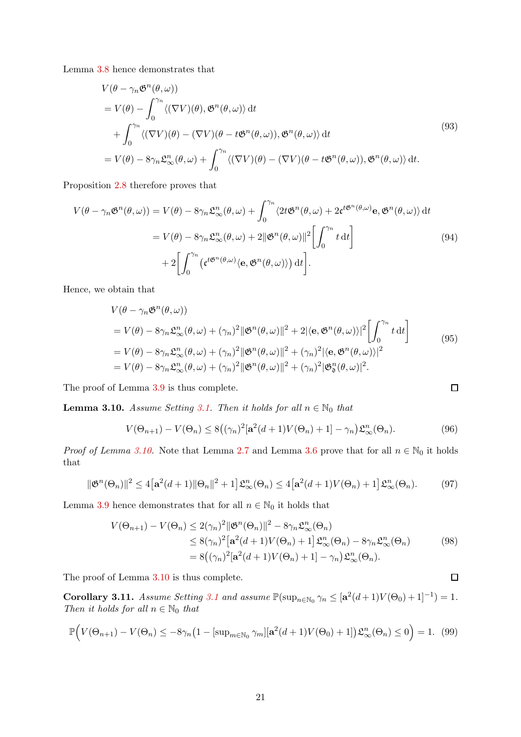Lemma [3.8](#page-18-2) hence demonstrates that

$$
V(\theta - \gamma_n \mathfrak{G}^n(\theta, \omega))
$$
  
=  $V(\theta) - \int_0^{\gamma_n} \langle (\nabla V)(\theta), \mathfrak{G}^n(\theta, \omega) \rangle dt$   
+  $\int_0^{\gamma_n} \langle (\nabla V)(\theta) - (\nabla V)(\theta - t \mathfrak{G}^n(\theta, \omega)), \mathfrak{G}^n(\theta, \omega) \rangle dt$   
=  $V(\theta) - 8\gamma_n \mathfrak{L}_{\infty}^n(\theta, \omega) + \int_0^{\gamma_n} \langle (\nabla V)(\theta) - (\nabla V)(\theta - t \mathfrak{G}^n(\theta, \omega)), \mathfrak{G}^n(\theta, \omega) \rangle dt.$  (93)

Proposition [2.8](#page-9-3) therefore proves that

$$
V(\theta - \gamma_n \mathfrak{G}^n(\theta, \omega)) = V(\theta) - 8\gamma_n \mathfrak{L}_{\infty}^n(\theta, \omega) + \int_0^{\gamma_n} \langle 2t \mathfrak{G}^n(\theta, \omega) + 2\mathfrak{c}^{t\mathfrak{G}^n(\theta, \omega)} \mathbf{e}, \mathfrak{G}^n(\theta, \omega) \rangle dt
$$
  
=  $V(\theta) - 8\gamma_n \mathfrak{L}_{\infty}^n(\theta, \omega) + 2 \|\mathfrak{G}^n(\theta, \omega)\|^2 \left[ \int_0^{\gamma_n} t dt \right]$   
+  $2 \left[ \int_0^{\gamma_n} (\mathfrak{c}^{t\mathfrak{G}^n(\theta, \omega)} \langle \mathbf{e}, \mathfrak{G}^n(\theta, \omega) \rangle) dt \right].$  (94)

Hence, we obtain that

$$
V(\theta - \gamma_n \mathfrak{G}^n(\theta, \omega))
$$
  
=  $V(\theta) - 8\gamma_n \mathfrak{L}_{\infty}^n(\theta, \omega) + (\gamma_n)^2 ||\mathfrak{G}^n(\theta, \omega)||^2 + 2 |\langle \mathbf{e}, \mathfrak{G}^n(\theta, \omega) \rangle|^2 \left[ \int_0^{\gamma_n} t dt \right]$   
=  $V(\theta) - 8\gamma_n \mathfrak{L}_{\infty}^n(\theta, \omega) + (\gamma_n)^2 ||\mathfrak{G}^n(\theta, \omega)||^2 + (\gamma_n)^2 |\langle \mathbf{e}, \mathfrak{G}^n(\theta, \omega) \rangle|^2$   
=  $V(\theta) - 8\gamma_n \mathfrak{L}_{\infty}^n(\theta, \omega) + (\gamma_n)^2 ||\mathfrak{G}^n(\theta, \omega)||^2 + (\gamma_n)^2 |\mathfrak{G}^n(\theta, \omega)|^2.$  (95)

<span id="page-20-0"></span>The proof of Lemma [3.9](#page-19-0) is thus complete.

**Lemma 3.10.** *Assume Setting* [3.1.](#page-14-3) *Then it holds for all*  $n \in \mathbb{N}_0$  *that* 

$$
V(\Theta_{n+1}) - V(\Theta_n) \le 8\left(\left(\gamma_n\right)^2 \left[\mathbf{a}^2(d+1)V(\Theta_n) + 1\right] - \gamma_n\right) \mathfrak{L}_{\infty}^n(\Theta_n). \tag{96}
$$

 $\Box$ 

 $\Box$ 

*Proof of Lemma [3.10.](#page-20-0)* Note that Lemma [2.7](#page-9-2) and Lemma [3.6](#page-17-1) prove that for all  $n \in \mathbb{N}_0$  it holds that

$$
\|\mathfrak{G}^n(\Theta_n)\|^2 \le 4\big[\mathbf{a}^2(d+1)\|\Theta_n\|^2 + 1\big]\mathfrak{L}^n_{\infty}(\Theta_n) \le 4\big[\mathbf{a}^2(d+1)V(\Theta_n) + 1\big]\mathfrak{L}^n_{\infty}(\Theta_n). \tag{97}
$$

Lemma [3.9](#page-19-0) hence demonstrates that for all  $n \in \mathbb{N}_0$  it holds that

$$
V(\Theta_{n+1}) - V(\Theta_n) \le 2(\gamma_n)^2 \|\mathfrak{G}^n(\Theta_n)\|^2 - 8\gamma_n \mathfrak{L}_{\infty}^n(\Theta_n)
$$
  
\n
$$
\le 8(\gamma_n)^2 \left[\mathbf{a}^2(d+1)V(\Theta_n) + 1\right] \mathfrak{L}_{\infty}^n(\Theta_n) - 8\gamma_n \mathfrak{L}_{\infty}^n(\Theta_n)
$$
  
\n
$$
= 8((\gamma_n)^2 \left[\mathbf{a}^2(d+1)V(\Theta_n) + 1\right] - \gamma_n) \mathfrak{L}_{\infty}^n(\Theta_n).
$$
\n(98)

<span id="page-20-1"></span>The proof of Lemma [3.10](#page-20-0) is thus complete.

Corollary [3.1](#page-14-3)1. *Assume Setting* 3.1 *and assume*  $\mathbb{P}(\sup_{n\in\mathbb{N}_0} \gamma_n \leq [a^2(d+1)V(\Theta_0)+1]^{-1}) = 1$ . *Then it holds for all*  $n \in \mathbb{N}_0$  *that* 

<span id="page-20-2"></span>
$$
\mathbb{P}\Big(V(\Theta_{n+1}) - V(\Theta_n) \le -8\gamma_n\big(1 - \left[\sup_{m \in \mathbb{N}_0} \gamma_m\right] \left[\mathbf{a}^2(d+1)V(\Theta_0) + 1\right]\big)\mathfrak{L}_{\infty}^n(\Theta_n) \le 0\Big) = 1. \tag{99}
$$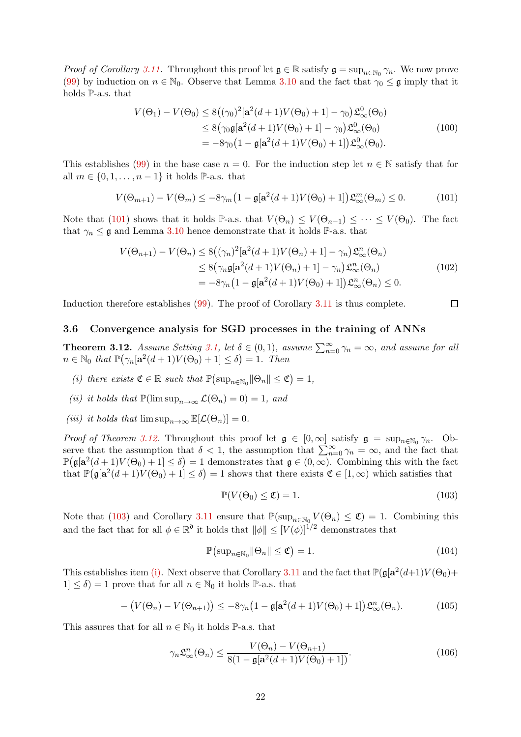*Proof of Corollary [3.11.](#page-20-1)* Throughout this proof let  $\mathfrak{g} \in \mathbb{R}$  satisfy  $\mathfrak{g} = \sup_{n \in \mathbb{N}_0} \gamma_n$ . We now prove [\(99\)](#page-20-2) by induction on  $n \in \mathbb{N}_0$ . Observe that Lemma [3.10](#page-20-0) and the fact that  $\gamma_0 \leq \mathfrak{g}$  imply that it holds P-a.s. that

$$
V(\Theta_1) - V(\Theta_0) \le 8((\gamma_0)^2[\mathbf{a}^2(d+1)V(\Theta_0) + 1] - \gamma_0)\mathfrak{L}_{\infty}^0(\Theta_0)
$$
  
\n
$$
\le 8(\gamma_0 \mathfrak{g}[\mathbf{a}^2(d+1)V(\Theta_0) + 1] - \gamma_0)\mathfrak{L}_{\infty}^0(\Theta_0)
$$
  
\n
$$
= -8\gamma_0\big(1 - \mathfrak{g}[\mathbf{a}^2(d+1)V(\Theta_0) + 1]\big)\mathfrak{L}_{\infty}^0(\Theta_0).
$$
\n(100)

This establishes [\(99\)](#page-20-2) in the base case  $n = 0$ . For the induction step let  $n \in \mathbb{N}$  satisfy that for all  $m \in \{0, 1, \ldots, n-1\}$  it holds P-a.s. that

<span id="page-21-4"></span>
$$
V(\Theta_{m+1}) - V(\Theta_m) \le -8\gamma_m \left(1 - \mathfrak{g}[\mathbf{a}^2(d+1)V(\Theta_0) + 1]\right) \mathfrak{L}_{\infty}^m(\Theta_m) \le 0. \tag{101}
$$

Note that [\(101\)](#page-21-4) shows that it holds P-a.s. that  $V(\Theta_n) \leq V(\Theta_{n-1}) \leq \cdots \leq V(\Theta_0)$ . The fact that  $\gamma_n \leq \mathfrak{g}$  and Lemma [3.10](#page-20-0) hence demonstrate that it holds P-a.s. that

$$
V(\Theta_{n+1}) - V(\Theta_n) \le 8\left((\gamma_n)^2[\mathbf{a}^2(d+1)V(\Theta_n) + 1] - \gamma_n\right)\mathfrak{L}_{\infty}^n(\Theta_n)
$$
  
\n
$$
\le 8\left(\gamma_n\mathfrak{g}[\mathbf{a}^2(d+1)V(\Theta_n) + 1] - \gamma_n\right)\mathfrak{L}_{\infty}^n(\Theta_n)
$$
  
\n
$$
= -8\gamma_n\left(1 - \mathfrak{g}[\mathbf{a}^2(d+1)V(\Theta_0) + 1]\right)\mathfrak{L}_{\infty}^n(\Theta_n) \le 0.
$$
\n(102)

Induction therefore establishes [\(99\)](#page-20-2). The proof of Corollary [3.11](#page-20-1) is thus complete.

## <span id="page-21-1"></span><span id="page-21-0"></span>3.6 Convergence analysis for SGD processes in the training of ANNs

**Theorem 3.12.** *Assume Setting* [3.1,](#page-14-3) *let*  $\delta \in (0,1)$ *, assume*  $\sum_{n=0}^{\infty} \gamma_n = \infty$ *, and assume for all*  $n \in \mathbb{N}_0$  that  $\mathbb{P}(\gamma_n[\mathbf{a}^2(d+1)V(\Theta_0)+1] \leq \delta) = 1$ . Then

- <span id="page-21-6"></span><span id="page-21-2"></span>*(i) there exists*  $\mathfrak{C} \in \mathbb{R}$  *such that*  $\mathbb{P}(\sup_{n \in \mathbb{N}_0} ||\Theta_n|| \leq \mathfrak{C}) = 1$ ,
- <span id="page-21-3"></span>*(ii) it holds that*  $\mathbb{P}(\limsup_{n\to\infty}\mathcal{L}(\Theta_n)=0)=1$ *, and*
- *(iii) it holds that*  $\limsup_{n\to\infty} \mathbb{E}[\mathcal{L}(\Theta_n)] = 0.$

*Proof of Theorem [3.12.](#page-21-1)* Throughout this proof let  $\mathfrak{g} \in [0,\infty]$  satisfy  $\mathfrak{g} = \sup_{n \in \mathbb{N}_0} \gamma_n$ . Observe that the assumption that  $\delta < 1$ , the assumption that  $\sum_{n=0}^{\infty} \gamma_n = \infty$ , and the fact that  $\mathbb{P}(\mathfrak{g}[\mathbf{a}^2(d+1)V(\Theta_0)+1]\leq \delta)=1$  demonstrates that  $\mathfrak{g}\in (0,\infty)$ . Combining this with the fact that  $\mathbb{P}(\mathfrak{g}[\mathbf{a}^2(d+1)V(\Theta_0)+1]\leq \delta)=1$  shows that there exists  $\mathfrak{C}\in[1,\infty)$  which satisfies that

<span id="page-21-5"></span>
$$
\mathbb{P}(V(\Theta_0) \le \mathfrak{C}) = 1. \tag{103}
$$

 $\Box$ 

Note that [\(103\)](#page-21-5) and Corollary [3.11](#page-20-1) ensure that  $\mathbb{P}(\sup_{n\in\mathbb{N}_0} V(\Theta_n) \leq \mathfrak{C}) = 1$ . Combining this and the fact that for all  $\phi \in \mathbb{R}^{\mathfrak{d}}$  it holds that  $\|\phi\| \leq [V(\phi)]^{1/2}$  demonstrates that

<span id="page-21-7"></span>
$$
\mathbb{P}\left(\sup_{n\in\mathbb{N}_0} \|\Theta_n\| \le \mathfrak{C}\right) = 1. \tag{104}
$$

This establishes item [\(i\).](#page-21-6) Next observe that Corollary [3.11](#page-20-1) and the fact that  $\mathbb{P}(\mathfrak{g}[a^2(d+1)V(\Theta_0)+$  $1 \le \delta$  = 1 prove that for all  $n \in \mathbb{N}_0$  it holds P-a.s. that

$$
- \left( V(\Theta_n) - V(\Theta_{n+1}) \right) \leq -8\gamma_n \left( 1 - \mathfrak{g}[\mathbf{a}^2(d+1)V(\Theta_0) + 1] \right) \mathfrak{L}_{\infty}^n(\Theta_n). \tag{105}
$$

This assures that for all  $n \in \mathbb{N}_0$  it holds P-a.s. that

$$
\gamma_n \mathfrak{L}_{\infty}^n(\Theta_n) \le \frac{V(\Theta_n) - V(\Theta_{n+1})}{8(1 - \mathfrak{g}[\mathbf{a}^2(d+1)V(\Theta_0) + 1])}.
$$
\n(106)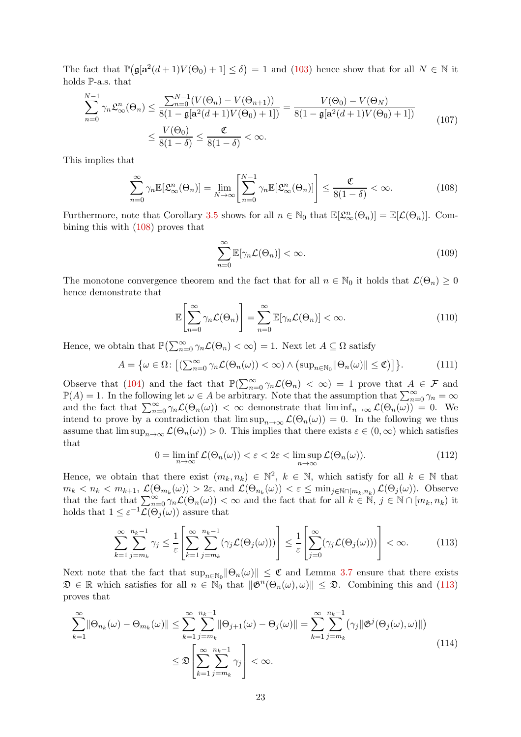The fact that  $\mathbb{P}(\mathfrak{g}[a^2(d+1)V(\Theta_0)+1]\leq \delta)=1$  and [\(103\)](#page-21-5) hence show that for all  $N\in\mathbb{N}$  it holds P-a.s. that

$$
\sum_{n=0}^{N-1} \gamma_n \mathfrak{L}_{\infty}^n(\Theta_n) \le \frac{\sum_{n=0}^{N-1} (V(\Theta_n) - V(\Theta_{n+1}))}{8(1 - \mathfrak{g}[\mathbf{a}^2(d+1)V(\Theta_0) + 1])} = \frac{V(\Theta_0) - V(\Theta_N)}{8(1 - \mathfrak{g}[\mathbf{a}^2(d+1)V(\Theta_0) + 1])}
$$
\n
$$
\le \frac{V(\Theta_0)}{8(1 - \delta)} \le \frac{\mathfrak{C}}{8(1 - \delta)} < \infty.
$$
\n(107)

This implies that

<span id="page-22-0"></span>
$$
\sum_{n=0}^{\infty} \gamma_n \mathbb{E}[\mathfrak{L}_{\infty}^n(\Theta_n)] = \lim_{N \to \infty} \left[ \sum_{n=0}^{N-1} \gamma_n \mathbb{E}[\mathfrak{L}_{\infty}^n(\Theta_n)] \right] \le \frac{\mathfrak{C}}{8(1-\delta)} < \infty.
$$
 (108)

Furthermore, note that Corollary [3.5](#page-17-2) shows for all  $n \in \mathbb{N}_0$  that  $\mathbb{E}[\mathfrak{L}_{\infty}^n(\Theta_n)] = \mathbb{E}[\mathcal{L}(\Theta_n)]$ . Combining this with [\(108\)](#page-22-0) proves that

$$
\sum_{n=0}^{\infty} \mathbb{E}[\gamma_n \mathcal{L}(\Theta_n)] < \infty. \tag{109}
$$

The monotone convergence theorem and the fact that for all  $n \in \mathbb{N}_0$  it holds that  $\mathcal{L}(\Theta_n) \geq 0$ hence demonstrate that

$$
\mathbb{E}\left[\sum_{n=0}^{\infty} \gamma_n \mathcal{L}(\Theta_n)\right] = \sum_{n=0}^{\infty} \mathbb{E}[\gamma_n \mathcal{L}(\Theta_n)] < \infty. \tag{110}
$$

Hence, we obtain that  $\mathbb{P}(\sum_{n=0}^{\infty} \gamma_n \mathcal{L}(\Theta_n) < \infty) = 1$ . Next let  $A \subseteq \Omega$  satisfy

$$
A = \{ \omega \in \Omega \colon \left[ \left( \sum_{n=0}^{\infty} \gamma_n \mathcal{L}(\Theta_n(\omega)) < \infty \right) \wedge \left( \sup_{n \in \mathbb{N}_0} \|\Theta_n(\omega)\| \leq \mathfrak{C} \right) \right] \}. \tag{111}
$$

Observe that [\(104\)](#page-21-7) and the fact that  $\mathbb{P}(\sum_{n=0}^{\infty} \gamma_n \mathcal{L}(\Theta_n) < \infty) = 1$  prove that  $A \in \mathcal{F}$  and  $\mathbb{P}(A) = 1$ . In the following let  $\omega \in A$  be arbitrary. Note that the assumption that  $\sum_{n=0}^{\infty} \gamma_n = \infty$ and the fact that  $\sum_{n=0}^{\infty} \gamma_n \mathcal{L}(\Theta_n(\omega)) < \infty$  demonstrate that  $\liminf_{n \to \infty} \mathcal{L}(\Theta_n(\omega)) = 0$ . We intend to prove by a contradiction that  $\limsup_{n\to\infty} \mathcal{L}(\Theta_n(\omega)) = 0$ . In the following we thus assume that  $\limsup_{n\to\infty}\mathcal{L}(\Theta_n(\omega))>0$ . This implies that there exists  $\varepsilon\in(0,\infty)$  which satisfies that

$$
0 = \liminf_{n \to \infty} \mathcal{L}(\Theta_n(\omega)) < \varepsilon < 2\varepsilon < \limsup_{n \to \infty} \mathcal{L}(\Theta_n(\omega)). \tag{112}
$$

Hence, we obtain that there exist  $(m_k, n_k) \in \mathbb{N}^2$ ,  $k \in \mathbb{N}$ , which satisfy for all  $k \in \mathbb{N}$  that  $m_k < n_k < m_{k+1}, \mathcal{L}(\Theta_{m_k}(\omega)) > 2\varepsilon$ , and  $\mathcal{L}(\Theta_{n_k}(\omega)) < \varepsilon \le \min_{j \in \mathbb{N} \cap [m_k, n_k)} \mathcal{L}(\Theta_j(\omega))$ . Observe that the fact that  $\sum_{n=0}^{\infty} \gamma_n \mathcal{L}(\Theta_n(\omega)) < \infty$  and the fact that for all  $k \in \mathbb{N}, j \in \mathbb{N} \cap [m_k, n_k)$  it holds that  $1 \leq \varepsilon^{-1} \mathcal{L}(\Theta_j(\omega))$  assure that

<span id="page-22-1"></span>
$$
\sum_{k=1}^{\infty} \sum_{j=m_k}^{n_k-1} \gamma_j \leq \frac{1}{\varepsilon} \left[ \sum_{k=1}^{\infty} \sum_{j=m_k}^{n_k-1} (\gamma_j \mathcal{L}(\Theta_j(\omega))) \right] \leq \frac{1}{\varepsilon} \left[ \sum_{j=0}^{\infty} (\gamma_j \mathcal{L}(\Theta_j(\omega))) \right] < \infty.
$$
 (113)

Next note that the fact that  $\sup_{n\in\mathbb{N}_0} ||\Theta_n(\omega)|| \leq \mathfrak{C}$  and Lemma [3.7](#page-18-1) ensure that there exists  $\mathfrak{D} \in \mathbb{R}$  which satisfies for all  $n \in \mathbb{N}_0$  that  $\|\mathfrak{G}^n(\Theta_n(\omega), \omega)\| \leq \mathfrak{D}$ . Combining this and [\(113\)](#page-22-1) proves that

<span id="page-22-2"></span>
$$
\sum_{k=1}^{\infty} \|\Theta_{n_k}(\omega) - \Theta_{m_k}(\omega)\| \le \sum_{k=1}^{\infty} \sum_{j=m_k}^{n_k - 1} \|\Theta_{j+1}(\omega) - \Theta_j(\omega)\| = \sum_{k=1}^{\infty} \sum_{j=m_k}^{n_k - 1} (\gamma_j \|\mathfrak{G}^j(\Theta_j(\omega), \omega)\|)
$$
\n
$$
\le \mathfrak{D}\left[\sum_{k=1}^{\infty} \sum_{j=m_k}^{n_k - 1} \gamma_j\right] < \infty.
$$
\n(114)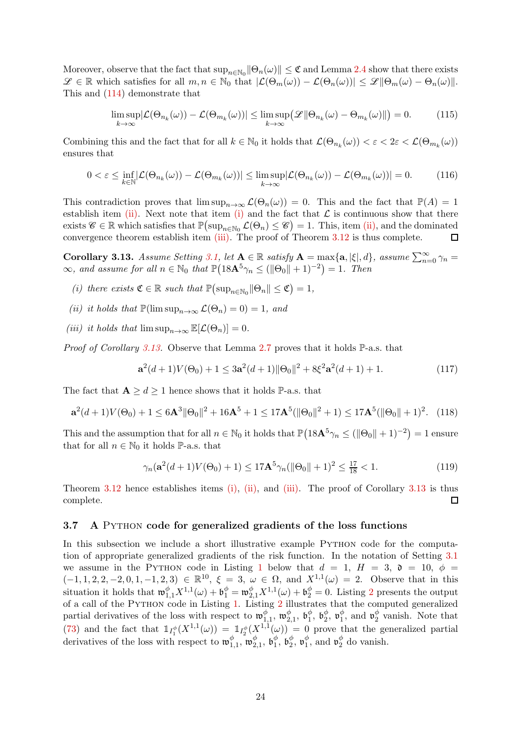Moreover, observe that the fact that  $\sup_{n\in\mathbb{N}_0}$   $\|\Theta_n(\omega)\|\leq \mathfrak{C}$  and Lemma [2.4](#page-7-1) show that there exists  $\mathscr{L} \in \mathbb{R}$  which satisfies for all  $m, n \in \mathbb{N}_0$  that  $|\mathcal{L}(\Theta_m(\omega)) - \mathcal{L}(\Theta_n(\omega))| \leq \mathscr{L} \|\Theta_m(\omega) - \Theta_n(\omega)\|.$ This and [\(114\)](#page-22-2) demonstrate that

$$
\limsup_{k \to \infty} |\mathcal{L}(\Theta_{n_k}(\omega)) - \mathcal{L}(\Theta_{m_k}(\omega))| \le \limsup_{k \to \infty} (|\mathcal{L}| \|\Theta_{n_k}(\omega) - \Theta_{m_k}(\omega)\|) = 0. \tag{115}
$$

Combining this and the fact that for all  $k \in \mathbb{N}_0$  it holds that  $\mathcal{L}(\Theta_{n_k}(\omega)) < \varepsilon < 2\varepsilon < \mathcal{L}(\Theta_{m_k}(\omega))$ ensures that

$$
0 < \varepsilon \le \inf_{k \in \mathbb{N}} |\mathcal{L}(\Theta_{n_k}(\omega)) - \mathcal{L}(\Theta_{m_k}(\omega))| \le \limsup_{k \to \infty} |\mathcal{L}(\Theta_{n_k}(\omega)) - \mathcal{L}(\Theta_{m_k}(\omega))| = 0. \tag{116}
$$

This contradiction proves that  $\limsup_{n\to\infty} \mathcal{L}(\Theta_n(\omega)) = 0$ . This and the fact that  $\mathbb{P}(A) = 1$ establish item [\(ii\).](#page-21-2) Next note that item [\(i\)](#page-21-6) and the fact that  $\mathcal L$  is continuous show that there exists  $\mathscr{C} \in \mathbb{R}$  which satisfies that  $\mathbb{P}(\sup_{n \in \mathbb{N}_0} \mathcal{L}(\Theta_n) \leq \mathscr{C}) = 1$ . This, item [\(ii\),](#page-21-2) and the dominated convergence theorem establish item [\(iii\).](#page-21-3) The proof of Theorem [3.12](#page-21-1) is thus complete.  $\Box$ 

<span id="page-23-1"></span>**Corollary 3.13.** *Assume Setting* [3.1,](#page-14-3) *let*  $A \in \mathbb{R}$  *satisfy*  $A = \max\{a, |\xi|, d\}$ *, assume*  $\sum_{n=0}^{\infty} \gamma_n =$  $\infty$ *, and assume for all*  $n \in \mathbb{N}_0$  that  $\mathbb{P}\left(18\mathbf{A}^5\gamma_n \leq (\|\Theta_0\| + 1)^{-2}\right) = 1$ . Then

- <span id="page-23-3"></span><span id="page-23-2"></span>*(i)* there exists  $\mathfrak{C} \in \mathbb{R}$  such that  $\mathbb{P}(\sup_{n \in \mathbb{N}_0} ||\Theta_n|| \leq \mathfrak{C}) = 1$ ,
- <span id="page-23-4"></span>*(ii) it holds that*  $\mathbb{P}(\limsup_{n\to\infty}\mathcal{L}(\Theta_n)=0)=1$ *, and*
- *(iii) it holds that*  $\limsup_{n\to\infty} \mathbb{E}[\mathcal{L}(\Theta_n)] = 0$ .

*Proof of Corollary [3.13.](#page-23-1)* Observe that Lemma [2.7](#page-9-2) proves that it holds P-a.s. that

$$
\mathbf{a}^{2}(d+1)V(\Theta_{0}) + 1 \leq 3\mathbf{a}^{2}(d+1)\|\Theta_{0}\|^{2} + 8\xi^{2}\mathbf{a}^{2}(d+1) + 1.
$$
 (117)

The fact that  $A \geq d \geq 1$  hence shows that it holds  $\mathbb{P}\text{-a.s.}$  that

$$
\mathbf{a}^{2}(d+1)V(\Theta_{0})+1 \leq 6\mathbf{A}^{3}||\Theta_{0}||^{2}+16\mathbf{A}^{5}+1 \leq 17\mathbf{A}^{5}(\|\Theta_{0}||^{2}+1) \leq 17\mathbf{A}^{5}(\|\Theta_{0}||+1)^{2}. \quad (118)
$$

This and the assumption that for all  $n \in \mathbb{N}_0$  it holds that  $\mathbb{P}\left(18\mathbf{A}^5\gamma_n \leq (\|\Theta_0\| + 1)^{-2}\right) = 1$  ensure that for all  $n \in \mathbb{N}_0$  it holds P-a.s. that

$$
\gamma_n(\mathbf{a}^2(d+1)V(\Theta_0)+1) \le 17\mathbf{A}^5\gamma_n(\|\Theta_0\|+1)^2 \le \frac{17}{18} < 1. \tag{119}
$$

Theorem [3.12](#page-21-1) hence establishes items [\(i\),](#page-23-2) [\(ii\),](#page-23-3) and [\(iii\).](#page-23-4) The proof of Corollary [3.13](#page-23-1) is thus complete.  $\Box$ 

#### <span id="page-23-0"></span>3.7 A Python code for generalized gradients of the loss functions

In this subsection we include a short illustrative example PYTHON code for the computation of appropriate generalized gradients of the risk function. In the notation of Setting [3.1](#page-14-3) we assume in the PYTHON code in Listing [1](#page-24-0) below that  $d = 1$ ,  $H = 3$ ,  $\mathfrak{d} = 10$ ,  $\phi =$  $(-1, 1, 2, 2, -2, 0, 1, -1, 2, 3) \in \mathbb{R}^{10}, \xi = 3, \omega \in \Omega, \text{ and } X^{1,1}(\omega) = 2.$  Observe that in this situation it holds that  $\mathfrak{w}_{1,1}^{\phi} X^{1,1}(\omega) + \mathfrak{b}_1^{\phi} = \mathfrak{w}_{2,1}^{\phi} X^{1,1}(\omega) + \mathfrak{b}_2^{\phi} = 0$  $\mathfrak{w}_{1,1}^{\phi} X^{1,1}(\omega) + \mathfrak{b}_1^{\phi} = \mathfrak{w}_{2,1}^{\phi} X^{1,1}(\omega) + \mathfrak{b}_2^{\phi} = 0$  $\mathfrak{w}_{1,1}^{\phi} X^{1,1}(\omega) + \mathfrak{b}_1^{\phi} = \mathfrak{w}_{2,1}^{\phi} X^{1,1}(\omega) + \mathfrak{b}_2^{\phi} = 0$ . Listing 2 presents the output of a call of the Python code in Listing [1.](#page-24-0) Listing [2](#page-24-1) illustrates that the computed generalized partial derivatives of the loss with respect to  $\mathfrak{w}_1^{\phi}$  $_{1,1}^\phi,$   $\mathfrak{w}_2^\phi$  $_{2,1}^{\phi},\ \mathfrak{b}_{1}^{\phi}$  $_1^{\phi}, \mathfrak{b}_2^{\phi}$  $_2^{\phi}, \mathfrak{v}_1^{\phi}$  $\frac{\phi}{1}$ , and  $\mathfrak{v}_2^{\phi}$  $\frac{\varphi}{2}$  vanish. Note that [\(73\)](#page-16-6) and the fact that  $1_{I_1^{\phi}}(X^{1,1}(\omega)) = 1_{I_2^{\phi}}(X^{1,1}(\omega)) = 0$  prove that the generalized partial derivatives of the loss with respect to  $\mathfrak{w}_1^{\phi}$  $_{1,1}^\phi,$  'n $_2^\phi$  $_{2,1}^{\phi},$   $\mathfrak{b}_{1}^{\phi}$  $_1^{\phi}$ ,  $\mathfrak{b}_2^{\phi}$  $_2^{\phi}, \, \mathfrak{v}_1^{\phi}$  $\frac{\phi}{1}$ , and  $\mathfrak{v}_2^{\phi}$  $2^{\varphi}$  do vanish.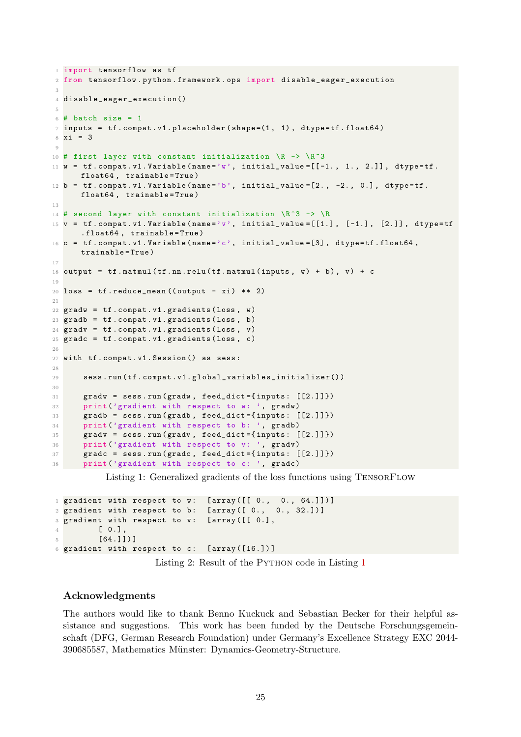```
1 import tensorflow as tf
2 from tensorflow . python . framework . ops import disable_eager_execution
3
4 disable_eager_execution()
5
6 # batch size = 1
\tau inputs = tf. compat. v1. placeholder (shape=(1, 1), dtype=tf. float64)
8 \times i = 39
10 # first layer with constant initialization \mathbb{R} -> \mathbb{R} 3
11 w = tf.compile(name='w', initial_value=[[-1., 1., 2.]], dtype=tf.float64, trainable=True)
12 b = tf.compat.v1.Variable(name='b', initial_value=[2., -2., 0.], dtype=tf.float64, trainable=True)
13
14 # second layer with constant initialization \R 3 \rightarrow \R15 v = tf.compile(name='v', initial_value=[[1.], [-1.], [2.]], dtype=tf. float64 , trainable = True )
16 c = tf. compat. v1. Variable (name='c', initial_value=[3], dtype=tf. float64,
      trainable = True )
17
18 output = tf.matmul(tf.nn. relu(tf.matmul(inputs, w) + b), v) + c19
20 loss = tf.readuce_mean((output - xi) ** 2)21
22 gradw = tf. compat. v1. gradients (loss, w)
23 gradb = tf.compat.v1.gradients (loss, b)24 gradv = tf.compile.v1.gradients (loss, v)25 gradc = tf.compat.v1.gradients (loss, c)26
27 with tf . compat . v1 . Session () as sess :
28
29 sess . run ( tf . compat . v1 . global_variables_initializer() )
30
31 gradw = sess . run ( gradw , feed_dict ={ inputs : [[2.]]})
32 print ('gradient with respect to w: ', gradw)
33 gradb = sess.run (gradb, feed_dict={inputs: [2.1]})
34 print ('gradient with respect to b: ', gradb)
35 gradv = sess.run (gradv, feed_dict={inputs: [[2.]]})
36 print ('gradient with respect to v: ', gradv)
37 gradc = sess . run ( gradc , feed_dict ={ inputs : [[2.]]})
38 print ('gradient with respect to c: ', gradc)
```
Listing 1: Generalized gradients of the loss functions using TensorFlow

```
1 gradient with respect to w: [array([[0., 0., 64.]])]<br>2 gradient with respect to b: [array([0., 0., 32.])]
2 gradient with respect to b:
3 gradient with respect to v: [ array ([[ 0.] ,
           [0.1],
5 [64.]]) ]
6 gradient with respect to c: [ array ([16.]) ]
```


#### Acknowledgments

The authors would like to thank Benno Kuckuck and Sebastian Becker for their helpful assistance and suggestions. This work has been funded by the Deutsche Forschungsgemeinschaft (DFG, German Research Foundation) under Germany's Excellence Strategy EXC 2044- 390685587, Mathematics Münster: Dynamics-Geometry-Structure.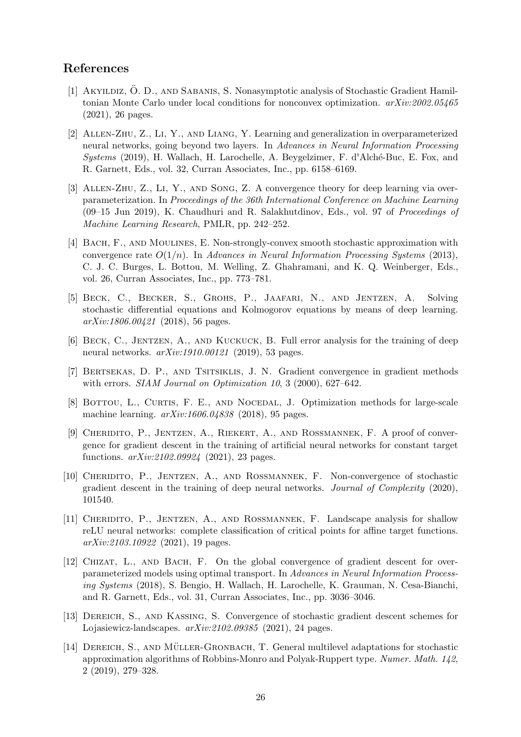# <span id="page-25-1"></span>References

- [1] AKYILDIZ, O. D., AND SABANIS, S. Nonasymptotic analysis of Stochastic Gradient Hamiltonian Monte Carlo under local conditions for nonconvex optimization. *arXiv:2002.05465* (2021), 26 pages.
- <span id="page-25-9"></span>[2] Allen-Zhu, Z., Li, Y., and Liang, Y. Learning and generalization in overparameterized neural networks, going beyond two layers. In *Advances in Neural Information Processing Systems* (2019), H. Wallach, H. Larochelle, A. Beygelzimer, F. d'Alché-Buc, E. Fox, and R. Garnett, Eds., vol. 32, Curran Associates, Inc., pp. 6158–6169.
- <span id="page-25-10"></span>[3] Allen-Zhu, Z., Li, Y., and Song, Z. A convergence theory for deep learning via overparameterization. In *Proceedings of the 36th International Conference on Machine Learning* (09–15 Jun 2019), K. Chaudhuri and R. Salakhutdinov, Eds., vol. 97 of *Proceedings of Machine Learning Research*, PMLR, pp. 242–252.
- <span id="page-25-0"></span>[4] BACH, F., AND MOULINES, E. Non-strongly-convex smooth stochastic approximation with convergence rate O(1/n). In *Advances in Neural Information Processing Systems* (2013), C. J. C. Burges, L. Bottou, M. Welling, Z. Ghahramani, and K. Q. Weinberger, Eds., vol. 26, Curran Associates, Inc., pp. 773–781.
- <span id="page-25-13"></span>[5] Beck, C., Becker, S., Grohs, P., Jaafari, N., and Jentzen, A. Solving stochastic differential equations and Kolmogorov equations by means of deep learning. *arXiv:1806.00421* (2018), 56 pages.
- <span id="page-25-7"></span>[6] Beck, C., Jentzen, A., and Kuckuck, B. Full error analysis for the training of deep neural networks. *arXiv:1910.00121* (2019), 53 pages.
- <span id="page-25-2"></span>[7] Bertsekas, D. P., and Tsitsiklis, J. N. Gradient convergence in gradient methods with errors. *SIAM Journal on Optimization 10*, 3 (2000), 627–642.
- <span id="page-25-6"></span>[8] BOTTOU, L., CURTIS, F. E., AND NOCEDAL, J. Optimization methods for large-scale machine learning. *arXiv:1606.04838* (2018), 95 pages.
- <span id="page-25-12"></span>[9] Cheridito, P., Jentzen, A., Riekert, A., and Rossmannek, F. A proof of convergence for gradient descent in the training of artificial neural networks for constant target functions. *arXiv:2102.09924* (2021), 23 pages.
- <span id="page-25-5"></span>[10] Cheridito, P., Jentzen, A., and Rossmannek, F. Non-convergence of stochastic gradient descent in the training of deep neural networks. *Journal of Complexity* (2020), 101540.
- <span id="page-25-11"></span>[11] CHERIDITO, P., JENTZEN, A., AND ROSSMANNEK, F. Landscape analysis for shallow reLU neural networks: complete classification of critical points for affine target functions. *arXiv:2103.10922* (2021), 19 pages.
- <span id="page-25-8"></span>[12] Chizat, L., and Bach, F. On the global convergence of gradient descent for overparameterized models using optimal transport. In *Advances in Neural Information Processing Systems* (2018), S. Bengio, H. Wallach, H. Larochelle, K. Grauman, N. Cesa-Bianchi, and R. Garnett, Eds., vol. 31, Curran Associates, Inc., pp. 3036–3046.
- <span id="page-25-3"></span>[13] Dereich, S., and Kassing, S. Convergence of stochastic gradient descent schemes for Lojasiewicz-landscapes. *arXiv:2102.09385* (2021), 24 pages.
- <span id="page-25-4"></span>[14] DEREICH, S., AND MÜLLER-GRONBACH, T. General multilevel adaptations for stochastic approximation algorithms of Robbins-Monro and Polyak-Ruppert type. *Numer. Math. 142*, 2 (2019), 279–328.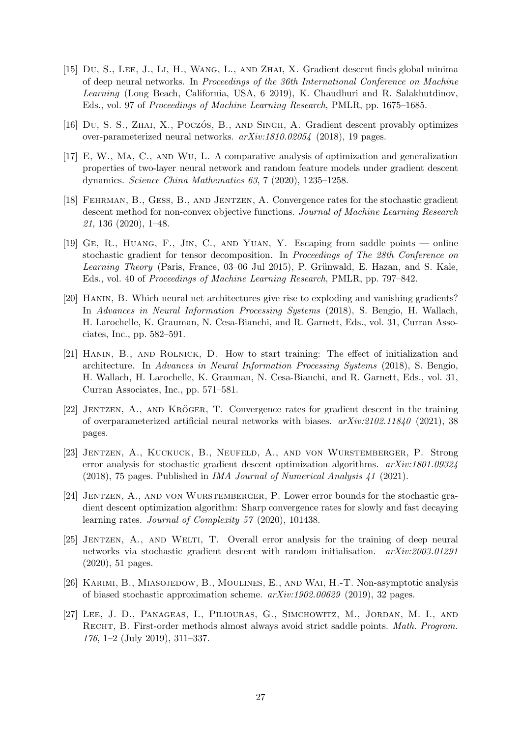- <span id="page-26-10"></span>[15] Du, S., Lee, J., Li, H., Wang, L., and Zhai, X. Gradient descent finds global minima of deep neural networks. In *Proceedings of the 36th International Conference on Machine Learning* (Long Beach, California, USA, 6 2019), K. Chaudhuri and R. Salakhutdinov, Eds., vol. 97 of *Proceedings of Machine Learning Research*, PMLR, pp. 1675–1685.
- <span id="page-26-8"></span><span id="page-26-7"></span>[16] Du, S. S., ZHAI, X., POCZÓS, B., AND SINGH, A. Gradient descent provably optimizes over-parameterized neural networks. *arXiv:1810.02054* (2018), 19 pages.
- [17] E, W., Ma, C., and Wu, L. A comparative analysis of optimization and generalization properties of two-layer neural network and random feature models under gradient descent dynamics. *Science China Mathematics 63*, 7 (2020), 1235–1258.
- <span id="page-26-0"></span>[18] Fehrman, B., Gess, B., and Jentzen, A. Convergence rates for the stochastic gradient descent method for non-convex objective functions. *Journal of Machine Learning Research 21*, 136 (2020), 1–48.
- <span id="page-26-12"></span>[19] Ge, R., Huang, F., Jin, C., and Yuan, Y. Escaping from saddle points — online stochastic gradient for tensor decomposition. In *Proceedings of The 28th Conference on Learning Theory* (Paris, France, 03–06 Jul 2015), P. Grünwald, E. Hazan, and S. Kale, Eds., vol. 40 of *Proceedings of Machine Learning Research*, PMLR, pp. 797–842.
- <span id="page-26-4"></span>[20] Hanin, B. Which neural net architectures give rise to exploding and vanishing gradients? In *Advances in Neural Information Processing Systems* (2018), S. Bengio, H. Wallach, H. Larochelle, K. Grauman, N. Cesa-Bianchi, and R. Garnett, Eds., vol. 31, Curran Associates, Inc., pp. 582–591.
- <span id="page-26-5"></span>[21] Hanin, B., and Rolnick, D. How to start training: The effect of initialization and architecture. In *Advances in Neural Information Processing Systems* (2018), S. Bengio, H. Wallach, H. Larochelle, K. Grauman, N. Cesa-Bianchi, and R. Garnett, Eds., vol. 31, Curran Associates, Inc., pp. 571–581.
- <span id="page-26-9"></span> $[22]$  JENTZEN, A., AND KRÖGER, T. Convergence rates for gradient descent in the training of overparameterized artificial neural networks with biases. *arXiv:2102.11840* (2021), 38 pages.
- <span id="page-26-3"></span>[23] Jentzen, A., Kuckuck, B., Neufeld, A., and von Wurstemberger, P. Strong error analysis for stochastic gradient descent optimization algorithms. *arXiv:1801.09324* (2018), 75 pages. Published in *IMA Journal of Numerical Analysis 41* (2021).
- <span id="page-26-2"></span>[24] JENTZEN, A., AND VON WURSTEMBERGER, P. Lower error bounds for the stochastic gradient descent optimization algorithm: Sharp convergence rates for slowly and fast decaying learning rates. *Journal of Complexity 57* (2020), 101438.
- <span id="page-26-6"></span>[25] Jentzen, A., and Welti, T. Overall error analysis for the training of deep neural networks via stochastic gradient descent with random initialisation. *arXiv:2003.01291* (2020), 51 pages.
- <span id="page-26-1"></span>[26] Karimi, B., Miasojedow, B., Moulines, E., and Wai, H.-T. Non-asymptotic analysis of biased stochastic approximation scheme. *arXiv:1902.00629* (2019), 32 pages.
- <span id="page-26-11"></span>[27] Lee, J. D., Panageas, I., Piliouras, G., Simchowitz, M., Jordan, M. I., and Recht, B. First-order methods almost always avoid strict saddle points. *Math. Program. 176*, 1–2 (July 2019), 311–337.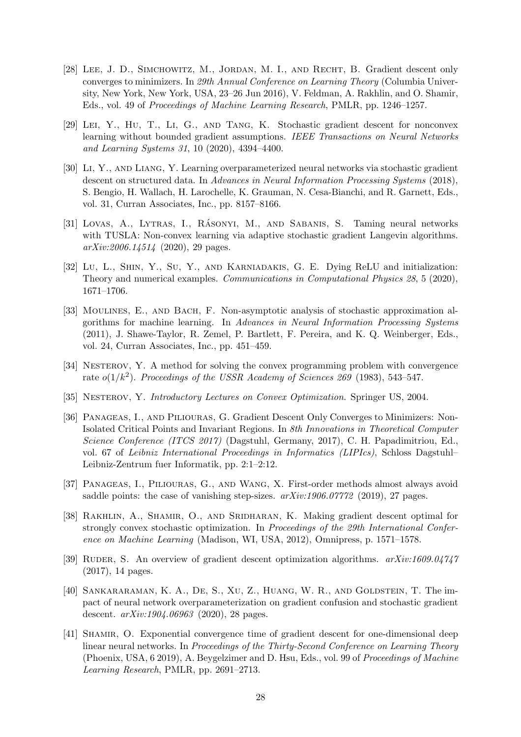- <span id="page-27-11"></span>[28] Lee, J. D., Simchowitz, M., Jordan, M. I., and Recht, B. Gradient descent only converges to minimizers. In *29th Annual Conference on Learning Theory* (Columbia University, New York, New York, USA, 23–26 Jun 2016), V. Feldman, A. Rakhlin, and O. Shamir, Eds., vol. 49 of *Proceedings of Machine Learning Research*, PMLR, pp. 1246–1257.
- <span id="page-27-4"></span>[29] Lei, Y., Hu, T., Li, G., and Tang, K. Stochastic gradient descent for nonconvex learning without bounded gradient assumptions. *IEEE Transactions on Neural Networks and Learning Systems 31*, 10 (2020), 4394–4400.
- <span id="page-27-9"></span>[30] Li, Y., and Liang, Y. Learning overparameterized neural networks via stochastic gradient descent on structured data. In *Advances in Neural Information Processing Systems* (2018), S. Bengio, H. Wallach, H. Larochelle, K. Grauman, N. Cesa-Bianchi, and R. Garnett, Eds., vol. 31, Curran Associates, Inc., pp. 8157–8166.
- <span id="page-27-5"></span>[31] Lovas, A., Lytras, I., Rásonyi, M., and Sabanis, S. Taming neural networks with TUSLA: Non-convex learning via adaptive stochastic gradient Langevin algorithms. *arXiv:2006.14514* (2020), 29 pages.
- <span id="page-27-6"></span>[32] Lu, L., SHIN, Y., Su, Y., AND KARNIADAKIS, G. E. Dying ReLU and initialization: Theory and numerical examples. *Communications in Computational Physics 28*, 5 (2020), 1671–1706.
- <span id="page-27-0"></span>[33] Moulines, E., and Bach, F. Non-asymptotic analysis of stochastic approximation algorithms for machine learning. In *Advances in Neural Information Processing Systems* (2011), J. Shawe-Taylor, R. Zemel, P. Bartlett, F. Pereira, and K. Q. Weinberger, Eds., vol. 24, Curran Associates, Inc., pp. 451–459.
- <span id="page-27-1"></span>[34] NESTEROV, Y. A method for solving the convex programming problem with convergence rate  $o(1/k^2)$ . *Proceedings of the USSR Academy of Sciences 269* (1983), 543-547.
- <span id="page-27-12"></span><span id="page-27-2"></span>[35] Nesterov, Y. *Introductory Lectures on Convex Optimization*. Springer US, 2004.
- [36] Panageas, I., and Piliouras, G. Gradient Descent Only Converges to Minimizers: Non-Isolated Critical Points and Invariant Regions. In *8th Innovations in Theoretical Computer Science Conference (ITCS 2017)* (Dagstuhl, Germany, 2017), C. H. Papadimitriou, Ed., vol. 67 of *Leibniz International Proceedings in Informatics (LIPIcs)*, Schloss Dagstuhl– Leibniz-Zentrum fuer Informatik, pp. 2:1–2:12.
- <span id="page-27-13"></span>[37] Panageas, I., Piliouras, G., and Wang, X. First-order methods almost always avoid saddle points: the case of vanishing step-sizes. *arXiv:1906.07772* (2019), 27 pages.
- <span id="page-27-3"></span>[38] RAKHLIN, A., SHAMIR, O., AND SRIDHARAN, K. Making gradient descent optimal for strongly convex stochastic optimization. In *Proceedings of the 29th International Conference on Machine Learning* (Madison, WI, USA, 2012), Omnipress, p. 1571–1578.
- <span id="page-27-8"></span>[39] RUDER, S. An overview of gradient descent optimization algorithms.  $arXiv:1609.04747$ (2017), 14 pages.
- <span id="page-27-10"></span>[40] SANKARARAMAN, K. A., DE, S., XU, Z., HUANG, W. R., AND GOLDSTEIN, T. The impact of neural network overparameterization on gradient confusion and stochastic gradient descent. *arXiv:1904.06963* (2020), 28 pages.
- <span id="page-27-7"></span>[41] Shamir, O. Exponential convergence time of gradient descent for one-dimensional deep linear neural networks. In *Proceedings of the Thirty-Second Conference on Learning Theory* (Phoenix, USA, 6 2019), A. Beygelzimer and D. Hsu, Eds., vol. 99 of *Proceedings of Machine Learning Research*, PMLR, pp. 2691–2713.